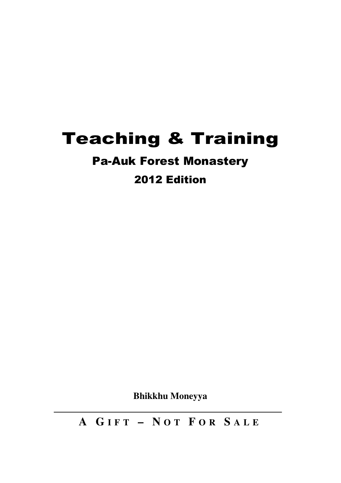# Teaching & Training

# Pa-Auk Forest Monastery

# 2012 Edition

**Bhikkhu Moneyya** 

**A G I F T – N O T F O R S A L E**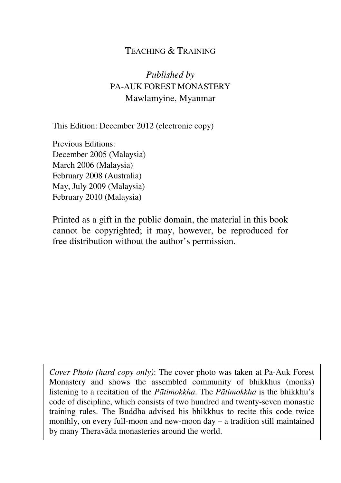### TEACHING & TRAINING

*Published by* PA-AUK FOREST MONASTERY Mawlamyine, Myanmar

This Edition: December 2012 (electronic copy)

Previous Editions: December 2005 (Malaysia) March 2006 (Malaysia) February 2008 (Australia) May, July 2009 (Malaysia) February 2010 (Malaysia)

Printed as a gift in the public domain, the material in this book cannot be copyrighted; it may, however, be reproduced for free distribution without the author's permission.

*Cover Photo (hard copy only)*: The cover photo was taken at Pa-Auk Forest Monastery and shows the assembled community of bhikkhus (monks) listening to a recitation of the *Pātimokkha*. The *Pātimokkha* is the bhikkhu's code of discipline, which consists of two hundred and twenty-seven monastic training rules. The Buddha advised his bhikkhus to recite this code twice monthly, on every full-moon and new-moon day – a tradition still maintained by many Theravāda monasteries around the world.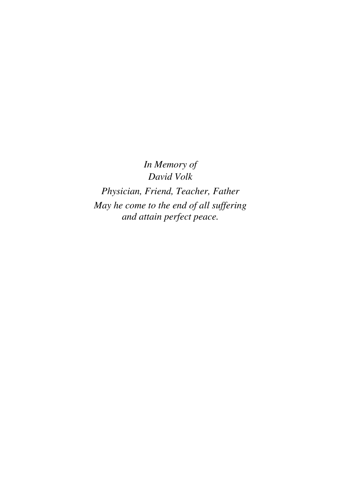*In Memory of David Volk*

*Physician, Friend, Teacher, Father May he come to the end of all suffering and attain perfect peace.*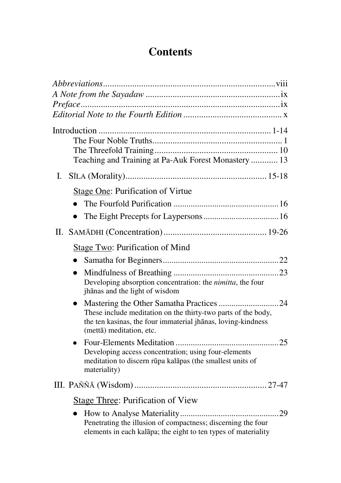# **Contents**

|              | Teaching and Training at Pa-Auk Forest Monastery  13                                                                                                                                                  |
|--------------|-------------------------------------------------------------------------------------------------------------------------------------------------------------------------------------------------------|
| $\mathbf{L}$ |                                                                                                                                                                                                       |
|              | Stage One: Purification of Virtue                                                                                                                                                                     |
|              |                                                                                                                                                                                                       |
|              | $\bullet$                                                                                                                                                                                             |
|              |                                                                                                                                                                                                       |
|              | Stage Two: Purification of Mind                                                                                                                                                                       |
|              | $\bullet$                                                                                                                                                                                             |
|              | $\bullet$<br>Developing absorption concentration: the nimitta, the four<br>jhānas and the light of wisdom                                                                                             |
|              | Mastering the Other Samatha Practices 24<br>These include meditation on the thirty-two parts of the body,<br>the ten kasinas, the four immaterial jhanas, loving-kindness<br>(mettā) meditation, etc. |
|              | Developing access concentration; using four-elements<br>meditation to discern rūpa kalāpas (the smallest units of<br>materiality)                                                                     |
|              |                                                                                                                                                                                                       |
|              | Stage Three: Purification of View                                                                                                                                                                     |
|              | $\bullet$<br>Penetrating the illusion of compactness; discerning the four<br>elements in each kalāpa; the eight to ten types of materiality                                                           |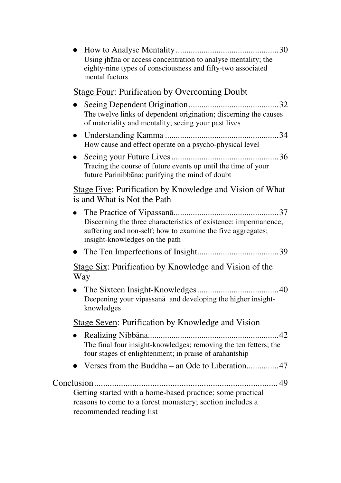| Using jhana or access concentration to analyse mentality; the<br>eighty-nine types of consciousness and fifty-two associated<br>mental factors                    |
|-------------------------------------------------------------------------------------------------------------------------------------------------------------------|
| <b>Stage Four: Purification by Overcoming Doubt</b>                                                                                                               |
| The twelve links of dependent origination; discerning the causes<br>of materiality and mentality; seeing your past lives                                          |
| How cause and effect operate on a psycho-physical level                                                                                                           |
| Tracing the course of future events up until the time of your<br>future Parinibbāna; purifying the mind of doubt                                                  |
| Stage Five: Purification by Knowledge and Vision of What<br>is and What is Not the Path                                                                           |
| Discerning the three characteristics of existence: impermanence,<br>suffering and non-self; how to examine the five aggregates;<br>insight-knowledges on the path |
|                                                                                                                                                                   |
| Stage Six: Purification by Knowledge and Vision of the<br>Way                                                                                                     |
| Deepening your vipassana and developing the higher insight-<br>knowledges                                                                                         |
| Stage Seven: Purification by Knowledge and Vision                                                                                                                 |
| The final four insight-knowledges; removing the ten fetters; the<br>four stages of enlightenment; in praise of arahantship                                        |
|                                                                                                                                                                   |
| Getting started with a home-based practice; some practical<br>reasons to come to a forest monastery; section includes a<br>recommended reading list               |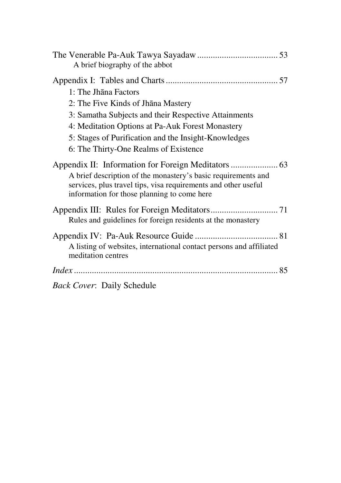| A brief biography of the abbot                                                                                                                                                                                                                                            |
|---------------------------------------------------------------------------------------------------------------------------------------------------------------------------------------------------------------------------------------------------------------------------|
| $1:$ The Jhana Factors<br>2: The Five Kinds of Jhana Mastery<br>3: Samatha Subjects and their Respective Attainments<br>4: Meditation Options at Pa-Auk Forest Monastery<br>5: Stages of Purification and the Insight-Knowledges<br>6: The Thirty-One Realms of Existence |
| A brief description of the monastery's basic requirements and<br>services, plus travel tips, visa requirements and other useful<br>information for those planning to come here                                                                                            |
| Rules and guidelines for foreign residents at the monastery                                                                                                                                                                                                               |
| A listing of websites, international contact persons and affiliated<br>meditation centres                                                                                                                                                                                 |
|                                                                                                                                                                                                                                                                           |
| <b>Back Cover: Daily Schedule</b>                                                                                                                                                                                                                                         |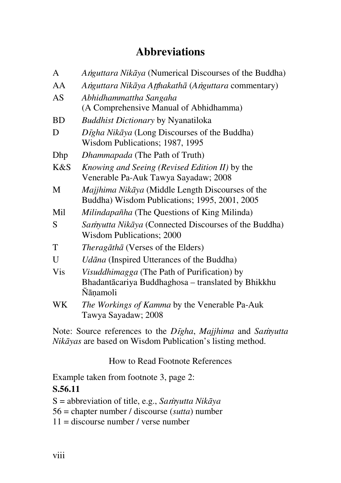# **Abbreviations**

| A          | Anguttara Nikāya (Numerical Discourses of the Buddha)                                                                |  |  |
|------------|----------------------------------------------------------------------------------------------------------------------|--|--|
| AA         | Anguttara Nikāya Aṭṭhakathā (Anguttara commentary)                                                                   |  |  |
| AS         | Abhidhammattha Sangaha<br>(A Comprehensive Manual of Abhidhamma)                                                     |  |  |
| <b>BD</b>  | Buddhist Dictionary by Nyanatiloka                                                                                   |  |  |
| D          | Dīgha Nikāya (Long Discourses of the Buddha)<br>Wisdom Publications; 1987, 1995                                      |  |  |
| Dhp        | Dhammapada (The Path of Truth)                                                                                       |  |  |
| K&S        | Knowing and Seeing (Revised Edition II) by the<br>Venerable Pa-Auk Tawya Sayadaw; 2008                               |  |  |
| M          | Majjhima Nikāya (Middle Length Discourses of the<br>Buddha) Wisdom Publications; 1995, 2001, 2005                    |  |  |
| Mil        | Milindapañha (The Questions of King Milinda)                                                                         |  |  |
| S          | Samyutta Nikāya (Connected Discourses of the Buddha)<br>Wisdom Publications; 2000                                    |  |  |
| T          | <i>Theragāthā</i> (Verses of the Elders)                                                                             |  |  |
| U          | Udāna (Inspired Utterances of the Buddha)                                                                            |  |  |
| <b>Vis</b> | <i>Visuddhimagga</i> (The Path of Purification) by<br>Bhadantācariya Buddhaghosa – translated by Bhikkhu<br>Nāņamoli |  |  |
| WK         | The Workings of Kamma by the Venerable Pa-Auk<br>Tawya Sayadaw; 2008                                                 |  |  |

Note: Source references to the *D*i*gha*, *Majjhima* and *Sa*m*yutta Nikāyas* are based on Wisdom Publication's listing method.

How to Read Footnote References

Example taken from footnote 3, page 2:

# **S.56.11**

S = abbreviation of title, e.g., *Sa*m*yutta Nikāya*

- 56 = chapter number / discourse (*sutta*) number
- $11$  = discourse number / verse number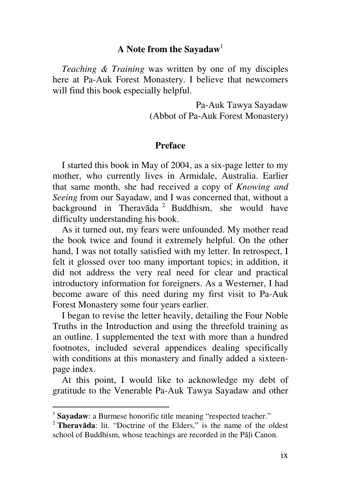# **A Note from the Sayadaw**<sup>1</sup>

*Teaching & Training* was written by one of my disciples here at Pa-Auk Forest Monastery. I believe that newcomers will find this book especially helpful.

> Pa-Auk Tawya Sayadaw (Abbot of Pa-Auk Forest Monastery)

### **Preface**

I started this book in May of 2004, as a six-page letter to my mother, who currently lives in Armidale, Australia. Earlier that same month, she had received a copy of *Knowing and Seeing* from our Sayadaw, and I was concerned that, without a background in Theravāda<sup>2</sup> Buddhism, she would have difficulty understanding his book.

As it turned out, my fears were unfounded. My mother read the book twice and found it extremely helpful. On the other hand, I was not totally satisfied with my letter. In retrospect, I felt it glossed over too many important topics; in addition, it did not address the very real need for clear and practical introductory information for foreigners. As a Westerner, I had become aware of this need during my first visit to Pa-Auk Forest Monastery some four years earlier.

I began to revise the letter heavily, detailing the Four Noble Truths in the Introduction and using the threefold training as an outline. I supplemented the text with more than a hundred footnotes, included several appendices dealing specifically with conditions at this monastery and finally added a sixteenpage index.

At this point, I would like to acknowledge my debt of gratitude to the Venerable Pa-Auk Tawya Sayadaw and other

 $\overline{a}$ 

<sup>&</sup>lt;sup>1</sup> Sayadaw: a Burmese honorific title meaning "respected teacher."

<sup>2</sup> **Theravāda**: lit. "Doctrine of the Elders," is the name of the oldest school of Buddhism, whose teachings are recorded in the Pāli Canon.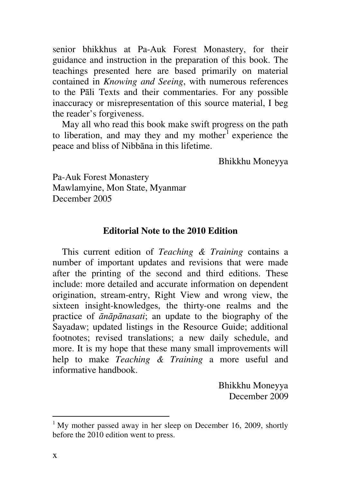senior bhikkhus at Pa-Auk Forest Monastery, for their guidance and instruction in the preparation of this book. The teachings presented here are based primarily on material contained in *Knowing and Seeing*, with numerous references to the Pāli Texts and their commentaries. For any possible inaccuracy or misrepresentation of this source material, I beg the reader's forgiveness.

May all who read this book make swift progress on the path to liberation, and may they and my mother $1$  experience the peace and bliss of Nibbāna in this lifetime.

Bhikkhu Moneyya

Pa-Auk Forest Monastery Mawlamyine, Mon State, Myanmar December 2005

#### **Editorial Note to the 2010 Edition**

This current edition of *Teaching & Training* contains a number of important updates and revisions that were made after the printing of the second and third editions. These include: more detailed and accurate information on dependent origination, stream-entry, Right View and wrong view, the sixteen insight-knowledges, the thirty-one realms and the practice of *ānāpānasati*; an update to the biography of the Sayadaw; updated listings in the Resource Guide; additional footnotes; revised translations; a new daily schedule, and more. It is my hope that these many small improvements will help to make *Teaching & Training* a more useful and informative handbook.

> Bhikkhu Moneyya December 2009

<sup>&</sup>lt;sup>1</sup> My mother passed away in her sleep on December 16, 2009, shortly before the 2010 edition went to press.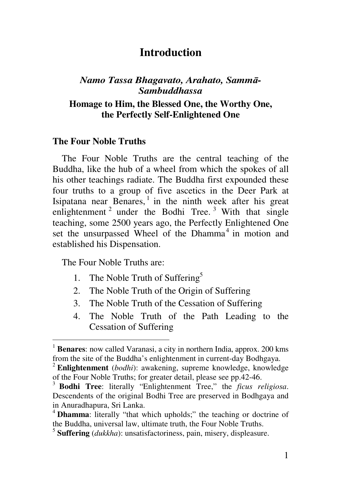# **Introduction**

## *Namo Tassa Bhagavato, Arahato, Sammā-Sambuddhassa*

### **Homage to Him, the Blessed One, the Worthy One, the Perfectly Self-Enlightened One**

### **The Four Noble Truths**

The Four Noble Truths are the central teaching of the Buddha, like the hub of a wheel from which the spokes of all his other teachings radiate. The Buddha first expounded these four truths to a group of five ascetics in the Deer Park at Isipatana near Benares, $<sup>1</sup>$  in the ninth week after his great</sup> enlightenment<sup>2</sup> under the Bodhi Tree.<sup>3</sup> With that single teaching, some 2500 years ago, the Perfectly Enlightened One set the unsurpassed Wheel of the Dhamma<sup>4</sup> in motion and established his Dispensation.

The Four Noble Truths are:

- 1. The Noble Truth of Suffering<sup>5</sup>
- 2. The Noble Truth of the Origin of Suffering
- 3. The Noble Truth of the Cessation of Suffering
- 4. The Noble Truth of the Path Leading to the Cessation of Suffering

<sup>&</sup>lt;sup>1</sup> **Benares**: now called Varanasi, a city in northern India, approx. 200 kms from the site of the Buddha's enlightenment in current-day Bodhgaya.

<sup>2</sup> **Enlightenment** (*bodhi*): awakening, supreme knowledge, knowledge of the Four Noble Truths; for greater detail, please see pp.42-46.

<sup>3</sup> **Bodhi Tree**: literally "Enlightenment Tree," the *ficus religiosa*. Descendents of the original Bodhi Tree are preserved in Bodhgaya and in Anuradhapura, Sri Lanka.

<sup>4</sup> **Dhamma**: literally "that which upholds;" the teaching or doctrine of the Buddha, universal law, ultimate truth, the Four Noble Truths.

<sup>5</sup> **Suffering** (*dukkha*): unsatisfactoriness, pain, misery, displeasure.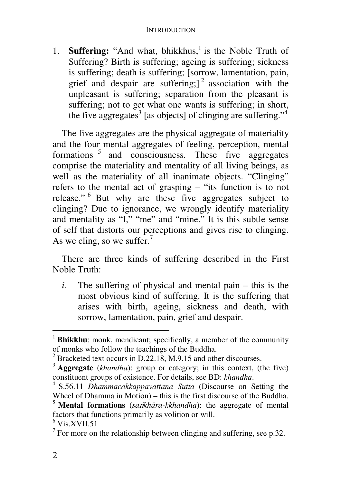1. **Suffering:** "And what, bhikkhus,<sup>1</sup> is the Noble Truth of Suffering? Birth is suffering; ageing is suffering; sickness is suffering; death is suffering; [sorrow, lamentation, pain, grief and despair are suffering;  $]$ <sup>2</sup> association with the unpleasant is suffering; separation from the pleasant is suffering; not to get what one wants is suffering; in short, the five aggregates<sup>3</sup> [as objects] of clinging are suffering."<sup>4</sup>

The five aggregates are the physical aggregate of materiality and the four mental aggregates of feeling, perception, mental formations <sup>5</sup> and consciousness. These five aggregates comprise the materiality and mentality of all living beings, as well as the materiality of all inanimate objects. "Clinging" refers to the mental act of grasping – "its function is to not release." <sup>6</sup> But why are these five aggregates subject to clinging? Due to ignorance, we wrongly identify materiality and mentality as "I," "me" and "mine." It is this subtle sense of self that distorts our perceptions and gives rise to clinging. As we cling, so we suffer.<sup>7</sup>

There are three kinds of suffering described in the First Noble Truth:

*i.* The suffering of physical and mental pain – this is the most obvious kind of suffering. It is the suffering that arises with birth, ageing, sickness and death, with sorrow, lamentation, pain, grief and despair.

<sup>&</sup>lt;sup>1</sup> **Bhikkhu**: monk, mendicant; specifically, a member of the community of monks who follow the teachings of the Buddha.

<sup>&</sup>lt;sup>2</sup> Bracketed text occurs in D.22.18, M.9.15 and other discourses.

<sup>3</sup> **Aggregate** (*khandha*): group or category; in this context, (the five) constituent groups of existence. For details, see BD: *khandha*.

<sup>4</sup> S.56.11 *Dhammacakkappavattana Sutta* (Discourse on Setting the Wheel of Dhamma in Motion) – this is the first discourse of the Buddha.

<sup>&</sup>lt;sup>5</sup> **Mental formations** (*sankhāra-kkhandha*): the aggregate of mental factors that functions primarily as volition or will.

 $^6$  Vis.XVII.51

 $7$  For more on the relationship between clinging and suffering, see p.32.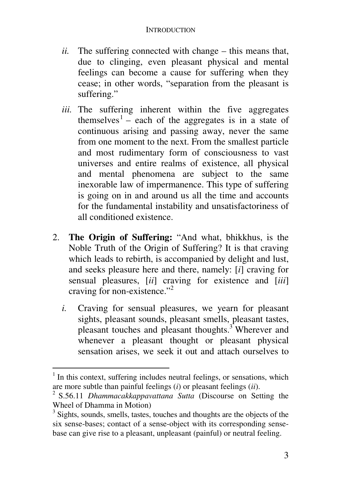- *ii.* The suffering connected with change this means that, due to clinging, even pleasant physical and mental feelings can become a cause for suffering when they cease; in other words, "separation from the pleasant is suffering."
- *iii.* The suffering inherent within the five aggregates themselves<sup>1</sup> – each of the aggregates is in a state of continuous arising and passing away, never the same from one moment to the next. From the smallest particle and most rudimentary form of consciousness to vast universes and entire realms of existence, all physical and mental phenomena are subject to the same inexorable law of impermanence. This type of suffering is going on in and around us all the time and accounts for the fundamental instability and unsatisfactoriness of all conditioned existence.
- 2. **The Origin of Suffering:** "And what, bhikkhus, is the Noble Truth of the Origin of Suffering? It is that craving which leads to rebirth, is accompanied by delight and lust, and seeks pleasure here and there, namely: [*i*] craving for sensual pleasures, [*ii*] craving for existence and [*iii*] craving for non-existence."<sup>2</sup>
	- *i.* Craving for sensual pleasures, we yearn for pleasant sights, pleasant sounds, pleasant smells, pleasant tastes, pleasant touches and pleasant thoughts.<sup>3</sup> Wherever and whenever a pleasant thought or pleasant physical sensation arises, we seek it out and attach ourselves to

<sup>&</sup>lt;sup>1</sup> In this context, suffering includes neutral feelings, or sensations, which are more subtle than painful feelings (*i*) or pleasant feelings (*ii*).

<sup>2</sup> S.56.11 *Dhammacakkappavattana Sutta* (Discourse on Setting the Wheel of Dhamma in Motion)

<sup>&</sup>lt;sup>3</sup> Sights, sounds, smells, tastes, touches and thoughts are the objects of the six sense-bases; contact of a sense-object with its corresponding sensebase can give rise to a pleasant, unpleasant (painful) or neutral feeling.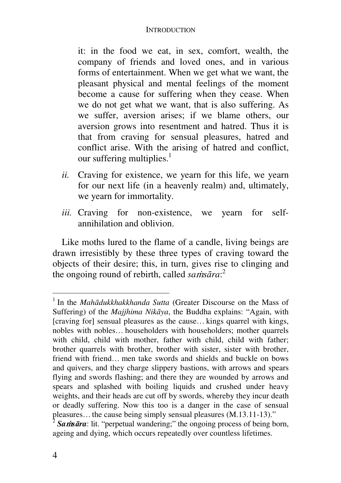it: in the food we eat, in sex, comfort, wealth, the company of friends and loved ones, and in various forms of entertainment. When we get what we want, the pleasant physical and mental feelings of the moment become a cause for suffering when they cease. When we do not get what we want, that is also suffering. As we suffer, aversion arises; if we blame others, our aversion grows into resentment and hatred. Thus it is that from craving for sensual pleasures, hatred and conflict arise. With the arising of hatred and conflict, our suffering multiplies. $<sup>1</sup>$ </sup>

- *ii.* Craving for existence, we yearn for this life, we yearn for our next life (in a heavenly realm) and, ultimately, we yearn for immortality.
- iii. Craving for non-existence, we yearn for selfannihilation and oblivion.

Like moths lured to the flame of a candle, living beings are drawn irresistibly by these three types of craving toward the objects of their desire; this, in turn, gives rise to clinging and the ongoing round of rebirth, called *sa*m*sāra*: 2

<sup>&</sup>lt;sup>1</sup> In the *Mahādukkhakkhanda Sutta* (Greater Discourse on the Mass of Suffering) of the *Majjhima Nikāya*, the Buddha explains: "Again, with [craving for] sensual pleasures as the cause… kings quarrel with kings, nobles with nobles… householders with householders; mother quarrels with child, child with mother, father with child, child with father; brother quarrels with brother, brother with sister, sister with brother, friend with friend… men take swords and shields and buckle on bows and quivers, and they charge slippery bastions, with arrows and spears flying and swords flashing; and there they are wounded by arrows and spears and splashed with boiling liquids and crushed under heavy weights, and their heads are cut off by swords, whereby they incur death or deadly suffering. Now this too is a danger in the case of sensual pleasures... the cause being simply sensual pleasures  $(M.13.11-13)$ ."<br>
2 Setting in the cause being unpdating:" the opening process of being be

<sup>&</sup>lt;sup>2</sup> **Sams***āra*: lit. "perpetual wandering;" the ongoing process of being born, ageing and dying, which occurs repeatedly over countless lifetimes.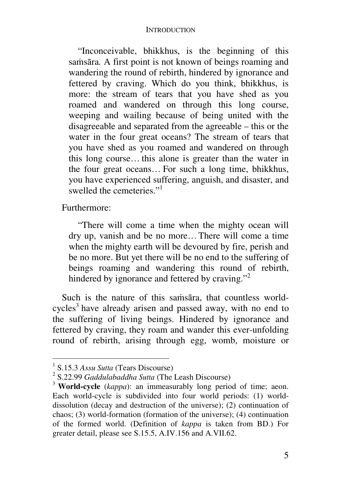"Inconceivable, bhikkhus, is the beginning of this samsāra*.* A first point is not known of beings roaming and wandering the round of rebirth, hindered by ignorance and fettered by craving. Which do you think, bhikkhus, is more: the stream of tears that you have shed as you roamed and wandered on through this long course, weeping and wailing because of being united with the disagreeable and separated from the agreeable – this or the water in the four great oceans? The stream of tears that you have shed as you roamed and wandered on through this long course… this alone is greater than the water in the four great oceans… For such a long time, bhikkhus, you have experienced suffering, anguish, and disaster, and swelled the cemeteries."<sup>1</sup>

Furthermore:

"There will come a time when the mighty ocean will dry up, vanish and be no more…There will come a time when the mighty earth will be devoured by fire, perish and be no more. But yet there will be no end to the suffering of beings roaming and wandering this round of rebirth, hindered by ignorance and fettered by craving."<sup>2</sup>

Such is the nature of this samsāra, that countless worldcycles<sup>3</sup> have already arisen and passed away, with no end to the suffering of living beings. Hindered by ignorance and fettered by craving, they roam and wander this ever-unfolding round of rebirth, arising through egg, womb, moisture or

 $\overline{a}$ 

<sup>1</sup> S.15.3 *Assu Sutta* (Tears Discourse)

<sup>2</sup> S.22.99 *Gaddulabaddha Sutta* (The Leash Discourse)

<sup>3</sup> **World-cycle** (*kappa*): an immeasurably long period of time; aeon. Each world-cycle is subdivided into four world periods: (1) worlddissolution (decay and destruction of the universe); (2) continuation of chaos; (3) world-formation (formation of the universe); (4) continuation of the formed world. (Definition of *kappa* is taken from BD.) For greater detail, please see S.15.5, A.IV.156 and A.VII.62.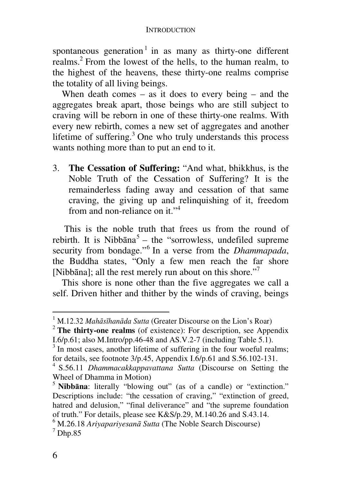spontaneous generation<sup>1</sup> in as many as thirty-one different realms.<sup>2</sup> From the lowest of the hells, to the human realm, to the highest of the heavens, these thirty-one realms comprise the totality of all living beings.

When death comes – as it does to every being – and the aggregates break apart, those beings who are still subject to craving will be reborn in one of these thirty-one realms. With every new rebirth, comes a new set of aggregates and another lifetime of suffering.<sup>3</sup> One who truly understands this process wants nothing more than to put an end to it.

3. **The Cessation of Suffering:** "And what, bhikkhus, is the Noble Truth of the Cessation of Suffering? It is the remainderless fading away and cessation of that same craving, the giving up and relinquishing of it, freedom from and non-reliance on it." $4$ 

 This is the noble truth that frees us from the round of rebirth. It is Nibbana<sup>5</sup> – the "sorrowless, undefiled supreme security from bondage."<sup>6</sup> In a verse from the *Dhammapada*, the Buddha states, "Only a few men reach the far shore [Nibbāna]; all the rest merely run about on this shore."<sup>7</sup>

This shore is none other than the five aggregates we call a self. Driven hither and thither by the winds of craving, beings

<sup>1</sup> M.12.32 *Mahāsīhanāda Sutta* (Greater Discourse on the Lion's Roar)

<sup>2</sup> **The thirty-one realms** (of existence): For description, see Appendix I.6/p.61; also M.Intro/pp.46-48 and AS.V.2-7 (including Table 5.1).

<sup>&</sup>lt;sup>3</sup> In most cases, another lifetime of suffering in the four woeful realms; for details, see footnote  $3/p.45$ , Appendix I.6/p.61 and S.56.102-131.

<sup>4</sup> S.56.11 *Dhammacakkappavattana Sutta* (Discourse on Setting the Wheel of Dhamma in Motion)

<sup>5</sup> **Nibbāna**: literally "blowing out" (as of a candle) or "extinction." Descriptions include: "the cessation of craving," "extinction of greed, hatred and delusion," "final deliverance" and "the supreme foundation of truth." For details, please see K&S/p.29, M.140.26 and S.43.14.

<sup>6</sup> M.26.18 *Ariyapariyesanā Sutta* (The Noble Search Discourse)  $<sup>7</sup>$  Dhp.85</sup>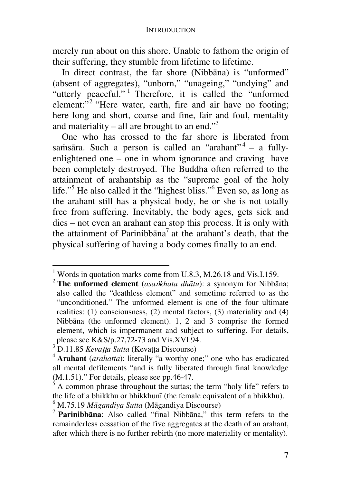merely run about on this shore. Unable to fathom the origin of their suffering, they stumble from lifetime to lifetime.

In direct contrast, the far shore (Nibbāna) is "unformed" (absent of aggregates), "unborn," "unageing," "undying" and "utterly peaceful."<sup>1</sup> Therefore, it is called the "unformed element: $\mathfrak{I}^2$  "Here water, earth, fire and air have no footing; here long and short, coarse and fine, fair and foul, mentality and materiality – all are brought to an end." $3$ 

One who has crossed to the far shore is liberated from samsāra. Such a person is called an "arahant"<sup>4</sup> - a fullyenlightened one – one in whom ignorance and craving have been completely destroyed. The Buddha often referred to the attainment of arahantship as the "supreme goal of the holy life."<sup>5</sup> He also called it the "highest bliss."<sup>6</sup> Even so, as long as the arahant still has a physical body, he or she is not totally free from suffering. Inevitably, the body ages, gets sick and dies – not even an arahant can stop this process. It is only with the attainment of Parinibbana<sup>7</sup> at the arahant's death, that the physical suffering of having a body comes finally to an end.

 1 Words in quotation marks come from U.8.3, M.26.18 and Vis.I.159.

<sup>&</sup>lt;sup>2</sup> **The unformed element** (*asa<code>ikhata dhātu*): a synonym for Nibbāna;</code> also called the "deathless element" and sometime referred to as the "unconditioned." The unformed element is one of the four ultimate realities: (1) consciousness, (2) mental factors, (3) materiality and (4) Nibbāna (the unformed element). 1, 2 and 3 comprise the formed element, which is impermanent and subject to suffering. For details, please see K&S/p.27,72-73 and Vis.XVI.94.

<sup>&</sup>lt;sup>3</sup> D.11.85 *Kevatta Sutta* (Kevatta Discourse)

<sup>4</sup> **Arahant** (*arahatta*): literally "a worthy one;" one who has eradicated all mental defilements "and is fully liberated through final knowledge (M.1.51)." For details, please see pp.46-47.

<sup>5</sup> A common phrase throughout the suttas; the term "holy life" refers to the life of a bhikkhu or bhikkhunī (the female equivalent of a bhikkhu). 6 M.75.19 *Māgandiya Sutta* (Māgandiya Discourse)

<sup>7</sup> **Parinibbāna**: Also called "final Nibbāna," this term refers to the remainderless cessation of the five aggregates at the death of an arahant, after which there is no further rebirth (no more materiality or mentality).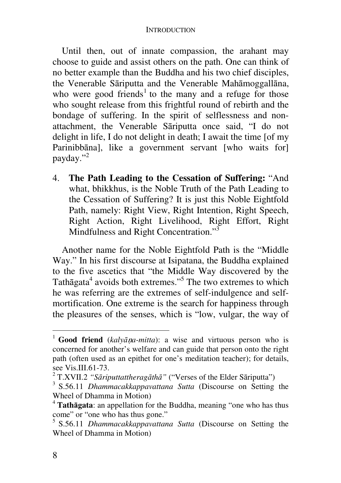Until then, out of innate compassion, the arahant may choose to guide and assist others on the path. One can think of no better example than the Buddha and his two chief disciples, the Venerable Sāriputta and the Venerable Mahāmoggallāna, who were good friends<sup>1</sup> to the many and a refuge for those who sought release from this frightful round of rebirth and the bondage of suffering. In the spirit of selflessness and nonattachment, the Venerable Sāriputta once said, "I do not delight in life, I do not delight in death; I await the time [of my Parinibbāna], like a government servant [who waits for] payday."<sup>2</sup>

4. **The Path Leading to the Cessation of Suffering:** "And what, bhikkhus, is the Noble Truth of the Path Leading to the Cessation of Suffering? It is just this Noble Eightfold Path, namely: Right View, Right Intention, Right Speech, Right Action, Right Livelihood, Right Effort, Right Mindfulness and Right Concentration."<sup>3</sup>

Another name for the Noble Eightfold Path is the "Middle Way." In his first discourse at Isipatana, the Buddha explained to the five ascetics that "the Middle Way discovered by the Tath $\bar{a}$ gata<sup>4</sup> avoids both extremes."<sup>5</sup> The two extremes to which he was referring are the extremes of self-indulgence and selfmortification. One extreme is the search for happiness through the pleasures of the senses, which is "low, vulgar, the way of

<sup>&</sup>lt;sup>1</sup> **Good friend** (*kalyāṇa-mitta*): a wise and virtuous person who is concerned for another's welfare and can guide that person onto the right path (often used as an epithet for one's meditation teacher); for details, see Vis.III.61-73.

<sup>2</sup> T.XVII.2 *"Sāriputtattheragāthā"* ("Verses of the Elder Sāriputta")

<sup>3</sup> S.56.11 *Dhammacakkappavattana Sutta* (Discourse on Setting the Wheel of Dhamma in Motion)

<sup>4</sup> **Tathāgata**: an appellation for the Buddha, meaning "one who has thus come" or "one who has thus gone."

<sup>5</sup> S.56.11 *Dhammacakkappavattana Sutta* (Discourse on Setting the Wheel of Dhamma in Motion)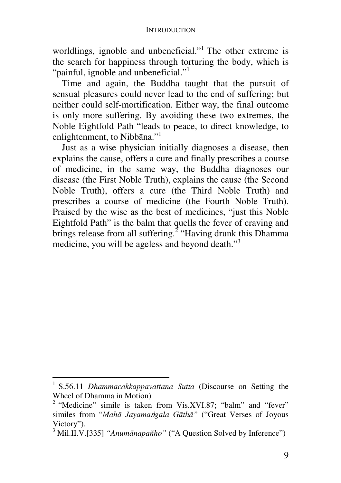worldlings, ignoble and unbeneficial."<sup>1</sup> The other extreme is the search for happiness through torturing the body, which is "painful, ignoble and unbeneficial."<sup>1</sup>

Time and again, the Buddha taught that the pursuit of sensual pleasures could never lead to the end of suffering; but neither could self-mortification. Either way, the final outcome is only more suffering. By avoiding these two extremes, the Noble Eightfold Path "leads to peace, to direct knowledge, to enlightenment, to Nibbāna."<sup>1</sup>

Just as a wise physician initially diagnoses a disease, then explains the cause, offers a cure and finally prescribes a course of medicine, in the same way, the Buddha diagnoses our disease (the First Noble Truth), explains the cause (the Second Noble Truth), offers a cure (the Third Noble Truth) and prescribes a course of medicine (the Fourth Noble Truth). Praised by the wise as the best of medicines, "just this Noble Eightfold Path" is the balm that quells the fever of craving and brings release from all suffering.<sup>2</sup> "Having drunk this Dhamma medicine, you will be ageless and beyond death."<sup>3</sup>

<sup>1</sup> S.56.11 *Dhammacakkappavattana Sutta* (Discourse on Setting the Wheel of Dhamma in Motion)

<sup>&</sup>lt;sup>2</sup> "Medicine" simile is taken from Vis.XVI.87; "balm" and "fever" similes from "*Mahā Jayama*v*gala Gāthā"* ("Great Verses of Joyous Victory").

<sup>&</sup>lt;sup>3</sup> Mil.II.V.[335] "Anumānapañho" ("A Question Solved by Inference")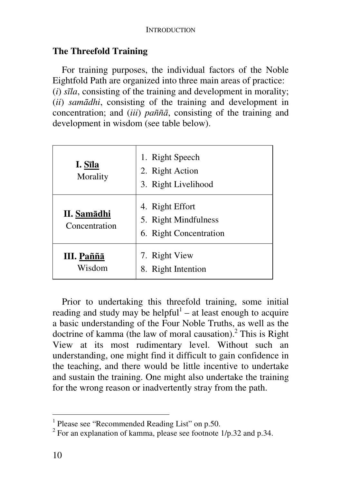## **The Threefold Training**

For training purposes, the individual factors of the Noble Eightfold Path are organized into three main areas of practice: (*i*) *sīla*, consisting of the training and development in morality; (*ii*) *samādhi*, consisting of the training and development in concentration; and (*iii*) *paññā*, consisting of the training and development in wisdom (see table below).

| I. Sīla<br>Morality          | 1. Right Speech<br>2. Right Action<br>3. Right Livelihood         |
|------------------------------|-------------------------------------------------------------------|
| II. Samādhi<br>Concentration | 4. Right Effort<br>5. Right Mindfulness<br>6. Right Concentration |
| III. Paññā<br>Wisdom         | 7. Right View<br>8. Right Intention                               |

Prior to undertaking this threefold training, some initial reading and study may be helpful $<sup>1</sup>$  – at least enough to acquire</sup> a basic understanding of the Four Noble Truths, as well as the doctrine of kamma (the law of moral causation).<sup>2</sup> This is Right View at its most rudimentary level. Without such an understanding, one might find it difficult to gain confidence in the teaching, and there would be little incentive to undertake and sustain the training. One might also undertake the training for the wrong reason or inadvertently stray from the path.

 1 Please see "Recommended Reading List" on p.50.

 $2^2$  For an explanation of kamma, please see footnote 1/p.32 and p.34.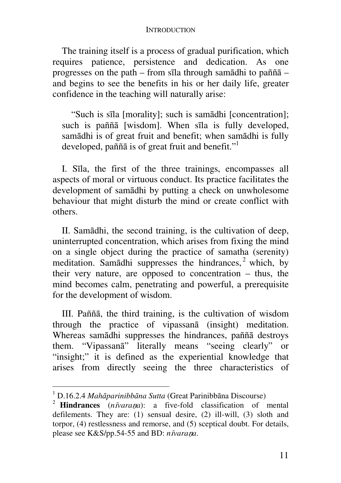The training itself is a process of gradual purification, which requires patience, persistence and dedication. As one progresses on the path – from sīla through samādhi to paññā – and begins to see the benefits in his or her daily life, greater confidence in the teaching will naturally arise:

"Such is sīla [morality]; such is samādhi [concentration]; such is paññā [wisdom]. When sīla is fully developed, samādhi is of great fruit and benefit; when samādhi is fully developed, pañña is of great fruit and benefit."<sup>1</sup>

I. Sīla, the first of the three trainings, encompasses all aspects of moral or virtuous conduct. Its practice facilitates the development of samādhi by putting a check on unwholesome behaviour that might disturb the mind or create conflict with others.

II. Samādhi, the second training, is the cultivation of deep, uninterrupted concentration, which arises from fixing the mind on a single object during the practice of samatha (serenity) meditation. Samādhi suppresses the hindrances,<sup>2</sup> which, by their very nature, are opposed to concentration – thus, the mind becomes calm, penetrating and powerful, a prerequisite for the development of wisdom.

III. Paññā, the third training, is the cultivation of wisdom through the practice of vipassanā (insight) meditation. Whereas samādhi suppresses the hindrances, paññā destroys them. "Vipassanā" literally means "seeing clearly" or "insight;" it is defined as the experiential knowledge that arises from directly seeing the three characteristics of

 1 D.16.2.4 *Mahāparinibbāna Sutta* (Great Parinibbāna Discourse)

<sup>2</sup> **Hindrances** (*n*i*vara*n*a*): a five-fold classification of mental defilements. They are: (1) sensual desire, (2) ill-will, (3) sloth and torpor, (4) restlessness and remorse, and (5) sceptical doubt. For details, please see K&S/pp.54-55 and BD: *n*i*vara*n*a*.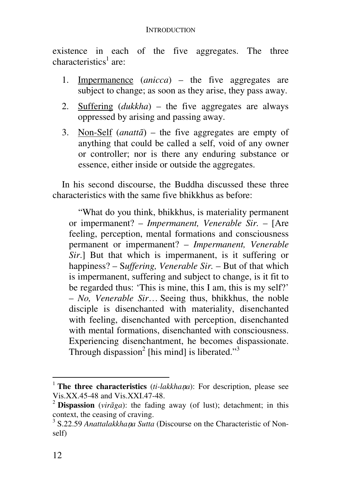existence in each of the five aggregates. The three characteristics<sup>1</sup> are:

- 1. Impermanence (*anicca*) the five aggregates are subject to change; as soon as they arise, they pass away.
- 2. Suffering (*dukkha*) the five aggregates are always oppressed by arising and passing away.
- 3. Non-Self (*anattā*) the five aggregates are empty of anything that could be called a self, void of any owner or controller; nor is there any enduring substance or essence, either inside or outside the aggregates.

In his second discourse, the Buddha discussed these three characteristics with the same five bhikkhus as before:

"What do you think, bhikkhus, is materiality permanent or impermanent? – *Impermanent, Venerable Sir.* – [Are feeling, perception, mental formations and consciousness permanent or impermanent? – *Impermanent, Venerable Sir.*] But that which is impermanent, is it suffering or happiness? – S*uffering, Venerable Sir.* – But of that which is impermanent, suffering and subject to change, is it fit to be regarded thus: 'This is mine, this I am, this is my self?' – *No, Venerable Sir*… Seeing thus, bhikkhus, the noble disciple is disenchanted with materiality, disenchanted with feeling, disenchanted with perception, disenchanted with mental formations, disenchanted with consciousness. Experiencing disenchantment, he becomes dispassionate. Through dispassion<sup>2</sup> [his mind] is liberated."<sup>3</sup>

<sup>&</sup>lt;sup>1</sup> The three characteristics (*ti-lakkhana*): For description, please see Vis.XX.45-48 and Vis.XXI.47-48.

<sup>&</sup>lt;sup>2</sup> **Dispassion** (*vir* $\bar{a}$ *ga*): the fading away (of lust); detachment; in this context, the ceasing of craving.

<sup>&</sup>lt;sup>3</sup> S.22.59 Anattalakkhaņa Sutta (Discourse on the Characteristic of Nonself)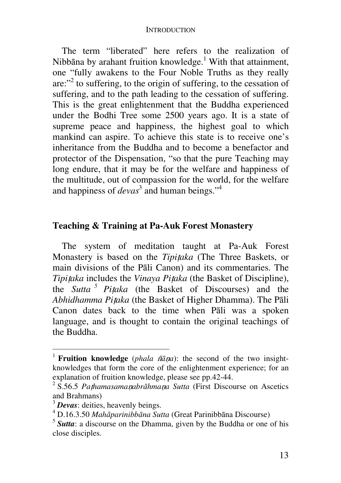The term "liberated" here refers to the realization of Nibbāna by arahant fruition knowledge.<sup>1</sup> With that attainment, one "fully awakens to the Four Noble Truths as they really are:"<sup>2</sup> to suffering, to the origin of suffering, to the cessation of suffering, and to the path leading to the cessation of suffering. This is the great enlightenment that the Buddha experienced under the Bodhi Tree some 2500 years ago. It is a state of supreme peace and happiness, the highest goal to which mankind can aspire. To achieve this state is to receive one's inheritance from the Buddha and to become a benefactor and protector of the Dispensation, "so that the pure Teaching may long endure, that it may be for the welfare and happiness of the multitude, out of compassion for the world, for the welfare and happiness of *devas*<sup>3</sup> and human beings."<sup>4</sup>

# **Teaching & Training at Pa-Auk Forest Monastery**

The system of meditation taught at Pa-Auk Forest Monastery is based on the *Tipi*t*aka* (The Three Baskets, or main divisions of the Pāli Canon) and its commentaries. The *Tipi*t*aka* includes the *Vinaya Pi*t*aka* (the Basket of Discipline), the *Sutta <sup>5</sup> Pi*t*aka* (the Basket of Discourses) and the *Abhidhamma Pi*t*aka* (the Basket of Higher Dhamma). The Pāli Canon dates back to the time when Pāli was a spoken language, and is thought to contain the original teachings of the Buddha.

<sup>&</sup>lt;sup>1</sup> **Fruition knowledge** (*phala*  $\tilde{n}$  $\tilde{a}$ *<i>na*): the second of the two insightknowledges that form the core of the enlightenment experience; for an explanation of fruition knowledge, please see pp.42-44.

<sup>2</sup> S.56.5 *Pa*t*hamasama*n*abrāhma*n*a Sutta* (First Discourse on Ascetics and Brahmans)

<sup>3</sup> *Devas*: deities, heavenly beings.

<sup>4</sup> D.16.3.50 *Mahāparinibbāna Sutta* (Great Parinibbāna Discourse)

<sup>5</sup> *Sutta*: a discourse on the Dhamma, given by the Buddha or one of his close disciples.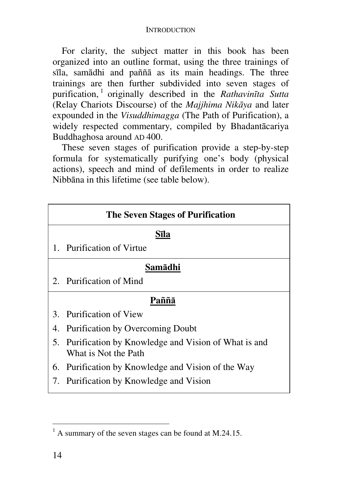For clarity, the subject matter in this book has been organized into an outline format, using the three trainings of sīla, samādhi and paññā as its main headings. The three trainings are then further subdivided into seven stages of purification, <sup>1</sup> originally described in the *Rathavinīta Sutta* (Relay Chariots Discourse) of the *Majjhima Nikāya* and later expounded in the *Visuddhimagga* (The Path of Purification), a widely respected commentary, compiled by Bhadantācariya Buddhaghosa around AD 400.

These seven stages of purification provide a step-by-step formula for systematically purifying one's body (physical actions), speech and mind of defilements in order to realize Nibbāna in this lifetime (see table below).

|         | <b>The Seven Stages of Purification</b>                                        |  |
|---------|--------------------------------------------------------------------------------|--|
| Sīla    |                                                                                |  |
|         | 1. Purification of Virtue                                                      |  |
| Samādhi |                                                                                |  |
|         | 2. Purification of Mind                                                        |  |
| Paññā   |                                                                                |  |
|         | 3. Purification of View                                                        |  |
|         | 4. Purification by Overcoming Doubt                                            |  |
|         | 5. Purification by Knowledge and Vision of What is and<br>What is Not the Path |  |
|         | 6. Purification by Knowledge and Vision of the Way                             |  |
|         | 7. Purification by Knowledge and Vision                                        |  |

<sup>&</sup>lt;sup>1</sup> A summary of the seven stages can be found at M.24.15.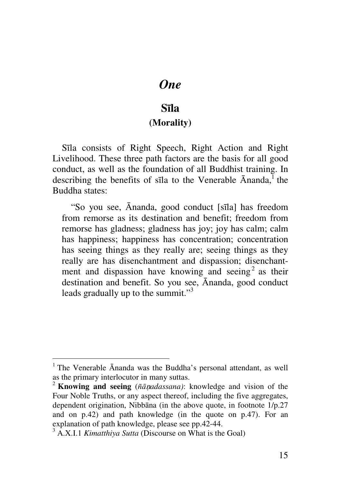# *One*

# **Sīla**

### **(Morality)**

Sīla consists of Right Speech, Right Action and Right Livelihood. These three path factors are the basis for all good conduct, as well as the foundation of all Buddhist training. In describing the benefits of sīla to the Venerable  $\bar{A}$ nanda,<sup>1</sup> the Buddha states:

"So you see, Ānanda, good conduct [sīla] has freedom from remorse as its destination and benefit; freedom from remorse has gladness; gladness has joy; joy has calm; calm has happiness; happiness has concentration; concentration has seeing things as they really are; seeing things as they really are has disenchantment and dispassion; disenchantment and dispassion have knowing and seeing<sup>2</sup> as their destination and benefit. So you see, Ānanda, good conduct leads gradually up to the summit."<sup>3</sup>

 $\overline{a}$ 

<sup>&</sup>lt;sup>1</sup> The Venerable Ānanda was the Buddha's personal attendant, as well as the primary interlocutor in many suttas.

<sup>2</sup> **Knowing and seeing** (*ñā*n*adassana)*: knowledge and vision of the Four Noble Truths, or any aspect thereof, including the five aggregates, dependent origination, Nibbāna (in the above quote, in footnote 1/p.27 and on p.42) and path knowledge (in the quote on p.47). For an explanation of path knowledge, please see pp.42-44.

<sup>3</sup> A.X.I.1 *Kimatthiya Sutta* (Discourse on What is the Goal)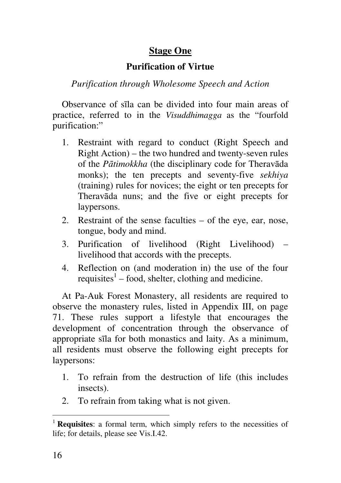# **Stage One**

# **Purification of Virtue**

*Purification through Wholesome Speech and Action* 

Observance of sīla can be divided into four main areas of practice, referred to in the *Visuddhimagga* as the "fourfold purification:"

- 1. Restraint with regard to conduct (Right Speech and Right Action) – the two hundred and twenty-seven rules of the *Pātimokkha* (the disciplinary code for Theravāda monks); the ten precepts and seventy-five *sekhiya* (training) rules for novices; the eight or ten precepts for Theravāda nuns; and the five or eight precepts for laypersons.
- 2. Restraint of the sense faculties of the eye, ear, nose, tongue, body and mind.
- 3. Purification of livelihood (Right Livelihood) livelihood that accords with the precepts.
- 4. Reflection on (and moderation in) the use of the four requisites<sup>1</sup> – food, shelter, clothing and medicine.

At Pa-Auk Forest Monastery, all residents are required to observe the monastery rules, listed in Appendix III, on page 71. These rules support a lifestyle that encourages the development of concentration through the observance of appropriate sīla for both monastics and laity. As a minimum, all residents must observe the following eight precepts for laypersons:

- 1. To refrain from the destruction of life (this includes insects).
- 2. To refrain from taking what is not given.

 $\overline{a}$ 

<sup>1</sup> **Requisites**: a formal term, which simply refers to the necessities of life; for details, please see Vis.I.42.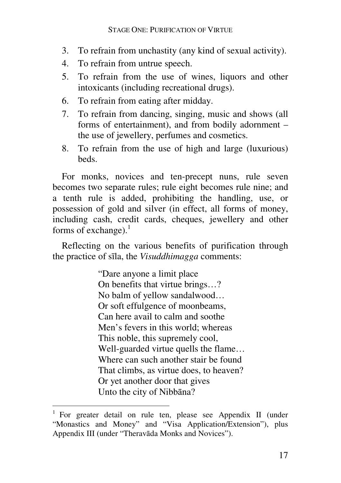- 3. To refrain from unchastity (any kind of sexual activity).
- 4. To refrain from untrue speech.
- 5. To refrain from the use of wines, liquors and other intoxicants (including recreational drugs).
- 6. To refrain from eating after midday.
- 7. To refrain from dancing, singing, music and shows (all forms of entertainment), and from bodily adornment – the use of jewellery, perfumes and cosmetics.
- 8. To refrain from the use of high and large (luxurious) beds.

For monks, novices and ten-precept nuns, rule seven becomes two separate rules; rule eight becomes rule nine; and a tenth rule is added, prohibiting the handling, use, or possession of gold and silver (in effect, all forms of money, including cash, credit cards, cheques, jewellery and other forms of exchange). $<sup>1</sup>$ </sup>

Reflecting on the various benefits of purification through the practice of sīla, the *Visuddhimagga* comments:

> "Dare anyone a limit place On benefits that virtue brings…? No balm of yellow sandalwood… Or soft effulgence of moonbeams, Can here avail to calm and soothe Men's fevers in this world; whereas This noble, this supremely cool, Well-guarded virtue quells the flame… Where can such another stair be found That climbs, as virtue does, to heaven? Or yet another door that gives Unto the city of Nibbāna?

<sup>&</sup>lt;sup>1</sup> For greater detail on rule ten, please see Appendix II (under "Monastics and Money" and "Visa Application/Extension"), plus Appendix III (under "Theravāda Monks and Novices").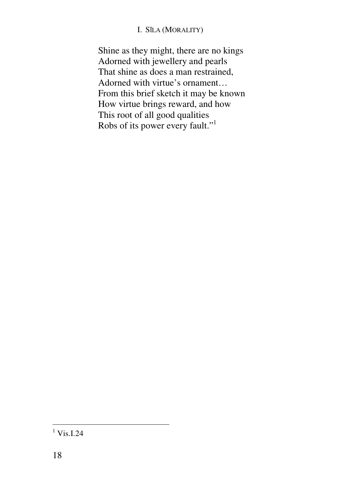### I. SĪLA (MORALITY)

Shine as they might, there are no kings Adorned with jewellery and pearls That shine as does a man restrained, Adorned with virtue's ornament… From this brief sketch it may be known How virtue brings reward, and how This root of all good qualities Robs of its power every fault."<sup>1</sup>

 $\frac{1 \text{Vis.I.24}}{1 \text{Vis.I.24}}$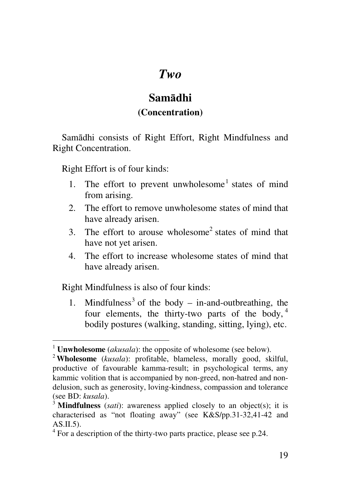# *Two*

# **Samādhi**

# **(Concentration)**

Samādhi consists of Right Effort, Right Mindfulness and Right Concentration.

Right Effort is of four kinds:

- 1. The effort to prevent unwholesome<sup>1</sup> states of mind from arising.
- 2. The effort to remove unwholesome states of mind that have already arisen.
- 3. The effort to arouse wholesome<sup>2</sup> states of mind that have not yet arisen.
- 4. The effort to increase wholesome states of mind that have already arisen.

Right Mindfulness is also of four kinds:

1. Mindfulness<sup>3</sup> of the body – in-and-outbreathing, the four elements, the thirty-two parts of the body,  $4$ bodily postures (walking, standing, sitting, lying), etc.

<sup>1</sup> **Unwholesome** (*akusala*): the opposite of wholesome (see below).

<sup>2</sup> **Wholesome** (*kusala*): profitable, blameless, morally good, skilful, productive of favourable kamma-result; in psychological terms, any kammic volition that is accompanied by non-greed, non-hatred and nondelusion, such as generosity, loving-kindness, compassion and tolerance (see BD: *kusala*).

<sup>&</sup>lt;sup>3</sup> **Mindfulness** (*sati*): awareness applied closely to an object(s); it is characterised as "not floating away" (see K&S/pp.31-32,41-42 and  $AS.II.5$ ).

<sup>&</sup>lt;sup>4</sup> For a description of the thirty-two parts practice, please see p.24.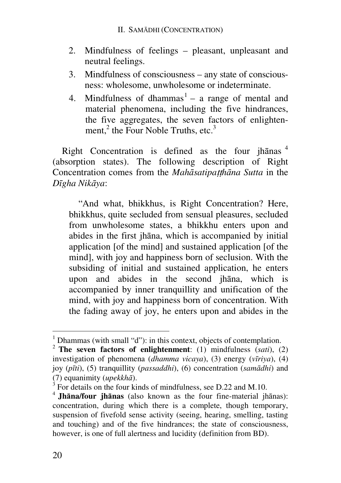- 2. Mindfulness of feelings pleasant, unpleasant and neutral feelings.
- 3. Mindfulness of consciousness any state of consciousness: wholesome, unwholesome or indeterminate.
- 4. Mindfulness of dhammas $<sup>1</sup> a$  range of mental and</sup> material phenomena, including the five hindrances, the five aggregates, the seven factors of enlightenment,<sup>2</sup> the Four Noble Truths, etc.<sup>3</sup>

Right Concentration is defined as the four jhānas <sup>4</sup> (absorption states). The following description of Right Concentration comes from the *Mahāsatipa*tt*hāna Sutta* in the *Dīgha Nikāya*:

"And what, bhikkhus, is Right Concentration? Here, bhikkhus, quite secluded from sensual pleasures, secluded from unwholesome states, a bhikkhu enters upon and abides in the first jhāna, which is accompanied by initial application [of the mind] and sustained application [of the mind], with joy and happiness born of seclusion. With the subsiding of initial and sustained application, he enters upon and abides in the second jhāna, which is accompanied by inner tranquillity and unification of the mind, with joy and happiness born of concentration. With the fading away of joy, he enters upon and abides in the

 1 Dhammas (with small "d"): in this context, objects of contemplation.

<sup>2</sup> **The seven factors of enlightenment**: (1) mindfulness (*sati*), (2) investigation of phenomena (*dhamma vicaya*), (3) energy (*vīriya*), (4) joy (*pīti*), (5) tranquillity (*passaddhi*), (6) concentration (*samādhi*) and (7) equanimity (*upekkhā*).

<sup>3</sup> For details on the four kinds of mindfulness, see D.22 and M.10.

<sup>4</sup> **Jhāna/four jhānas** (also known as the four fine-material jhānas): concentration, during which there is a complete, though temporary, suspension of fivefold sense activity (seeing, hearing, smelling, tasting and touching) and of the five hindrances; the state of consciousness, however, is one of full alertness and lucidity (definition from BD).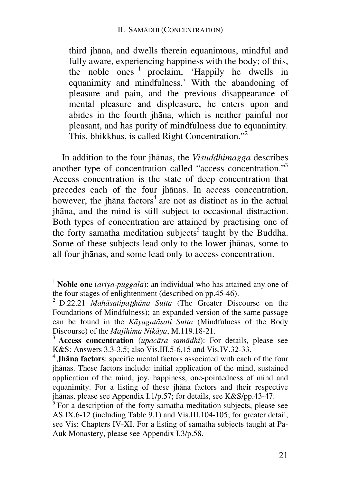third jhāna, and dwells therein equanimous, mindful and fully aware, experiencing happiness with the body; of this, the noble ones <sup>1</sup> proclaim, 'Happily he dwells in equanimity and mindfulness.' With the abandoning of pleasure and pain, and the previous disappearance of mental pleasure and displeasure, he enters upon and abides in the fourth jhāna, which is neither painful nor pleasant, and has purity of mindfulness due to equanimity. This, bhikkhus, is called Right Concentration."<sup>2</sup>

In addition to the four jhānas, the *Visuddhimagga* describes another type of concentration called "access concentration."<sup>3</sup> Access concentration is the state of deep concentration that precedes each of the four jhānas. In access concentration, however, the jhana factors<sup>4</sup> are not as distinct as in the actual jhāna, and the mind is still subject to occasional distraction. Both types of concentration are attained by practising one of the forty samatha meditation subjects<sup>5</sup> taught by the Buddha. Some of these subjects lead only to the lower jhānas, some to all four jhānas, and some lead only to access concentration.

<sup>1</sup> **Noble one** (*ariya-puggala*): an individual who has attained any one of the four stages of enlightenment (described on pp.45-46).

<sup>2</sup> D.22.21 *Mahāsatipa*tt*hāna Sutta* (The Greater Discourse on the Foundations of Mindfulness); an expanded version of the same passage can be found in the *Kāyagatāsati Sutta* (Mindfulness of the Body Discourse) of the *Majjhima Nikāya*, M.119.18-21.

<sup>3</sup> **Access concentration** (*upacāra samādhi*): For details, please see K&S: Answers 3.3-3.5; also Vis.III.5-6,15 and Vis.IV.32-33.

<sup>4</sup> **Jhāna factors**: specific mental factors associated with each of the four jhānas. These factors include: initial application of the mind, sustained application of the mind, joy, happiness, one-pointedness of mind and equanimity. For a listing of these jhāna factors and their respective jhānas, please see Appendix I.1/p.57; for details, see K&S/pp.43-47.

 $5$  For a description of the forty samatha meditation subjects, please see AS.IX.6-12 (including Table 9.1) and Vis.III.104-105; for greater detail, see Vis: Chapters IV-XI. For a listing of samatha subjects taught at Pa-Auk Monastery, please see Appendix I.3/p.58.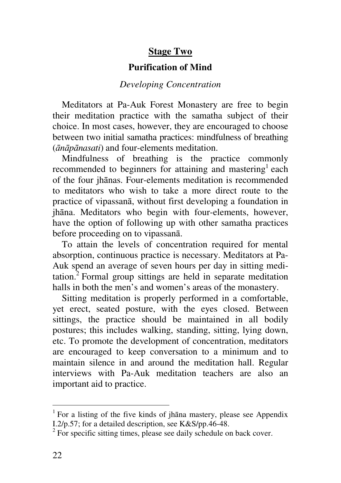# **Stage Two**

## **Purification of Mind**

### *Developing Concentration*

Meditators at Pa-Auk Forest Monastery are free to begin their meditation practice with the samatha subject of their choice. In most cases, however, they are encouraged to choose between two initial samatha practices: mindfulness of breathing (*ānāpānasati*) and four-elements meditation.

Mindfulness of breathing is the practice commonly recommended to beginners for attaining and mastering<sup>1</sup> each of the four jhānas. Four-elements meditation is recommended to meditators who wish to take a more direct route to the practice of vipassanā, without first developing a foundation in jhāna. Meditators who begin with four-elements, however, have the option of following up with other samatha practices before proceeding on to vipassanā.

To attain the levels of concentration required for mental absorption, continuous practice is necessary. Meditators at Pa-Auk spend an average of seven hours per day in sitting meditation. ${}^{2}$  Formal group sittings are held in separate meditation halls in both the men's and women's areas of the monastery.

Sitting meditation is properly performed in a comfortable, yet erect, seated posture, with the eyes closed. Between sittings, the practice should be maintained in all bodily postures; this includes walking, standing, sitting, lying down, etc. To promote the development of concentration, meditators are encouraged to keep conversation to a minimum and to maintain silence in and around the meditation hall. Regular interviews with Pa-Auk meditation teachers are also an important aid to practice.

<sup>&</sup>lt;sup>1</sup> For a listing of the five kinds of jhana mastery, please see Appendix I.2/p.57; for a detailed description, see K&S/pp.46-48.

<sup>&</sup>lt;sup>2</sup> For specific sitting times, please see daily schedule on back cover.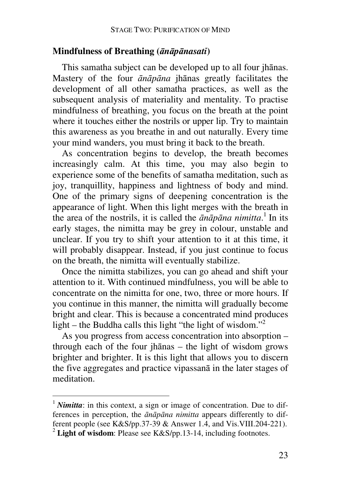### **Mindfulness of Breathing (***ānāpānasati***)**

This samatha subject can be developed up to all four jhānas. Mastery of the four *ānāpāna* jhānas greatly facilitates the development of all other samatha practices, as well as the subsequent analysis of materiality and mentality. To practise mindfulness of breathing, you focus on the breath at the point where it touches either the nostrils or upper lip. Try to maintain this awareness as you breathe in and out naturally. Every time your mind wanders, you must bring it back to the breath.

As concentration begins to develop, the breath becomes increasingly calm. At this time, you may also begin to experience some of the benefits of samatha meditation, such as joy, tranquillity, happiness and lightness of body and mind. One of the primary signs of deepening concentration is the appearance of light. When this light merges with the breath in the area of the nostrils, it is called the *ānāpāna nimitta*. 1 In its early stages, the nimitta may be grey in colour, unstable and unclear. If you try to shift your attention to it at this time, it will probably disappear. Instead, if you just continue to focus on the breath, the nimitta will eventually stabilize.

Once the nimitta stabilizes, you can go ahead and shift your attention to it. With continued mindfulness, you will be able to concentrate on the nimitta for one, two, three or more hours. If you continue in this manner, the nimitta will gradually become bright and clear. This is because a concentrated mind produces light – the Buddha calls this light "the light of wisdom."<sup>2</sup>

As you progress from access concentration into absorption – through each of the four jhānas – the light of wisdom grows brighter and brighter. It is this light that allows you to discern the five aggregates and practice vipassanā in the later stages of meditation.

<sup>&</sup>lt;sup>1</sup> *Nimitta*: in this context, a sign or image of concentration. Due to differences in perception, the *ānāpāna nimitta* appears differently to different people (see K&S/pp.37-39 & Answer 1.4, and Vis.VIII.204-221). <sup>2</sup> Light of wisdom: Please see K&S/pp.13-14, including footnotes.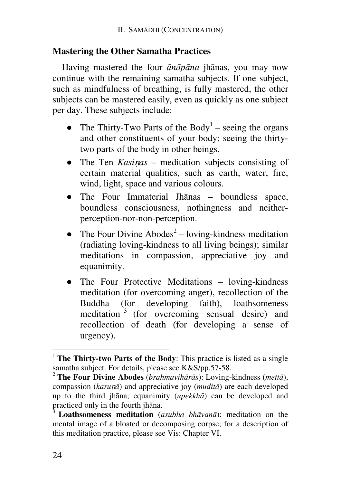### **Mastering the Other Samatha Practices**

Having mastered the four *ānāpāna* jhānas, you may now continue with the remaining samatha subjects. If one subject, such as mindfulness of breathing, is fully mastered, the other subjects can be mastered easily, even as quickly as one subject per day. These subjects include:

- The Thirty-Two Parts of the Body<sup>1</sup> seeing the organs and other constituents of your body; seeing the thirtytwo parts of the body in other beings.
- The Ten *Kasinas* meditation subjects consisting of certain material qualities, such as earth, water, fire, wind, light, space and various colours.
- The Four Immaterial Jhānas boundless space, boundless consciousness, nothingness and neitherperception-nor-non-perception.
- The Four Divine Abodes<sup>2</sup> loving-kindness meditation (radiating loving-kindness to all living beings); similar meditations in compassion, appreciative joy and equanimity.
- The Four Protective Meditations loving-kindness meditation (for overcoming anger), recollection of the Buddha (for developing faith), loathsomeness meditation<sup>3</sup> (for overcoming sensual desire) and recollection of death (for developing a sense of urgency).

<sup>&</sup>lt;sup>1</sup> **The Thirty-two Parts of the Body**: This practice is listed as a single samatha subject. For details, please see K&S/pp.57-58.

<sup>2</sup> **The Four Divine Abodes** (*brahmavihārās*): Loving-kindness (*mettā*), compassion (*karu*n*ā*) and appreciative joy (*muditā*) are each developed up to the third jhāna; equanimity (*upekkhā*) can be developed and practiced only in the fourth jhāna.

<sup>3</sup> **Loathsomeness meditation** (*asubha bhāvanā*): meditation on the mental image of a bloated or decomposing corpse; for a description of this meditation practice, please see Vis: Chapter VI.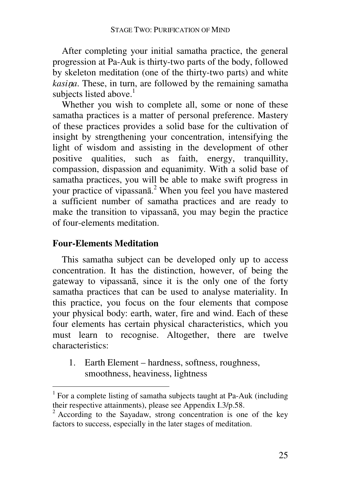After completing your initial samatha practice, the general progression at Pa-Auk is thirty-two parts of the body, followed by skeleton meditation (one of the thirty-two parts) and white *kasi*n*a*. These, in turn, are followed by the remaining samatha subjects listed above. $<sup>1</sup>$ </sup>

Whether you wish to complete all, some or none of these samatha practices is a matter of personal preference. Mastery of these practices provides a solid base for the cultivation of insight by strengthening your concentration, intensifying the light of wisdom and assisting in the development of other positive qualities, such as faith, energy, tranquillity, compassion, dispassion and equanimity. With a solid base of samatha practices, you will be able to make swift progress in your practice of vipassanā. 2 When you feel you have mastered a sufficient number of samatha practices and are ready to make the transition to vipassanā, you may begin the practice of four-elements meditation.

### **Four-Elements Meditation**

This samatha subject can be developed only up to access concentration. It has the distinction, however, of being the gateway to vipassanā, since it is the only one of the forty samatha practices that can be used to analyse materiality. In this practice, you focus on the four elements that compose your physical body: earth, water, fire and wind. Each of these four elements has certain physical characteristics, which you must learn to recognise. Altogether, there are twelve characteristics:

1. Earth Element – hardness, softness, roughness, smoothness, heaviness, lightness

<sup>&</sup>lt;sup>1</sup> For a complete listing of samatha subjects taught at Pa-Auk (including their respective attainments), please see Appendix I.3/p.58.

<sup>&</sup>lt;sup>2</sup> According to the Sayadaw, strong concentration is one of the key factors to success, especially in the later stages of meditation.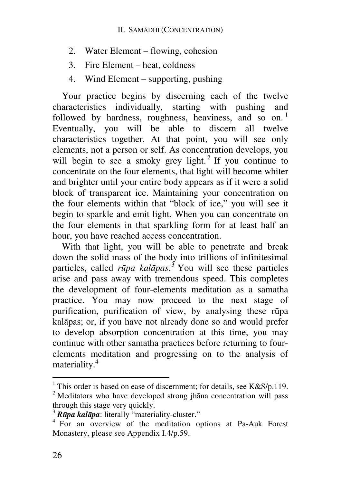- 2. Water Element flowing, cohesion
- 3. Fire Element heat, coldness
- 4. Wind Element supporting, pushing

Your practice begins by discerning each of the twelve characteristics individually, starting with pushing and followed by hardness, roughness, heaviness, and so on.<sup>1</sup> Eventually, you will be able to discern all twelve characteristics together. At that point, you will see only elements, not a person or self. As concentration develops, you will begin to see a smoky grey light.<sup>2</sup> If you continue to concentrate on the four elements, that light will become whiter and brighter until your entire body appears as if it were a solid block of transparent ice. Maintaining your concentration on the four elements within that "block of ice," you will see it begin to sparkle and emit light. When you can concentrate on the four elements in that sparkling form for at least half an hour, you have reached access concentration.

With that light, you will be able to penetrate and break down the solid mass of the body into trillions of infinitesimal particles, called *rūpa kalāpas*. 3 You will see these particles arise and pass away with tremendous speed. This completes the development of four-elements meditation as a samatha practice. You may now proceed to the next stage of purification, purification of view, by analysing these rūpa kalāpas; or, if you have not already done so and would prefer to develop absorption concentration at this time, you may continue with other samatha practices before returning to fourelements meditation and progressing on to the analysis of materiality.<sup>4</sup>

<sup>&</sup>lt;sup>1</sup> This order is based on ease of discernment; for details, see K&S/p.119.

 $2$  Meditators who have developed strong jhana concentration will pass through this stage very quickly.

<sup>&</sup>lt;sup>3</sup> **R***ūpa kalāpa*: literally "materiality-cluster."<br><sup>4</sup> For an overview of the meditation options at Pa-Auk Forest Monastery, please see Appendix I.4/p.59.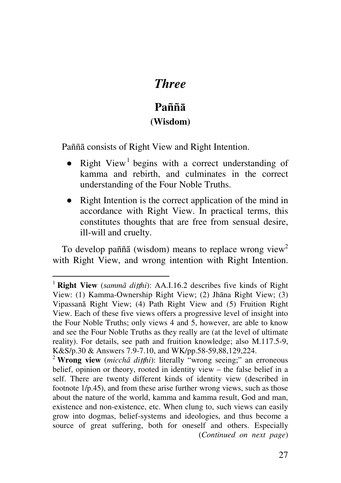# *Three*

# **Paññā (Wisdom)**

Paññā consists of Right View and Right Intention.

- Right View<sup>1</sup> begins with a correct understanding of kamma and rebirth, and culminates in the correct understanding of the Four Noble Truths.
- Right Intention is the correct application of the mind in accordance with Right View. In practical terms, this constitutes thoughts that are free from sensual desire, ill-will and cruelty.

To develop paññā (wisdom) means to replace wrong view<sup>2</sup> with Right View, and wrong intention with Right Intention.

<sup>1</sup> **Right View** (*sammā di*tt*hi*): AA.I.16.2 describes five kinds of Right View: (1) Kamma-Ownership Right View; (2) Jhāna Right View; (3) Vipassanā Right View; (4) Path Right View and (5) Fruition Right View. Each of these five views offers a progressive level of insight into the Four Noble Truths; only views 4 and 5, however, are able to know and see the Four Noble Truths as they really are (at the level of ultimate reality). For details, see path and fruition knowledge; also M.117.5-9, K&S/p.30 & Answers 7.9-7.10, and WK/pp.58-59,88,129,224.

<sup>&</sup>lt;sup>2</sup> **Wrong view** (*micchā diṭṭhi*): literally "wrong seeing;" an erroneous belief, opinion or theory, rooted in identity view – the false belief in a self. There are twenty different kinds of identity view (described in footnote 1/p.45), and from these arise further wrong views, such as those about the nature of the world, kamma and kamma result, God and man, existence and non-existence, etc. When clung to, such views can easily grow into dogmas, belief-systems and ideologies, and thus become a source of great suffering, both for oneself and others. Especially (*Continued on next page*)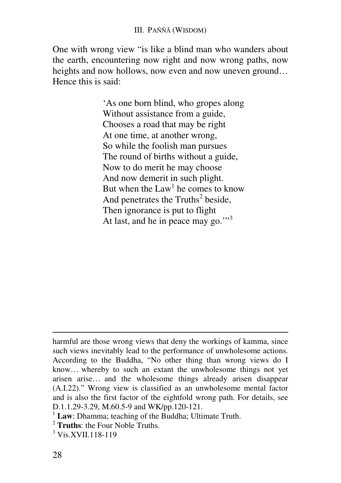One with wrong view "is like a blind man who wanders about the earth, encountering now right and now wrong paths, now heights and now hollows, now even and now uneven ground... Hence this is said:

> 'As one born blind, who gropes along Without assistance from a guide, Chooses a road that may be right At one time, at another wrong, So while the foolish man pursues The round of births without a guide, Now to do merit he may choose And now demerit in such plight. But when the  $Law<sup>1</sup>$  he comes to know And penetrates the Truths<sup>2</sup> beside, Then ignorance is put to flight At last, and he in peace may go."<sup>3</sup>

-

harmful are those wrong views that deny the workings of kamma, since such views inevitably lead to the performance of unwholesome actions. According to the Buddha, "No other thing than wrong views do I know… whereby to such an extant the unwholesome things not yet arisen arise… and the wholesome things already arisen disappear (A.I.22)." Wrong view is classified as an unwholesome mental factor and is also the first factor of the eightfold wrong path. For details, see D.1.1.29-3.29, M.60.5-9 and WK/pp.120-121.

<sup>&</sup>lt;sup>1</sup> Law: Dhamma; teaching of the Buddha; Ultimate Truth.

<sup>2</sup> **Truths**: the Four Noble Truths.

<sup>&</sup>lt;sup>3</sup> Vis.XVII.118-119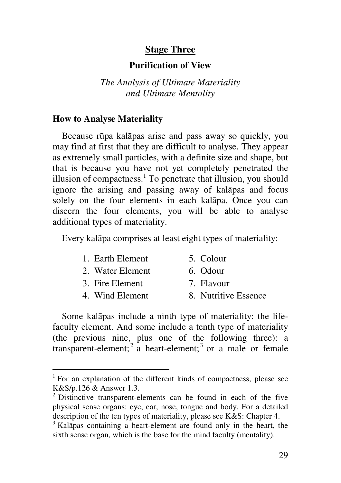#### **Stage Three**

#### **Purification of View**

*The Analysis of Ultimate Materiality and Ultimate Mentality* 

#### **How to Analyse Materiality**

Because rūpa kalāpas arise and pass away so quickly, you may find at first that they are difficult to analyse. They appear as extremely small particles, with a definite size and shape, but that is because you have not yet completely penetrated the illusion of compactness. $<sup>1</sup>$  To penetrate that illusion, you should</sup> ignore the arising and passing away of kalāpas and focus solely on the four elements in each kalāpa. Once you can discern the four elements, you will be able to analyse additional types of materiality.

Every kalāpa comprises at least eight types of materiality:

| 1. Earth Element | 5. Colour            |
|------------------|----------------------|
| 2. Water Element | 6. Odour             |
| 3. Fire Element  | 7. Flavour           |
| 4. Wind Element  | 8. Nutritive Essence |
|                  |                      |

Some kalāpas include a ninth type of materiality: the lifefaculty element. And some include a tenth type of materiality (the previous nine, plus one of the following three): a transparent-element;  $2^{2}$  a heart-element;  $3$  or a male or female

<sup>&</sup>lt;sup>1</sup> For an explanation of the different kinds of compactness, please see K&S/p.126 & Answer 1.3.

 $2$  Distinctive transparent-elements can be found in each of the five physical sense organs: eye, ear, nose, tongue and body. For a detailed description of the ten types of materiality, please see K&S: Chapter 4.

<sup>&</sup>lt;sup>3</sup> Kalāpas containing a heart-element are found only in the heart, the sixth sense organ, which is the base for the mind faculty (mentality).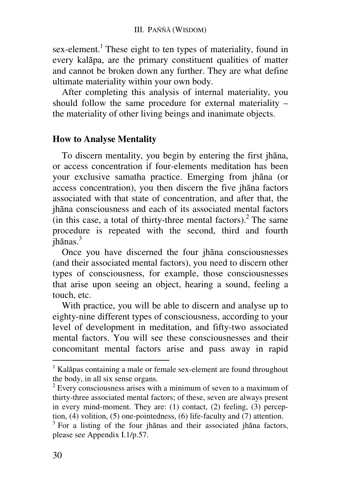sex-element.<sup>1</sup> These eight to ten types of materiality, found in every kalāpa, are the primary constituent qualities of matter and cannot be broken down any further. They are what define ultimate materiality within your own body.

After completing this analysis of internal materiality, you should follow the same procedure for external materiality – the materiality of other living beings and inanimate objects.

#### **How to Analyse Mentality**

To discern mentality, you begin by entering the first jhāna, or access concentration if four-elements meditation has been your exclusive samatha practice. Emerging from jhāna (or access concentration), you then discern the five jhāna factors associated with that state of concentration, and after that, the jhāna consciousness and each of its associated mental factors (in this case, a total of thirty-three mental factors).<sup>2</sup> The same procedure is repeated with the second, third and fourth  $\overline{\mathfrak{j}}$ hānas.<sup>3</sup>

Once you have discerned the four jhāna consciousnesses (and their associated mental factors), you need to discern other types of consciousness, for example, those consciousnesses that arise upon seeing an object, hearing a sound, feeling a touch, etc.

With practice, you will be able to discern and analyse up to eighty-nine different types of consciousness, according to your level of development in meditation, and fifty-two associated mental factors. You will see these consciousnesses and their concomitant mental factors arise and pass away in rapid

<sup>&</sup>lt;sup>1</sup> Kalāpas containing a male or female sex-element are found throughout the body, in all six sense organs.

 $2^{2}$  Every consciousness arises with a minimum of seven to a maximum of thirty-three associated mental factors; of these, seven are always present in every mind-moment. They are: (1) contact, (2) feeling, (3) perception, (4) volition, (5) one-pointedness, (6) life-faculty and (7) attention.

<sup>&</sup>lt;sup>3</sup> For a listing of the four jhanas and their associated jhana factors, please see Appendix I.1/p.57.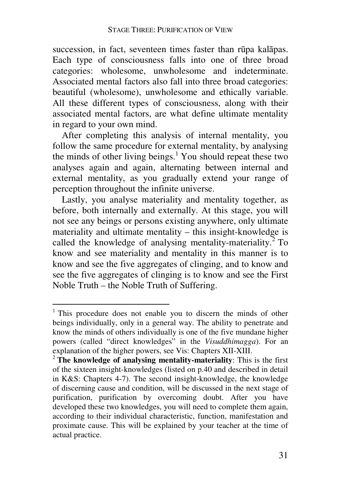succession, in fact, seventeen times faster than rūpa kalāpas. Each type of consciousness falls into one of three broad categories: wholesome, unwholesome and indeterminate. Associated mental factors also fall into three broad categories: beautiful (wholesome), unwholesome and ethically variable. All these different types of consciousness, along with their associated mental factors, are what define ultimate mentality in regard to your own mind.

After completing this analysis of internal mentality, you follow the same procedure for external mentality, by analysing the minds of other living beings.<sup>1</sup> You should repeat these two analyses again and again, alternating between internal and external mentality, as you gradually extend your range of perception throughout the infinite universe.

Lastly, you analyse materiality and mentality together, as before, both internally and externally. At this stage, you will not see any beings or persons existing anywhere, only ultimate materiality and ultimate mentality – this insight-knowledge is called the knowledge of analysing mentality-materiality.<sup>2</sup> To know and see materiality and mentality in this manner is to know and see the five aggregates of clinging, and to know and see the five aggregates of clinging is to know and see the First Noble Truth – the Noble Truth of Suffering.

 1 This procedure does not enable you to discern the minds of other beings individually, only in a general way. The ability to penetrate and know the minds of others individually is one of the five mundane higher powers (called "direct knowledges" in the *Visuddhimagga*). For an explanation of the higher powers, see Vis: Chapters XII-XIII.

<sup>2</sup> **The knowledge of analysing mentality-materiality**: This is the first of the sixteen insight-knowledges (listed on p.40 and described in detail in K&S: Chapters 4-7). The second insight-knowledge, the knowledge of discerning cause and condition, will be discussed in the next stage of purification, purification by overcoming doubt. After you have developed these two knowledges, you will need to complete them again, according to their individual characteristic, function, manifestation and proximate cause. This will be explained by your teacher at the time of actual practice.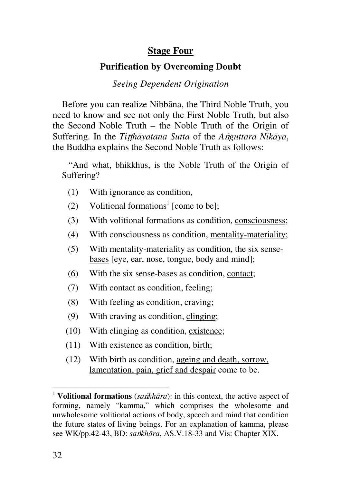## **Stage Four**

#### **Purification by Overcoming Doubt**

#### *Seeing Dependent Origination*

Before you can realize Nibbāna, the Third Noble Truth, you need to know and see not only the First Noble Truth, but also the Second Noble Truth – the Noble Truth of the Origin of Suffering. In the *Titthāyatana Sutta* of the *Anguttara Nikāya*, the Buddha explains the Second Noble Truth as follows:

 "And what, bhikkhus, is the Noble Truth of the Origin of Suffering?

- (1) With ignorance as condition,
- (2) Volitional formations<sup>1</sup> [come to be];
- (3) With volitional formations as condition, consciousness;
- (4) With consciousness as condition, mentality-materiality;
- (5) With mentality-materiality as condition, the six sensebases [eye, ear, nose, tongue, body and mind];
- (6) With the six sense-bases as condition, contact;
- (7) With contact as condition, feeling;
- (8) With feeling as condition, craving;
- (9) With craving as condition, clinging;
- (10) With clinging as condition, existence;
- (11) With existence as condition, birth;
- (12) With birth as condition, ageing and death, sorrow, lamentation, pain, grief and despair come to be.

<sup>&</sup>lt;sup>1</sup> **Volitional formations** (*sankhāra*): in this context, the active aspect of forming, namely "kamma," which comprises the wholesome and unwholesome volitional actions of body, speech and mind that condition the future states of living beings. For an explanation of kamma, please see WK/pp.42-43, BD: *sa*v*khāra*, AS.V.18-33 and Vis: Chapter XIX.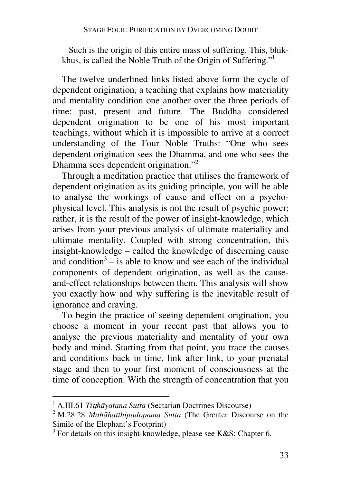Such is the origin of this entire mass of suffering. This, bhikkhus, is called the Noble Truth of the Origin of Suffering."<sup>1</sup>

The twelve underlined links listed above form the cycle of dependent origination, a teaching that explains how materiality and mentality condition one another over the three periods of time: past, present and future. The Buddha considered dependent origination to be one of his most important teachings, without which it is impossible to arrive at a correct understanding of the Four Noble Truths: "One who sees dependent origination sees the Dhamma, and one who sees the Dhamma sees dependent origination."<sup>2</sup>

Through a meditation practice that utilises the framework of dependent origination as its guiding principle, you will be able to analyse the workings of cause and effect on a psychophysical level. This analysis is not the result of psychic power; rather, it is the result of the power of insight-knowledge, which arises from your previous analysis of ultimate materiality and ultimate mentality. Coupled with strong concentration, this insight-knowledge – called the knowledge of discerning cause and condition<sup>3</sup>  $-$  is able to know and see each of the individual components of dependent origination, as well as the causeand-effect relationships between them. This analysis will show you exactly how and why suffering is the inevitable result of ignorance and craving.

To begin the practice of seeing dependent origination, you choose a moment in your recent past that allows you to analyse the previous materiality and mentality of your own body and mind. Starting from that point, you trace the causes and conditions back in time, link after link, to your prenatal stage and then to your first moment of consciousness at the time of conception. With the strength of concentration that you

 1 A.III.61 *Ti*tt*hāyatana Sutta* (Sectarian Doctrines Discourse)

<sup>2</sup> M.28.28 *Mahāhatthipadopama Sutta* (The Greater Discourse on the Simile of the Elephant's Footprint)

 $3$  For details on this insight-knowledge, please see K&S: Chapter 6.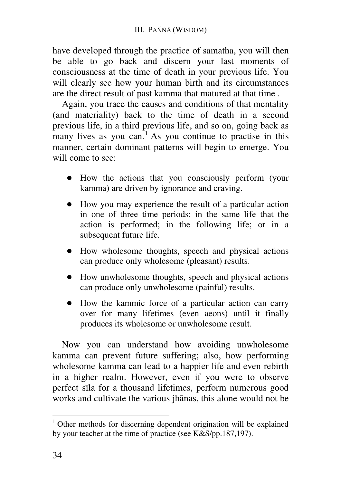have developed through the practice of samatha, you will then be able to go back and discern your last moments of consciousness at the time of death in your previous life. You will clearly see how your human birth and its circumstances are the direct result of past kamma that matured at that time .

Again, you trace the causes and conditions of that mentality (and materiality) back to the time of death in a second previous life, in a third previous life, and so on, going back as many lives as you can.<sup>1</sup> As you continue to practise in this manner, certain dominant patterns will begin to emerge. You will come to see:

- **●** How the actions that you consciously perform (your kamma) are driven by ignorance and craving.
- **●** How you may experience the result of a particular action in one of three time periods: in the same life that the action is performed; in the following life; or in a subsequent future life.
- **●** How wholesome thoughts, speech and physical actions can produce only wholesome (pleasant) results.
- **●** How unwholesome thoughts, speech and physical actions can produce only unwholesome (painful) results.
- **●** How the kammic force of a particular action can carry over for many lifetimes (even aeons) until it finally produces its wholesome or unwholesome result.

Now you can understand how avoiding unwholesome kamma can prevent future suffering; also, how performing wholesome kamma can lead to a happier life and even rebirth in a higher realm. However, even if you were to observe perfect sīla for a thousand lifetimes, perform numerous good works and cultivate the various jhānas, this alone would not be

 $\overline{a}$ 

<sup>&</sup>lt;sup>1</sup> Other methods for discerning dependent origination will be explained by your teacher at the time of practice (see K&S/pp.187,197).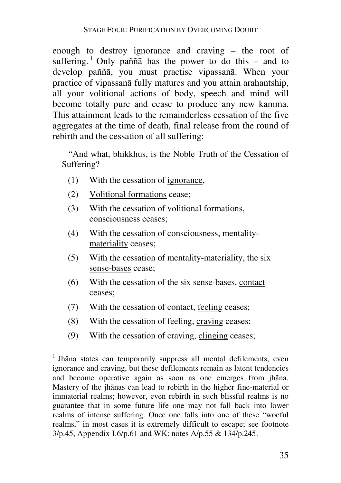enough to destroy ignorance and craving – the root of suffering.<sup>1</sup> Only paññ $\overline{a}$  has the power to do this – and to develop paññā, you must practise vipassanā. When your practice of vipassanā fully matures and you attain arahantship, all your volitional actions of body, speech and mind will become totally pure and cease to produce any new kamma. This attainment leads to the remainderless cessation of the five aggregates at the time of death, final release from the round of rebirth and the cessation of all suffering:

 "And what, bhikkhus, is the Noble Truth of the Cessation of Suffering?

- (1) With the cessation of ignorance,
- (2) Volitional formations cease;

 $\overline{a}$ 

- (3) With the cessation of volitional formations, consciousness ceases;
- (4) With the cessation of consciousness, mentalitymateriality ceases;
- (5) With the cessation of mentality-materiality, the  $\frac{six}{}$ sense-bases cease;
- (6) With the cessation of the six sense-bases, contact ceases;
- (7) With the cessation of contact, feeling ceases;
- (8) With the cessation of feeling, craving ceases;
- (9) With the cessation of craving, clinging ceases;

<sup>&</sup>lt;sup>1</sup> Jhāna states can temporarily suppress all mental defilements, even ignorance and craving, but these defilements remain as latent tendencies and become operative again as soon as one emerges from jhāna. Mastery of the jhānas can lead to rebirth in the higher fine-material or immaterial realms; however, even rebirth in such blissful realms is no guarantee that in some future life one may not fall back into lower realms of intense suffering. Once one falls into one of these "woeful realms," in most cases it is extremely difficult to escape; see footnote 3/p.45, Appendix I.6/p.61 and WK: notes A/p.55 & 134/p.245.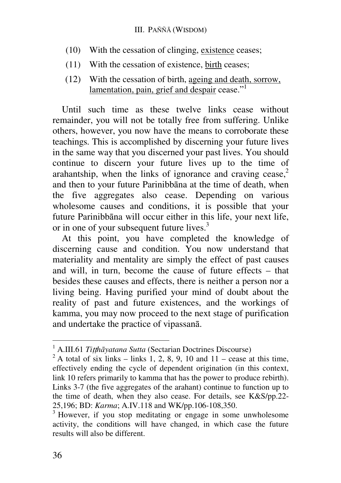#### III. PAÑÑĀ (WISDOM)

- (10) With the cessation of clinging, existence ceases;
- (11) With the cessation of existence, birth ceases;
- (12) With the cessation of birth, ageing and death, sorrow, lamentation, pain, grief and despair cease."<sup>1</sup>

Until such time as these twelve links cease without remainder, you will not be totally free from suffering. Unlike others, however, you now have the means to corroborate these teachings. This is accomplished by discerning your future lives in the same way that you discerned your past lives. You should continue to discern your future lives up to the time of arahantship, when the links of ignorance and craving cease, $2$ and then to your future Parinibbāna at the time of death, when the five aggregates also cease. Depending on various wholesome causes and conditions, it is possible that your future Parinibbāna will occur either in this life, your next life, or in one of your subsequent future lives.<sup>3</sup>

At this point, you have completed the knowledge of discerning cause and condition. You now understand that materiality and mentality are simply the effect of past causes and will, in turn, become the cause of future effects – that besides these causes and effects, there is neither a person nor a living being. Having purified your mind of doubt about the reality of past and future existences, and the workings of kamma, you may now proceed to the next stage of purification and undertake the practice of vipassanā.

 1 A.III.61 *Ti*tt*hāyatana Sutta* (Sectarian Doctrines Discourse)

 $^{2}$  A total of six links – links 1, 2, 8, 9, 10 and 11 – cease at this time, effectively ending the cycle of dependent origination (in this context, link 10 refers primarily to kamma that has the power to produce rebirth). Links 3-7 (the five aggregates of the arahant) continue to function up to the time of death, when they also cease. For details, see K&S/pp.22- 25,196; BD: *Karma*; A.IV.118 and WK/pp.106-108,350.

<sup>&</sup>lt;sup>3</sup> However, if you stop meditating or engage in some unwholesome activity, the conditions will have changed, in which case the future results will also be different.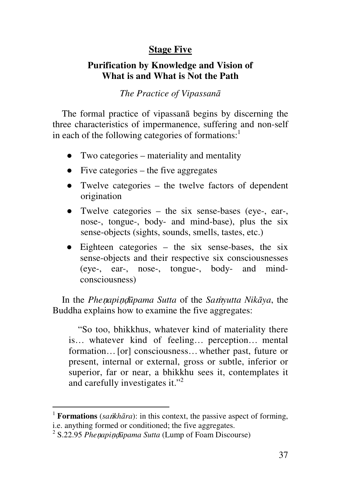## **Stage Five**

## **Purification by Knowledge and Vision of What is and What is Not the Path**

### *The Practice of Vipassanā*

The formal practice of vipassanā begins by discerning the three characteristics of impermanence, suffering and non-self in each of the following categories of formations: $<sup>1</sup>$ </sup>

- Two categories materiality and mentality
- $\bullet$  Five categories the five aggregates
- Twelve categories the twelve factors of dependent origination
- Twelve categories the six sense-bases (eye-, ear-, nose-, tongue-, body- and mind-base), plus the six sense-objects (sights, sounds, smells, tastes, etc.)
- **●** Eighteen categories the six sense-bases, the six sense-objects and their respective six consciousnesses (eye-, ear-, nose-, tongue-, body- and mindconsciousness)

In the *Phe*n*api*nd*ūpama Sutta* of the *Sa*m*yutta Nikāya*, the Buddha explains how to examine the five aggregates:

"So too, bhikkhus, whatever kind of materiality there is… whatever kind of feeling… perception… mental formation... [or] consciousness... whether past, future or present, internal or external, gross or subtle, inferior or superior, far or near, a bhikkhu sees it, contemplates it and carefully investigates it."<sup>2</sup>

 $\overline{a}$ 

<sup>&</sup>lt;sup>1</sup> **Formations** (*sankhāra*): in this context, the passive aspect of forming,

i.e. anything formed or conditioned; the five aggregates.

<sup>2</sup> S.22.95 *Phe*n*api*nd*ūpama Sutta* (Lump of Foam Discourse)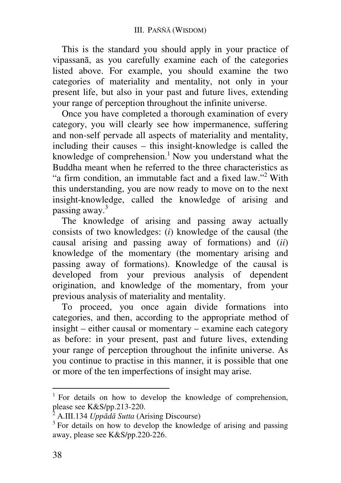This is the standard you should apply in your practice of vipassanā, as you carefully examine each of the categories listed above. For example, you should examine the two categories of materiality and mentality, not only in your present life, but also in your past and future lives, extending your range of perception throughout the infinite universe.

Once you have completed a thorough examination of every category, you will clearly see how impermanence, suffering and non-self pervade all aspects of materiality and mentality, including their causes – this insight-knowledge is called the knowledge of comprehension.<sup>1</sup> Now you understand what the Buddha meant when he referred to the three characteristics as "a firm condition, an immutable fact and a fixed law."<sup>2</sup> With this understanding, you are now ready to move on to the next insight-knowledge, called the knowledge of arising and passing away.<sup>3</sup>

The knowledge of arising and passing away actually consists of two knowledges: (*i*) knowledge of the causal (the causal arising and passing away of formations) and (*ii*) knowledge of the momentary (the momentary arising and passing away of formations). Knowledge of the causal is developed from your previous analysis of dependent origination, and knowledge of the momentary, from your previous analysis of materiality and mentality.

To proceed, you once again divide formations into categories, and then, according to the appropriate method of insight – either causal or momentary – examine each category as before: in your present, past and future lives, extending your range of perception throughout the infinite universe. As you continue to practise in this manner, it is possible that one or more of the ten imperfections of insight may arise.

<sup>&</sup>lt;sup>1</sup> For details on how to develop the knowledge of comprehension, please see K&S/pp.213-220.

 $\bar{2}$ A.III.134 *Uppādā Sutta* (Arising Discourse)

<sup>&</sup>lt;sup>3</sup> For details on how to develop the knowledge of arising and passing away, please see K&S/pp.220-226.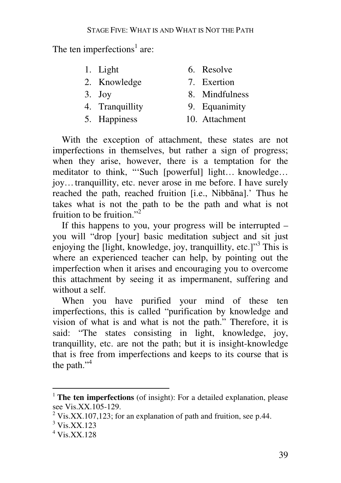The ten imperfections<sup>1</sup> are:

| 1. Light        | 6. Resolve     |
|-----------------|----------------|
| 2. Knowledge    | 7. Exertion    |
| $3.$ Joy        | 8. Mindfulness |
| 4. Tranquillity | 9. Equanimity  |
| 5. Happiness    | 10. Attachment |
|                 |                |

With the exception of attachment, these states are not imperfections in themselves, but rather a sign of progress; when they arise, however, there is a temptation for the meditator to think, "'Such [powerful] light… knowledge… joy…tranquillity, etc. never arose in me before. I have surely reached the path, reached fruition [i.e., Nibbāna].' Thus he takes what is not the path to be the path and what is not fruition to be fruition."<sup>2</sup>

If this happens to you, your progress will be interrupted – you will "drop [your] basic meditation subject and sit just enjoying the [light, knowledge, joy, tranquillity, etc.] $^{\prime\prime}$ <sup>3</sup> This is where an experienced teacher can help, by pointing out the imperfection when it arises and encouraging you to overcome this attachment by seeing it as impermanent, suffering and without a self.

When you have purified your mind of these ten imperfections, this is called "purification by knowledge and vision of what is and what is not the path." Therefore, it is said: "The states consisting in light, knowledge, joy, tranquillity, etc. are not the path; but it is insight-knowledge that is free from imperfections and keeps to its course that is the path." $4$ 

<sup>&</sup>lt;sup>1</sup> **The ten imperfections** (of insight): For a detailed explanation, please see Vis.XX.105-129.

<sup>&</sup>lt;sup>2</sup> Vis.XX.107,123; for an explanation of path and fruition, see p.44.

<sup>3</sup> Vis.XX.123

<sup>4</sup> Vis.XX.128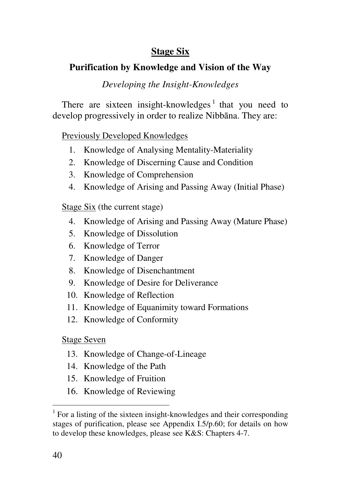# **Stage Six**

# **Purification by Knowledge and Vision of the Way**

## *Developing the Insight-Knowledges*

There are sixteen insight-knowledges<sup>1</sup> that you need to develop progressively in order to realize Nibbāna. They are:

#### Previously Developed Knowledges

- 1. Knowledge of Analysing Mentality-Materiality
- 2. Knowledge of Discerning Cause and Condition
- 3. Knowledge of Comprehension
- 4. Knowledge of Arising and Passing Away (Initial Phase)

Stage Six (the current stage)

- 4. Knowledge of Arising and Passing Away (Mature Phase)
- 5. Knowledge of Dissolution
- 6. Knowledge of Terror
- 7. Knowledge of Danger
- 8. Knowledge of Disenchantment
- 9. Knowledge of Desire for Deliverance
- 10. Knowledge of Reflection
- 11. Knowledge of Equanimity toward Formations
- 12. Knowledge of Conformity

## Stage Seven

- 13. Knowledge of Change-of-Lineage
- 14. Knowledge of the Path
- 15. Knowledge of Fruition
- 16. Knowledge of Reviewing

<sup>&</sup>lt;sup>1</sup> For a listing of the sixteen insight-knowledges and their corresponding stages of purification, please see Appendix I.5/p.60; for details on how to develop these knowledges, please see K&S: Chapters 4-7.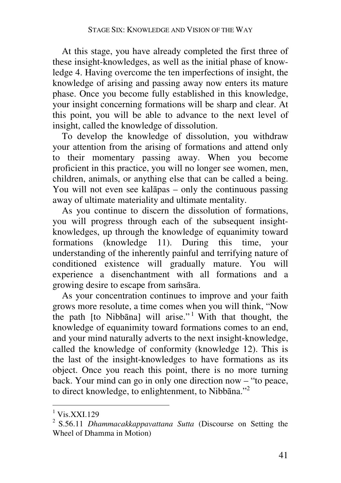At this stage, you have already completed the first three of these insight-knowledges, as well as the initial phase of knowledge 4. Having overcome the ten imperfections of insight, the knowledge of arising and passing away now enters its mature phase. Once you become fully established in this knowledge, your insight concerning formations will be sharp and clear. At this point, you will be able to advance to the next level of insight, called the knowledge of dissolution.

To develop the knowledge of dissolution, you withdraw your attention from the arising of formations and attend only to their momentary passing away. When you become proficient in this practice, you will no longer see women, men, children, animals, or anything else that can be called a being. You will not even see kalāpas – only the continuous passing away of ultimate materiality and ultimate mentality.

As you continue to discern the dissolution of formations, you will progress through each of the subsequent insightknowledges, up through the knowledge of equanimity toward formations (knowledge 11). During this time, your understanding of the inherently painful and terrifying nature of conditioned existence will gradually mature. You will experience a disenchantment with all formations and a growing desire to escape from samsāra.

As your concentration continues to improve and your faith grows more resolute, a time comes when you will think, "Now the path [to Nibbāna] will arise." <sup>1</sup> With that thought, the knowledge of equanimity toward formations comes to an end, and your mind naturally adverts to the next insight-knowledge, called the knowledge of conformity (knowledge 12). This is the last of the insight-knowledges to have formations as its object. Once you reach this point, there is no more turning back. Your mind can go in only one direction now – "to peace, to direct knowledge, to enlightenment, to Nibbāna."<sup>2</sup>

<sup>1</sup> Vis.XXI.129

<sup>2</sup> S.56.11 *Dhammacakkappavattana Sutta* (Discourse on Setting the Wheel of Dhamma in Motion)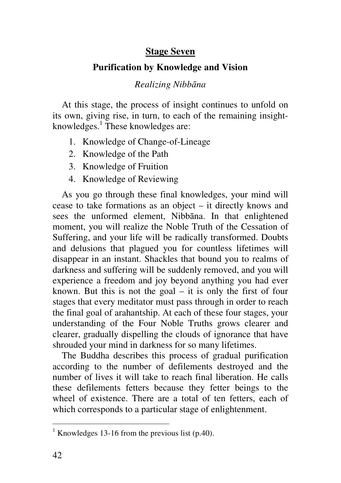## **Stage Seven**

## **Purification by Knowledge and Vision**

#### *Realizing Nibbāna*

At this stage, the process of insight continues to unfold on its own, giving rise, in turn, to each of the remaining insightknowledges.<sup>1</sup> These knowledges are:

- 1. Knowledge of Change-of-Lineage
- 2. Knowledge of the Path
- 3. Knowledge of Fruition
- 4. Knowledge of Reviewing

As you go through these final knowledges, your mind will cease to take formations as an object – it directly knows and sees the unformed element, Nibbāna. In that enlightened moment, you will realize the Noble Truth of the Cessation of Suffering, and your life will be radically transformed. Doubts and delusions that plagued you for countless lifetimes will disappear in an instant. Shackles that bound you to realms of darkness and suffering will be suddenly removed, and you will experience a freedom and joy beyond anything you had ever known. But this is not the goal – it is only the first of four stages that every meditator must pass through in order to reach the final goal of arahantship. At each of these four stages, your understanding of the Four Noble Truths grows clearer and clearer, gradually dispelling the clouds of ignorance that have shrouded your mind in darkness for so many lifetimes.

The Buddha describes this process of gradual purification according to the number of defilements destroyed and the number of lives it will take to reach final liberation. He calls these defilements fetters because they fetter beings to the wheel of existence. There are a total of ten fetters, each of which corresponds to a particular stage of enlightenment.

 1 Knowledges 13-16 from the previous list (p.40).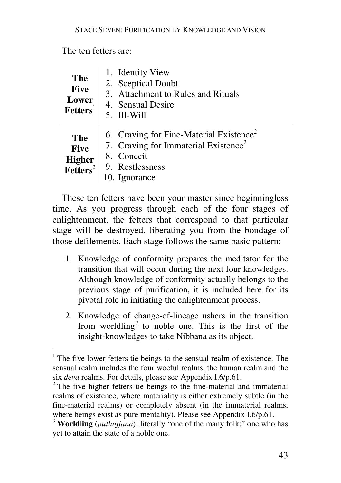### The ten fetters are:

| <b>The</b><br><b>Five</b><br>Lower<br>Feters <sup>1</sup>         | 1. Identity View<br>2. Sceptical Doubt<br>3. Attachment to Rules and Rituals<br>4. Sensual Desire<br>5. Ill-Will                                      |
|-------------------------------------------------------------------|-------------------------------------------------------------------------------------------------------------------------------------------------------|
| <b>The</b><br><b>Five</b><br><b>Higher</b><br>Feters <sup>2</sup> | 6. Craving for Fine-Material Existence <sup>2</sup><br>7. Craving for Immaterial Existence <sup>2</sup><br>8. Conceit<br>9. Restlessness<br>Ignorance |

These ten fetters have been your master since beginningless time. As you progress through each of the four stages of enlightenment, the fetters that correspond to that particular stage will be destroyed, liberating you from the bondage of those defilements. Each stage follows the same basic pattern:

- 1. Knowledge of conformity prepares the meditator for the transition that will occur during the next four knowledges. Although knowledge of conformity actually belongs to the previous stage of purification, it is included here for its pivotal role in initiating the enlightenment process.
- 2. Knowledge of change-of-lineage ushers in the transition from worldling<sup>3</sup> to noble one. This is the first of the insight-knowledges to take Nibbāna as its object.

 1 The five lower fetters tie beings to the sensual realm of existence. The sensual realm includes the four woeful realms, the human realm and the six *deva* realms. For details, please see Appendix I.6/p.61.

<sup>&</sup>lt;sup>2</sup> The five higher fetters tie beings to the fine-material and immaterial realms of existence, where materiality is either extremely subtle (in the fine-material realms) or completely absent (in the immaterial realms, where beings exist as pure mentality). Please see Appendix I.6/p.61.

<sup>3</sup> **Worldling** (*puthujjana*): literally "one of the many folk;" one who has yet to attain the state of a noble one.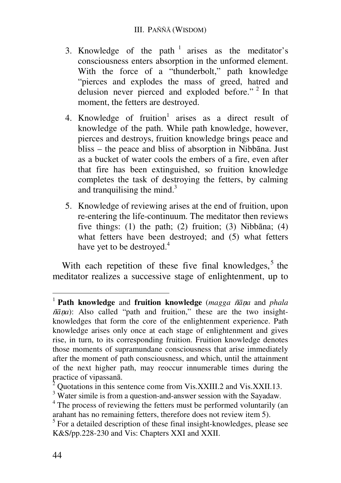- 3. Knowledge of the path  $1$  arises as the meditator's consciousness enters absorption in the unformed element. With the force of a "thunderbolt," path knowledge "pierces and explodes the mass of greed, hatred and delusion never pierced and exploded before."<sup>2</sup> In that moment, the fetters are destroyed.
- 4. Knowledge of fruition<sup>1</sup> arises as a direct result of knowledge of the path. While path knowledge, however, pierces and destroys, fruition knowledge brings peace and bliss – the peace and bliss of absorption in Nibbāna. Just as a bucket of water cools the embers of a fire, even after that fire has been extinguished, so fruition knowledge completes the task of destroying the fetters, by calming and tranquilising the mind. $3$
- 5. Knowledge of reviewing arises at the end of fruition, upon re-entering the life-continuum. The meditator then reviews five things: (1) the path; (2) fruition; (3) Nibbāna; (4) what fetters have been destroyed; and (5) what fetters have yet to be destroyed.<sup>4</sup>

With each repetition of these five final knowledges,  $5$  the meditator realizes a successive stage of enlightenment, up to

<sup>1</sup> **Path knowledge** and **fruition knowledge** (*magga* b*ā*n*a* and *phala*   $\tilde{n}\bar{a}$ *na*): Also called "path and fruition," these are the two insightknowledges that form the core of the enlightenment experience. Path knowledge arises only once at each stage of enlightenment and gives rise, in turn, to its corresponding fruition. Fruition knowledge denotes those moments of supramundane consciousness that arise immediately after the moment of path consciousness, and which, until the attainment of the next higher path, may reoccur innumerable times during the practice of vipassanā.

 $\bar{2}$ Quotations in this sentence come from Vis.XXIII.2 and Vis.XXII.13.

<sup>&</sup>lt;sup>3</sup> Water simile is from a question-and-answer session with the Sayadaw.

<sup>&</sup>lt;sup>4</sup> The process of reviewing the fetters must be performed voluntarily (an arahant has no remaining fetters, therefore does not review item 5).

<sup>&</sup>lt;sup>5</sup> For a detailed description of these final insight-knowledges, please see K&S/pp.228-230 and Vis: Chapters XXI and XXII.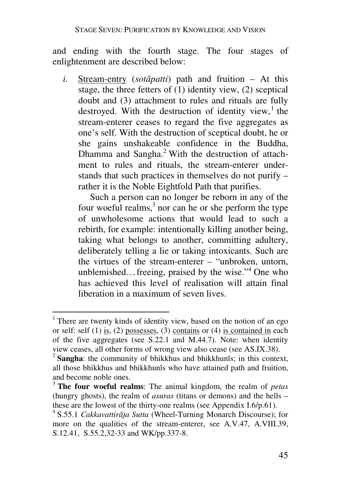and ending with the fourth stage. The four stages of enlightenment are described below:

*i.* Stream-entry (*sotāpatti*) path and fruition – At this stage, the three fetters of  $(1)$  identity view,  $(2)$  sceptical doubt and (3) attachment to rules and rituals are fully destroyed. With the destruction of identity view, $<sup>1</sup>$  the</sup> stream-enterer ceases to regard the five aggregates as one's self. With the destruction of sceptical doubt, he or she gains unshakeable confidence in the Buddha, Dhamma and Sangha.<sup>2</sup> With the destruction of attachment to rules and rituals, the stream-enterer understands that such practices in themselves do not purify – rather it is the Noble Eightfold Path that purifies.

Such a person can no longer be reborn in any of the four woeful realms, $3$  nor can he or she perform the type of unwholesome actions that would lead to such a rebirth, for example: intentionally killing another being, taking what belongs to another, committing adultery, deliberately telling a lie or taking intoxicants. Such are the virtues of the stream-enterer – "unbroken, untorn, unblemished... freeing, praised by the wise."<sup>4</sup> One who has achieved this level of realisation will attain final liberation in a maximum of seven lives.

<sup>&</sup>lt;sup>1</sup> There are twenty kinds of identity view, based on the notion of an ego or self: self  $(1)$  is,  $(2)$  possesses,  $(3)$  contains or  $(4)$  is contained in each of the five aggregates (see S.22.1 and M.44.7). Note: when identity view ceases, all other forms of wrong view also cease (see AS.IX.38).

<sup>&</sup>lt;sup>2</sup> Sangha: the community of bhikkhus and bhikkhunīs; in this context, all those bhikkhus and bhikkhunīs who have attained path and fruition, and become noble ones.

<sup>3</sup> **The four woeful realms**: The animal kingdom, the realm of *petas* (hungry ghosts), the realm of *asuras* (titans or demons) and the hells – these are the lowest of the thirty-one realms (see Appendix I.6/p.61).

<sup>4</sup> S.55.1 *Cakkavattirāja Sutta* (Wheel-Turning Monarch Discourse); for more on the qualities of the stream-enterer, see A.V.47, A.VIII.39, S.12.41, S.55.2,32-33 and WK/pp.337-8.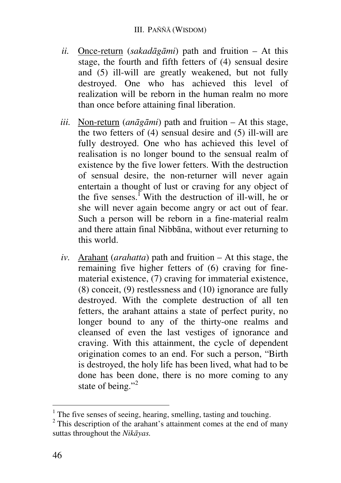- *ii.* Once-return (*sakadāgāmi*) path and fruition At this stage, the fourth and fifth fetters of (4) sensual desire and (5) ill-will are greatly weakened, but not fully destroyed. One who has achieved this level of realization will be reborn in the human realm no more than once before attaining final liberation.
- *iii.* Non-return (*anāgāmi*) path and fruition At this stage, the two fetters of (4) sensual desire and (5) ill-will are fully destroyed. One who has achieved this level of realisation is no longer bound to the sensual realm of existence by the five lower fetters. With the destruction of sensual desire, the non-returner will never again entertain a thought of lust or craving for any object of the five senses.<sup> $\overline{1}$ </sup> With the destruction of ill-will, he or she will never again become angry or act out of fear. Such a person will be reborn in a fine-material realm and there attain final Nibbāna, without ever returning to this world.
- *iv.* Arahant (*arahatta*) path and fruition At this stage, the remaining five higher fetters of (6) craving for finematerial existence, (7) craving for immaterial existence, (8) conceit, (9) restlessness and (10) ignorance are fully destroyed. With the complete destruction of all ten fetters, the arahant attains a state of perfect purity, no longer bound to any of the thirty-one realms and cleansed of even the last vestiges of ignorance and craving. With this attainment, the cycle of dependent origination comes to an end. For such a person, "Birth is destroyed, the holy life has been lived, what had to be done has been done, there is no more coming to any state of being."<sup>2</sup>

<sup>&</sup>lt;sup>1</sup> The five senses of seeing, hearing, smelling, tasting and touching.

 $2$  This description of the arahant's attainment comes at the end of many suttas throughout the *Nikāyas.*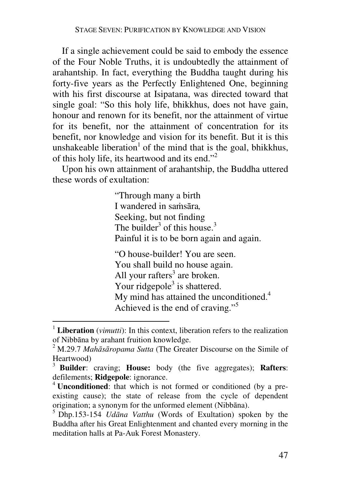If a single achievement could be said to embody the essence of the Four Noble Truths, it is undoubtedly the attainment of arahantship. In fact, everything the Buddha taught during his forty-five years as the Perfectly Enlightened One, beginning with his first discourse at Isipatana, was directed toward that single goal: "So this holy life, bhikkhus, does not have gain, honour and renown for its benefit, nor the attainment of virtue for its benefit, nor the attainment of concentration for its benefit, nor knowledge and vision for its benefit. But it is this unshakeable liberation<sup>1</sup> of the mind that is the goal, bhikkhus, of this holy life, its heartwood and its end."<sup>2</sup>

Upon his own attainment of arahantship, the Buddha uttered these words of exultation:

> "Through many a birth I wandered in samsāra*,* Seeking, but not finding The builder<sup>3</sup> of this house.<sup>3</sup> Painful it is to be born again and again.

"O house-builder! You are seen. You shall build no house again. All your rafters<sup>3</sup> are broken. Your ridgepole<sup>3</sup> is shattered. My mind has attained the unconditioned.<sup>4</sup> Achieved is the end of craving."<sup>5</sup>

<sup>&</sup>lt;sup>1</sup> Liberation (*vimutti*): In this context, liberation refers to the realization of Nibbāna by arahant fruition knowledge.

<sup>2</sup> M.29.7 *Mahāsāropama Sutta* (The Greater Discourse on the Simile of Heartwood)

<sup>3</sup> **Builder**: craving; **House:** body (the five aggregates); **Rafters**: defilements; **Ridgepole**: ignorance.

<sup>&</sup>lt;sup>4</sup> **Unconditioned**: that which is not formed or conditioned (by a preexisting cause); the state of release from the cycle of dependent origination; a synonym for the unformed element (Nibbāna).

<sup>5</sup> Dhp.153-154 *Udāna Vatthu* (Words of Exultation) spoken by the Buddha after his Great Enlightenment and chanted every morning in the meditation halls at Pa-Auk Forest Monastery.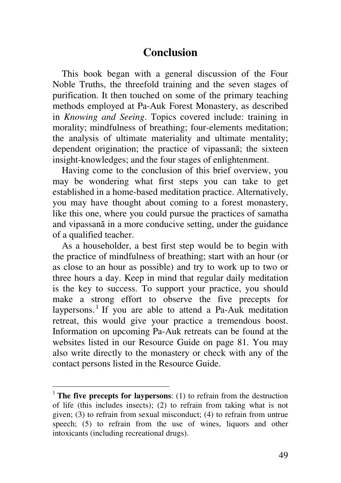# **Conclusion**

This book began with a general discussion of the Four Noble Truths, the threefold training and the seven stages of purification. It then touched on some of the primary teaching methods employed at Pa-Auk Forest Monastery, as described in *Knowing and Seeing*. Topics covered include: training in morality; mindfulness of breathing; four-elements meditation; the analysis of ultimate materiality and ultimate mentality; dependent origination; the practice of vipassanā; the sixteen insight-knowledges; and the four stages of enlightenment.

Having come to the conclusion of this brief overview, you may be wondering what first steps you can take to get established in a home-based meditation practice. Alternatively, you may have thought about coming to a forest monastery, like this one, where you could pursue the practices of samatha and vipassanā in a more conducive setting, under the guidance of a qualified teacher.

As a householder, a best first step would be to begin with the practice of mindfulness of breathing; start with an hour (or as close to an hour as possible) and try to work up to two or three hours a day. Keep in mind that regular daily meditation is the key to success. To support your practice, you should make a strong effort to observe the five precepts for laypersons.<sup>1</sup> If you are able to attend a Pa-Auk meditation retreat, this would give your practice a tremendous boost. Information on upcoming Pa-Auk retreats can be found at the websites listed in our Resource Guide on page 81. You may also write directly to the monastery or check with any of the contact persons listed in the Resource Guide.

<sup>&</sup>lt;sup>1</sup> **The five precepts for laypersons**: (1) to refrain from the destruction of life (this includes insects); (2) to refrain from taking what is not given; (3) to refrain from sexual misconduct; (4) to refrain from untrue speech; (5) to refrain from the use of wines, liquors and other intoxicants (including recreational drugs).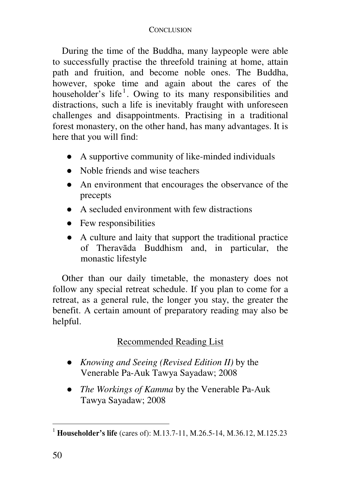#### CONCLUSION

During the time of the Buddha, many laypeople were able to successfully practise the threefold training at home, attain path and fruition, and become noble ones. The Buddha, however, spoke time and again about the cares of the householder's life<sup>1</sup>. Owing to its many responsibilities and distractions, such a life is inevitably fraught with unforeseen challenges and disappointments. Practising in a traditional forest monastery, on the other hand, has many advantages. It is here that you will find:

- A supportive community of like-minded individuals
- Noble friends and wise teachers
- An environment that encourages the observance of the precepts
- A secluded environment with few distractions
- Few responsibilities
- A culture and laity that support the traditional practice of Theravāda Buddhism and, in particular, the monastic lifestyle

Other than our daily timetable, the monastery does not follow any special retreat schedule. If you plan to come for a retreat, as a general rule, the longer you stay, the greater the benefit. A certain amount of preparatory reading may also be helpful.

# Recommended Reading List

- *Knowing and Seeing (Revised Edition II)* by the Venerable Pa-Auk Tawya Sayadaw; 2008
- *The Workings of Kamma* by the Venerable Pa-Auk Tawya Sayadaw; 2008

 <sup>1</sup> **Householder's life** (cares of): M.13.7-11, M.26.5-14, M.36.12, M.125.23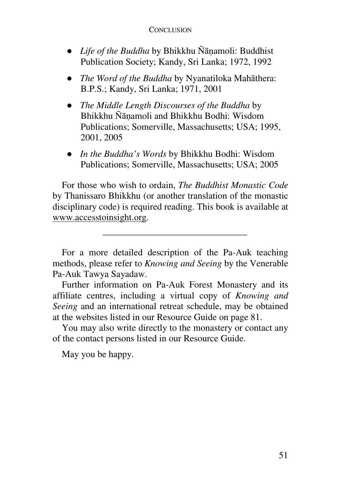#### CONCLUSION

- *Life of the Buddha* by Bhikkhu Ñānamoli: Buddhist Publication Society; Kandy, Sri Lanka; 1972, 1992
- *The Word of the Buddha* by Nyanatiloka Mahāthera: B.P.S.; Kandy, Sri Lanka; 1971, 2001
- *The Middle Length Discourses of the Buddha* by Bhikkhu Ñānamoli and Bhikkhu Bodhi: Wisdom Publications; Somerville, Massachusetts; USA; 1995, 2001, 2005
- *In the Buddha's Words* by Bhikkhu Bodhi: Wisdom Publications; Somerville, Massachusetts; USA; 2005

For those who wish to ordain, *The Buddhist Monastic Code* by Thanissaro Bhikkhu (or another translation of the monastic disciplinary code) is required reading. This book is available at www.accesstoinsight.org.

\_\_\_\_\_\_\_\_\_\_\_\_\_\_\_\_\_\_\_\_\_\_\_\_\_\_\_\_\_\_\_

For a more detailed description of the Pa-Auk teaching methods, please refer to *Knowing and Seeing* by the Venerable Pa-Auk Tawya Sayadaw.

Further information on Pa-Auk Forest Monastery and its affiliate centres, including a virtual copy of *Knowing and Seeing* and an international retreat schedule, may be obtained at the websites listed in our Resource Guide on page 81.

You may also write directly to the monastery or contact any of the contact persons listed in our Resource Guide.

May you be happy.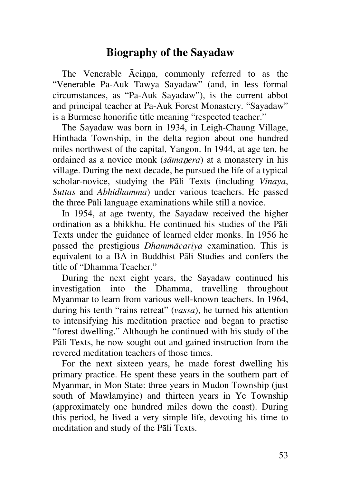# **Biography of the Sayadaw**

The Venerable Ācinna, commonly referred to as the "Venerable Pa-Auk Tawya Sayadaw" (and, in less formal circumstances, as "Pa-Auk Sayadaw"), is the current abbot and principal teacher at Pa-Auk Forest Monastery. "Sayadaw" is a Burmese honorific title meaning "respected teacher."

The Sayadaw was born in 1934, in Leigh-Chaung Village, Hinthada Township, in the delta region about one hundred miles northwest of the capital, Yangon. In 1944, at age ten, he ordained as a novice monk (*sāma*n*era*) at a monastery in his village. During the next decade, he pursued the life of a typical scholar-novice, studying the Pāli Texts (including *Vinaya*, *Suttas* and *Abhidhamma*) under various teachers. He passed the three Pāli language examinations while still a novice.

In 1954, at age twenty, the Sayadaw received the higher ordination as a bhikkhu. He continued his studies of the Pāli Texts under the guidance of learned elder monks. In 1956 he passed the prestigious *Dhammācariya* examination. This is equivalent to a BA in Buddhist Pāli Studies and confers the title of "Dhamma Teacher."

During the next eight years, the Sayadaw continued his investigation into the Dhamma, travelling throughout Myanmar to learn from various well-known teachers. In 1964, during his tenth "rains retreat" (*vassa*), he turned his attention to intensifying his meditation practice and began to practise "forest dwelling." Although he continued with his study of the Pāli Texts, he now sought out and gained instruction from the revered meditation teachers of those times.

For the next sixteen years, he made forest dwelling his primary practice. He spent these years in the southern part of Myanmar, in Mon State: three years in Mudon Township (just south of Mawlamyine) and thirteen years in Ye Township (approximately one hundred miles down the coast). During this period, he lived a very simple life, devoting his time to meditation and study of the Pāli Texts.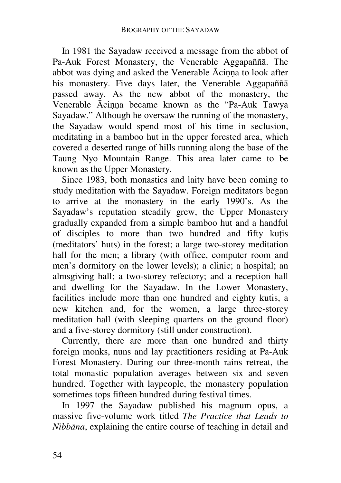In 1981 the Sayadaw received a message from the abbot of Pa-Auk Forest Monastery, the Venerable Aggapaññā. The abbot was dying and asked the Venerable Ācinna to look after his monastery. Five days later, the Venerable Aggapaññā passed away. As the new abbot of the monastery, the Venerable Ācinna became known as the "Pa-Auk Tawya Sayadaw." Although he oversaw the running of the monastery, the Sayadaw would spend most of his time in seclusion, meditating in a bamboo hut in the upper forested area, which covered a deserted range of hills running along the base of the Taung Nyo Mountain Range. This area later came to be known as the Upper Monastery.

Since 1983, both monastics and laity have been coming to study meditation with the Sayadaw. Foreign meditators began to arrive at the monastery in the early 1990's. As the Sayadaw's reputation steadily grew, the Upper Monastery gradually expanded from a simple bamboo hut and a handful of disciples to more than two hundred and fifty kutis (meditators' huts) in the forest; a large two-storey meditation hall for the men; a library (with office, computer room and men's dormitory on the lower levels); a clinic; a hospital; an almsgiving hall; a two-storey refectory; and a reception hall and dwelling for the Sayadaw. In the Lower Monastery, facilities include more than one hundred and eighty kutis, a new kitchen and, for the women, a large three-storey meditation hall (with sleeping quarters on the ground floor) and a five-storey dormitory (still under construction).

Currently, there are more than one hundred and thirty foreign monks, nuns and lay practitioners residing at Pa-Auk Forest Monastery. During our three-month rains retreat, the total monastic population averages between six and seven hundred. Together with laypeople, the monastery population sometimes tops fifteen hundred during festival times.

In 1997 the Sayadaw published his magnum opus, a massive five-volume work titled *The Practice that Leads to Nibbāna*, explaining the entire course of teaching in detail and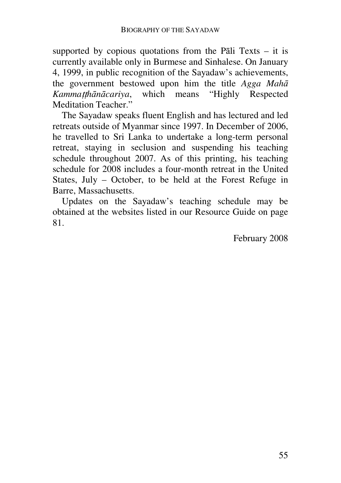supported by copious quotations from the Pali Texts  $-$  it is currently available only in Burmese and Sinhalese. On January 4, 1999, in public recognition of the Sayadaw's achievements, the government bestowed upon him the title *Agga Mahā Kamma*tt*hānācariya*, which means "Highly Respected Meditation Teacher."

The Sayadaw speaks fluent English and has lectured and led retreats outside of Myanmar since 1997. In December of 2006, he travelled to Sri Lanka to undertake a long-term personal retreat, staying in seclusion and suspending his teaching schedule throughout 2007. As of this printing, his teaching schedule for 2008 includes a four-month retreat in the United States, July – October, to be held at the Forest Refuge in Barre, Massachusetts.

Updates on the Sayadaw's teaching schedule may be obtained at the websites listed in our Resource Guide on page 81.

February 2008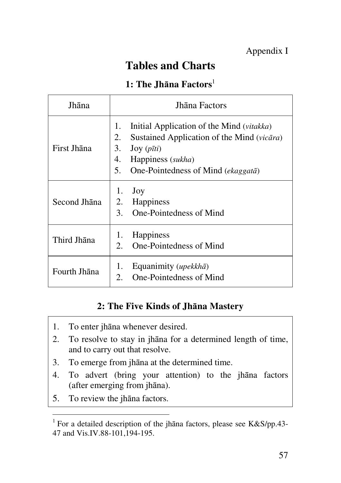# **Tables and Charts**

### **1: The Jhāna Factors**<sup>1</sup>

| Jhāna        | Jhāna Factors                                                                                                                                                                                       |  |
|--------------|-----------------------------------------------------------------------------------------------------------------------------------------------------------------------------------------------------|--|
| First Jhana  | Initial Application of the Mind (vitakka)<br>1.<br>2.<br>Sustained Application of the Mind (vicāra)<br>3. Joy $(p\bar{t}ti)$<br>4.<br>Happiness (sukha)<br>5.<br>One-Pointedness of Mind (ekaggatā) |  |
| Second Jhāna | 1.<br>Joy<br>2. Happiness<br>One-Pointedness of Mind<br>$3_{-}$                                                                                                                                     |  |
| Third Jhana  | Happiness<br>1.<br>One-Pointedness of Mind<br>$\mathfrak{2}$ .                                                                                                                                      |  |
| Fourth Jhāna | Equanimity (upekkhā)<br>1.<br>One-Pointedness of Mind<br>2.                                                                                                                                         |  |

## **2: The Five Kinds of Jhāna Mastery**

- 1. To enter jhāna whenever desired.
- 2. To resolve to stay in jhāna for a determined length of time, and to carry out that resolve.
- 3. To emerge from jhāna at the determined time.
- 4. To advert (bring your attention) to the jhāna factors (after emerging from jhāna).
- 5. To review the jhāna factors.

 $\overline{a}$ 

<sup>&</sup>lt;sup>1</sup> For a detailed description of the jhana factors, please see K&S/pp.43-47 and Vis.IV.88-101,194-195.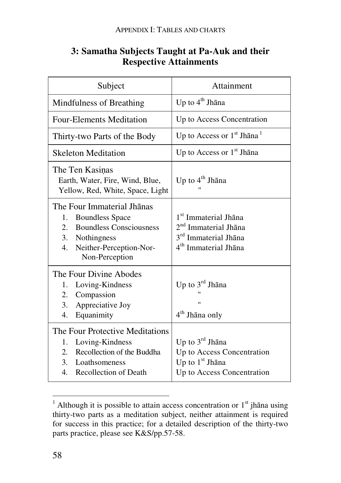| Subject                                                                                                                                                                 | Attainment                                                                                                                                   |
|-------------------------------------------------------------------------------------------------------------------------------------------------------------------------|----------------------------------------------------------------------------------------------------------------------------------------------|
| Mindfulness of Breathing                                                                                                                                                | Up to 4 <sup>th</sup> Jhāna                                                                                                                  |
| <b>Four-Elements Meditation</b>                                                                                                                                         | Up to Access Concentration                                                                                                                   |
| Thirty-two Parts of the Body                                                                                                                                            | Up to Access or $1st$ Jhāna <sup>1</sup>                                                                                                     |
| <b>Skeleton Meditation</b>                                                                                                                                              | Up to Access or $1st$ Jhana                                                                                                                  |
| The Ten Kasinas<br>Earth, Water, Fire, Wind, Blue,<br>Yellow, Red, White, Space, Light                                                                                  | Up to 4 <sup>th</sup> Jhāna                                                                                                                  |
| The Four Immaterial Ihanas<br><b>Boundless Space</b><br>1.<br><b>Boundless Consciousness</b><br>2.<br>3. Nothingness<br>4.<br>Neither-Perception-Nor-<br>Non-Perception | 1 <sup>st</sup> Immaterial Jhāna<br>2 <sup>nd</sup> Immaterial Jhāna<br>3 <sup>rd</sup> Immaterial Jhāna<br>4 <sup>th</sup> Immaterial Jhāna |
| The Four Divine Abodes<br>Loving-Kindness<br>1.<br>Compassion<br>2.<br>3.<br>Appreciative Joy<br>4.<br>Equanimity                                                       | Up to 3rd Jhana<br>4 <sup>th</sup> Jhāna only                                                                                                |
| The Four Protective Meditations<br>Loving-Kindness<br>1.<br>Recollection of the Buddha<br>2.<br>3. Loathsomeness<br>Recollection of Death<br>4.                         | Up to $3^{\text{rd}}$ Jhāna<br>Up to Access Concentration<br>Up to $1st$ Jhāna<br>Up to Access Concentration                                 |

## **3: Samatha Subjects Taught at Pa-Auk and their Respective Attainments**

<sup>&</sup>lt;sup>1</sup> Although it is possible to attain access concentration or 1<sup>st</sup> jhāna using thirty-two parts as a meditation subject, neither attainment is required for success in this practice; for a detailed description of the thirty-two parts practice, please see K&S/pp.57-58.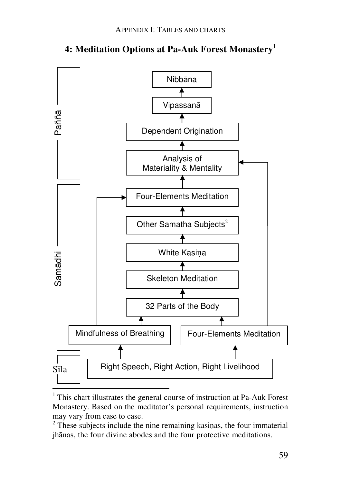

#### **4: Meditation Options at Pa-Auk Forest Monastery**<sup>1</sup>

<sup>&</sup>lt;sup>1</sup> This chart illustrates the general course of instruction at Pa-Auk Forest Monastery. Based on the meditator's personal requirements, instruction may vary from case to case.

<sup>&</sup>lt;sup>2</sup> These subjects include the nine remaining kasinas, the four immaterial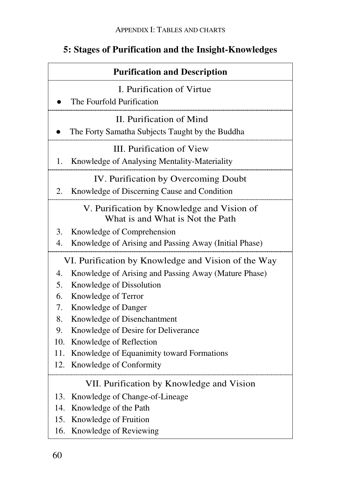# **5: Stages of Purification and the Insight-Knowledges**

| <b>Purification and Description</b>                 |                                                                                |  |
|-----------------------------------------------------|--------------------------------------------------------------------------------|--|
|                                                     | I. Purification of Virtue                                                      |  |
|                                                     | The Fourfold Purification                                                      |  |
|                                                     | II. Purification of Mind                                                       |  |
|                                                     | The Forty Samatha Subjects Taught by the Buddha                                |  |
|                                                     | III. Purification of View                                                      |  |
| 1.                                                  | Knowledge of Analysing Mentality-Materiality                                   |  |
|                                                     | IV. Purification by Overcoming Doubt                                           |  |
| 2.                                                  | Knowledge of Discerning Cause and Condition                                    |  |
|                                                     | V. Purification by Knowledge and Vision of<br>What is and What is Not the Path |  |
| 3.                                                  | Knowledge of Comprehension                                                     |  |
| 4.                                                  | Knowledge of Arising and Passing Away (Initial Phase)                          |  |
| VI. Purification by Knowledge and Vision of the Way |                                                                                |  |
| 4.                                                  | Knowledge of Arising and Passing Away (Mature Phase)                           |  |
| 5.                                                  | Knowledge of Dissolution                                                       |  |
| 6.                                                  | Knowledge of Terror                                                            |  |
| 7.                                                  | Knowledge of Danger                                                            |  |
| 8.                                                  | Knowledge of Disenchantment                                                    |  |
| 9.                                                  | Knowledge of Desire for Deliverance                                            |  |
| 10.                                                 | Knowledge of Reflection                                                        |  |
| 11.                                                 | Knowledge of Equanimity toward Formations                                      |  |
| 12.                                                 | Knowledge of Conformity                                                        |  |
| VII. Purification by Knowledge and Vision           |                                                                                |  |
| 13.                                                 | Knowledge of Change-of-Lineage                                                 |  |
| 14.                                                 | Knowledge of the Path                                                          |  |
| 15.                                                 | Knowledge of Fruition                                                          |  |
| 16.                                                 | Knowledge of Reviewing                                                         |  |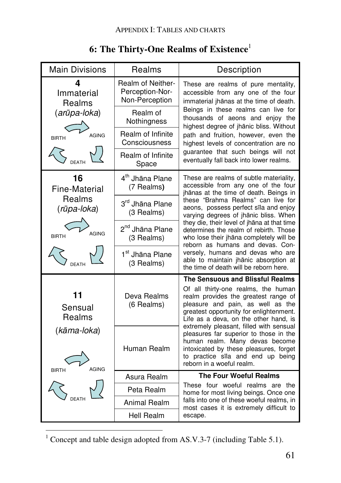| <b>Main Divisions</b>                                                        | Realms                                                 | Description                                                                                                                                                                                                                                                                                                                                                                                                          |  |
|------------------------------------------------------------------------------|--------------------------------------------------------|----------------------------------------------------------------------------------------------------------------------------------------------------------------------------------------------------------------------------------------------------------------------------------------------------------------------------------------------------------------------------------------------------------------------|--|
| Δ<br>Immaterial<br>Realms                                                    | Realm of Neither-<br>Perception-Nor-<br>Non-Perception | These are realms of pure mentality,<br>accessible from any one of the four<br>immaterial jhānas at the time of death.                                                                                                                                                                                                                                                                                                |  |
| (arūpa-loka)<br>AGING<br><b>BIRTH</b><br><b>DEATH</b>                        | Realm of<br>Nothingness                                | Beings in these realms can live for<br>thousands of aeons and enjoy the<br>highest degree of jhānic bliss. Without<br>path and fruition, however, even the<br>highest levels of concentration are no                                                                                                                                                                                                                 |  |
|                                                                              | Realm of Infinite<br>Consciousness                     |                                                                                                                                                                                                                                                                                                                                                                                                                      |  |
|                                                                              | Realm of Infinite<br>Space                             | guarantee that such beings will not<br>eventually fall back into lower realms.                                                                                                                                                                                                                                                                                                                                       |  |
| 16<br><b>Fine-Material</b><br>Realms<br>(rūpa-loka)<br>AGING<br><b>BIRTH</b> | 4 <sup>th</sup> Jhāna Plane<br>(7 Realms)              | These are realms of subtle materiality,<br>accessible from any one of the four<br>jhānas at the time of death. Beings in                                                                                                                                                                                                                                                                                             |  |
|                                                                              | 3rd Jhāna Plane<br>(3 Realms)                          | these "Brahma Realms" can live for<br>aeons, possess perfect sīla and enjoy<br>varying degrees of jhānic bliss. When<br>they die, their level of jhana at that time<br>determines the realm of rebirth. Those<br>who lose their jhāna completely will be<br>reborn as humans and devas. Con-<br>versely, humans and devas who are<br>able to maintain jhānic absorption at<br>the time of death will be reborn here. |  |
|                                                                              | 2 <sup>nd</sup> Jhāna Plane<br>(3 Realms)              |                                                                                                                                                                                                                                                                                                                                                                                                                      |  |
|                                                                              | 1 <sup>st</sup> Jhāna Plane<br>(3 Realms)              |                                                                                                                                                                                                                                                                                                                                                                                                                      |  |
|                                                                              |                                                        | The Sensuous and Blissful Realms                                                                                                                                                                                                                                                                                                                                                                                     |  |
| 11<br>Sensual<br>Realms                                                      | Deva Realms<br>(6 Realms)                              | Of all thirty-one realms, the human<br>realm provides the greatest range of<br>pleasure and pain, as well as the<br>greatest opportunity for enlightenment.<br>Life as a deva, on the other hand, is<br>extremely pleasant, filled with sensual                                                                                                                                                                      |  |
| (kāma-loka)<br><b>AGING</b><br><b>BIRTH</b>                                  | Human Realm                                            | pleasures far superior to those in the<br>human realm. Many devas become<br>intoxicated by these pleasures, forget<br>to practice sīla and end up being<br>reborn in a woeful realm.                                                                                                                                                                                                                                 |  |
|                                                                              | Asura Realm                                            | <b>The Four Woeful Realms</b><br>These four woeful realms are the<br>home for most living beings. Once one<br>falls into one of these woeful realms, in<br>most cases it is extremely difficult to                                                                                                                                                                                                                   |  |
|                                                                              | Peta Realm                                             |                                                                                                                                                                                                                                                                                                                                                                                                                      |  |
|                                                                              | Animal Realm                                           |                                                                                                                                                                                                                                                                                                                                                                                                                      |  |
|                                                                              | Hell Realm                                             | escape.                                                                                                                                                                                                                                                                                                                                                                                                              |  |

# **6: The Thirty-One Realms of Existence**<sup>1</sup>

<sup>&</sup>lt;sup>1</sup> Concept and table design adopted from AS.V.3-7 (including Table 5.1).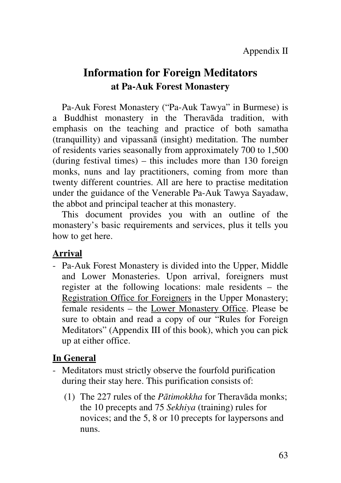# **Information for Foreign Meditators at Pa-Auk Forest Monastery**

Pa-Auk Forest Monastery ("Pa-Auk Tawya" in Burmese) is a Buddhist monastery in the Theravāda tradition, with emphasis on the teaching and practice of both samatha (tranquillity) and vipassanā (insight) meditation. The number of residents varies seasonally from approximately 700 to 1,500 (during festival times) – this includes more than 130 foreign monks, nuns and lay practitioners, coming from more than twenty different countries. All are here to practise meditation under the guidance of the Venerable Pa-Auk Tawya Sayadaw, the abbot and principal teacher at this monastery.

This document provides you with an outline of the monastery's basic requirements and services, plus it tells you how to get here.

### **Arrival**

- Pa-Auk Forest Monastery is divided into the Upper, Middle and Lower Monasteries. Upon arrival, foreigners must register at the following locations: male residents – the Registration Office for Foreigners in the Upper Monastery; female residents – the Lower Monastery Office. Please be sure to obtain and read a copy of our "Rules for Foreign Meditators" (Appendix III of this book), which you can pick up at either office.

### **In General**

- Meditators must strictly observe the fourfold purification during their stay here. This purification consists of:
	- (1) The 227 rules of the *Pātimokkha* for Theravāda monks; the 10 precepts and 75 *Sekhiya* (training) rules for novices; and the 5, 8 or 10 precepts for laypersons and nuns.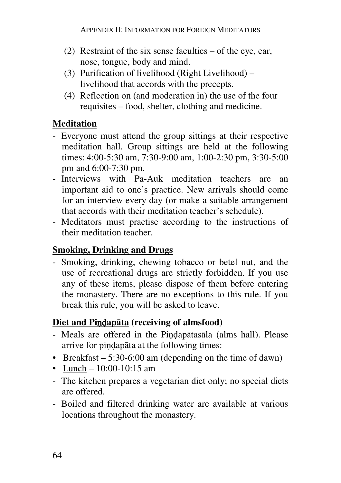- (2) Restraint of the six sense faculties of the eye, ear, nose, tongue, body and mind.
- (3) Purification of livelihood (Right Livelihood) livelihood that accords with the precepts.
- (4) Reflection on (and moderation in) the use of the four requisites – food, shelter, clothing and medicine.

# **Meditation**

- Everyone must attend the group sittings at their respective meditation hall. Group sittings are held at the following times: 4:00-5:30 am, 7:30-9:00 am, 1:00-2:30 pm, 3:30-5:00 pm and 6:00-7:30 pm.
- Interviews with Pa-Auk meditation teachers are an important aid to one's practice. New arrivals should come for an interview every day (or make a suitable arrangement that accords with their meditation teacher's schedule).
- Meditators must practise according to the instructions of their meditation teacher.

# **Smoking, Drinking and Drugs**

- Smoking, drinking, chewing tobacco or betel nut, and the use of recreational drugs are strictly forbidden. If you use any of these items, please dispose of them before entering the monastery. There are no exceptions to this rule. If you break this rule, you will be asked to leave.

# **Diet and Pi**nd**apāta (receiving of almsfood)**

- Meals are offered in the Pindapātasāla (alms hall). Please arrive for pindapāta at the following times:
- Breakfast  $-5:30-6:00$  am (depending on the time of dawn)
- Lunch 10:00-10:15 am
- The kitchen prepares a vegetarian diet only; no special diets are offered.
- Boiled and filtered drinking water are available at various locations throughout the monastery.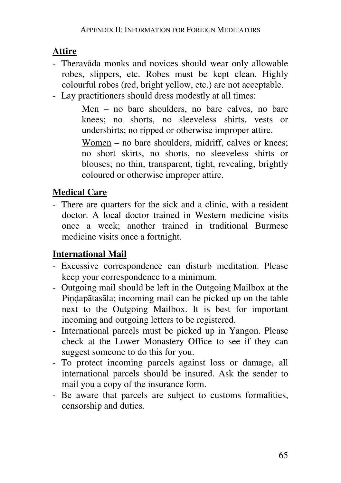# **Attire**

- Theravāda monks and novices should wear only allowable robes, slippers, etc. Robes must be kept clean. Highly colourful robes (red, bright yellow, etc.) are not acceptable.
- Lay practitioners should dress modestly at all times:

Men – no bare shoulders, no bare calves, no bare knees; no shorts, no sleeveless shirts, vests or undershirts; no ripped or otherwise improper attire.

Women – no bare shoulders, midriff, calves or knees; no short skirts, no shorts, no sleeveless shirts or blouses; no thin, transparent, tight, revealing, brightly coloured or otherwise improper attire.

# **Medical Care**

- There are quarters for the sick and a clinic, with a resident doctor. A local doctor trained in Western medicine visits once a week; another trained in traditional Burmese medicine visits once a fortnight.

# **International Mail**

- Excessive correspondence can disturb meditation. Please keep your correspondence to a minimum.
- Outgoing mail should be left in the Outgoing Mailbox at the Pindapātasāla; incoming mail can be picked up on the table next to the Outgoing Mailbox. It is best for important incoming and outgoing letters to be registered.
- International parcels must be picked up in Yangon. Please check at the Lower Monastery Office to see if they can suggest someone to do this for you.
- To protect incoming parcels against loss or damage, all international parcels should be insured. Ask the sender to mail you a copy of the insurance form.
- Be aware that parcels are subject to customs formalities, censorship and duties.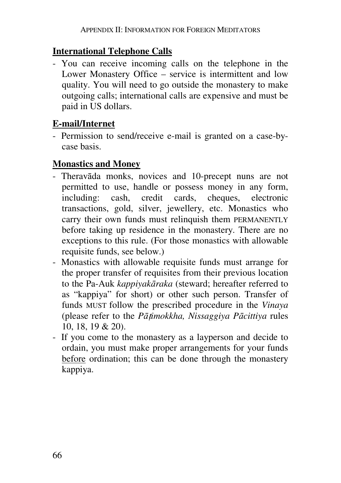## **International Telephone Calls**

- You can receive incoming calls on the telephone in the Lower Monastery Office – service is intermittent and low quality. You will need to go outside the monastery to make outgoing calls; international calls are expensive and must be paid in US dollars.

# **E-mail/Internet**

- Permission to send/receive e-mail is granted on a case-bycase basis.

## **Monastics and Money**

- Theravāda monks, novices and 10-precept nuns are not permitted to use, handle or possess money in any form, including: cash, credit cards, cheques, electronic transactions, gold, silver, jewellery, etc. Monastics who carry their own funds must relinquish them PERMANENTLY before taking up residence in the monastery. There are no exceptions to this rule. (For those monastics with allowable requisite funds, see below.)
- Monastics with allowable requisite funds must arrange for the proper transfer of requisites from their previous location to the Pa-Auk *kappiyakāraka* (steward; hereafter referred to as "kappiya" for short) or other such person. Transfer of funds MUST follow the prescribed procedure in the *Vinaya*  (please refer to the *Pā*t*imokkha, Nissaggiya Pācittiya* rules 10, 18, 19 & 20).
- If you come to the monastery as a layperson and decide to ordain, you must make proper arrangements for your funds before ordination; this can be done through the monastery kappiya.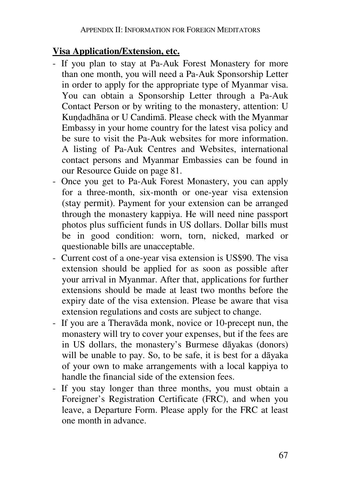### **Visa Application/Extension, etc.**

- If you plan to stay at Pa-Auk Forest Monastery for more than one month, you will need a Pa-Auk Sponsorship Letter in order to apply for the appropriate type of Myanmar visa. You can obtain a Sponsorship Letter through a Pa-Auk Contact Person or by writing to the monastery, attention: U Kundadhāna or U Candimā. Please check with the Myanmar Embassy in your home country for the latest visa policy and be sure to visit the Pa-Auk websites for more information. A listing of Pa-Auk Centres and Websites, international contact persons and Myanmar Embassies can be found in our Resource Guide on page 81.
- Once you get to Pa-Auk Forest Monastery, you can apply for a three-month, six-month or one-year visa extension (stay permit). Payment for your extension can be arranged through the monastery kappiya. He will need nine passport photos plus sufficient funds in US dollars. Dollar bills must be in good condition: worn, torn, nicked, marked or questionable bills are unacceptable.
- Current cost of a one-year visa extension is US\$90. The visa extension should be applied for as soon as possible after your arrival in Myanmar. After that, applications for further extensions should be made at least two months before the expiry date of the visa extension. Please be aware that visa extension regulations and costs are subject to change.
- If you are a Theravāda monk, novice or 10-precept nun, the monastery will try to cover your expenses, but if the fees are in US dollars, the monastery's Burmese dāyakas (donors) will be unable to pay. So, to be safe, it is best for a dāyaka of your own to make arrangements with a local kappiya to handle the financial side of the extension fees.
- If you stay longer than three months, you must obtain a Foreigner's Registration Certificate (FRC), and when you leave, a Departure Form. Please apply for the FRC at least one month in advance.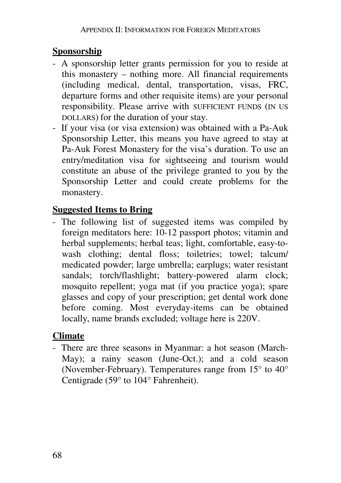## **Sponsorship**

- A sponsorship letter grants permission for you to reside at this monastery – nothing more. All financial requirements (including medical, dental, transportation, visas, FRC, departure forms and other requisite items) are your personal responsibility. Please arrive with SUFFICIENT FUNDS (IN US DOLLARS) for the duration of your stay.
- If your visa (or visa extension) was obtained with a Pa-Auk Sponsorship Letter, this means you have agreed to stay at Pa-Auk Forest Monastery for the visa's duration. To use an entry/meditation visa for sightseeing and tourism would constitute an abuse of the privilege granted to you by the Sponsorship Letter and could create problems for the monastery.

## **Suggested Items to Bring**

- The following list of suggested items was compiled by foreign meditators here: 10-12 passport photos; vitamin and herbal supplements; herbal teas; light, comfortable, easy-towash clothing; dental floss; toiletries; towel; talcum/ medicated powder; large umbrella; earplugs; water resistant sandals; torch/flashlight; battery-powered alarm clock; mosquito repellent; yoga mat (if you practice yoga); spare glasses and copy of your prescription; get dental work done before coming. Most everyday-items can be obtained locally, name brands excluded; voltage here is 220V.

# **Climate**

- There are three seasons in Myanmar: a hot season (March-May); a rainy season (June-Oct.); and a cold season (November-February). Temperatures range from 15° to 40° Centigrade (59° to 104° Fahrenheit).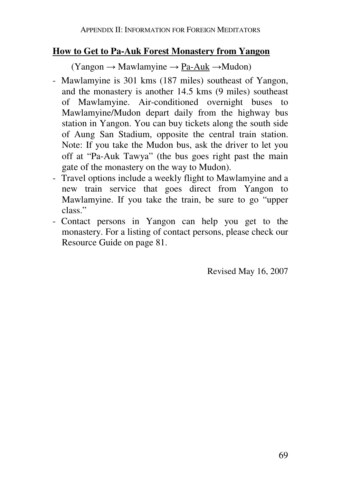### **How to Get to Pa-Auk Forest Monastery from Yangon**

 $(Yangon \rightarrow Mawlamvine \rightarrow Pa-Auk \rightarrow Mudon)$ 

- Mawlamyine is 301 kms (187 miles) southeast of Yangon, and the monastery is another 14.5 kms (9 miles) southeast of Mawlamyine. Air-conditioned overnight buses to Mawlamyine/Mudon depart daily from the highway bus station in Yangon. You can buy tickets along the south side of Aung San Stadium, opposite the central train station. Note: If you take the Mudon bus, ask the driver to let you off at "Pa-Auk Tawya" (the bus goes right past the main gate of the monastery on the way to Mudon).
- Travel options include a weekly flight to Mawlamyine and a new train service that goes direct from Yangon to Mawlamyine. If you take the train, be sure to go "upper class."
- Contact persons in Yangon can help you get to the monastery. For a listing of contact persons, please check our Resource Guide on page 81.

Revised May 16, 2007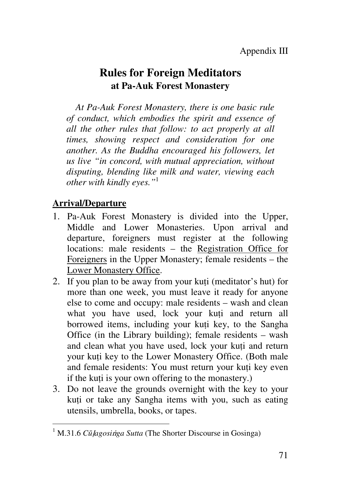# **Rules for Foreign Meditators at Pa-Auk Forest Monastery**

*At Pa-Auk Forest Monastery, there is one basic rule of conduct, which embodies the spirit and essence of all the other rules that follow: to act properly at all times, showing respect and consideration for one another. As the Buddha encouraged his followers, let us live "in concord, with mutual appreciation, without disputing, blending like milk and water, viewing each other with kindly eyes."*<sup>1</sup>

#### **Arrival/Departure**

- 1. Pa-Auk Forest Monastery is divided into the Upper, Middle and Lower Monasteries. Upon arrival and departure, foreigners must register at the following locations: male residents – the Registration Office for Foreigners in the Upper Monastery; female residents – the Lower Monastery Office.
- 2. If you plan to be away from your kuti (meditator's hut) for more than one week, you must leave it ready for anyone else to come and occupy: male residents – wash and clean what you have used, lock your kuti and return all borrowed items, including your kuti key, to the Sangha Office (in the Library building); female residents – wash and clean what you have used, lock your kuti and return your kuti key to the Lower Monastery Office. (Both male and female residents: You must return your kuti key even if the kuti is your own offering to the monastery.)
- 3. Do not leave the grounds overnight with the key to your kuti or take any Sangha items with you, such as eating utensils, umbrella, books, or tapes.

<sup>&</sup>lt;sup>1</sup> M.31.6 *Cū<sub>l</sub>agosinga Sutta* (The Shorter Discourse in Gosinga)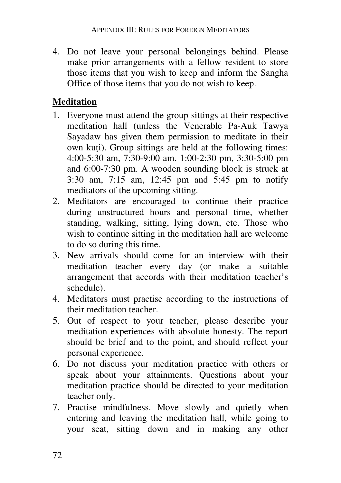4. Do not leave your personal belongings behind. Please make prior arrangements with a fellow resident to store those items that you wish to keep and inform the Sangha Office of those items that you do not wish to keep.

# **Meditation**

- 1. Everyone must attend the group sittings at their respective meditation hall (unless the Venerable Pa-Auk Tawya Sayadaw has given them permission to meditate in their own kuti). Group sittings are held at the following times: 4:00-5:30 am, 7:30-9:00 am, 1:00-2:30 pm, 3:30-5:00 pm and 6:00-7:30 pm. A wooden sounding block is struck at 3:30 am, 7:15 am, 12:45 pm and 5:45 pm to notify meditators of the upcoming sitting.
- 2. Meditators are encouraged to continue their practice during unstructured hours and personal time, whether standing, walking, sitting, lying down, etc. Those who wish to continue sitting in the meditation hall are welcome to do so during this time.
- 3. New arrivals should come for an interview with their meditation teacher every day (or make a suitable arrangement that accords with their meditation teacher's schedule).
- 4. Meditators must practise according to the instructions of their meditation teacher.
- 5. Out of respect to your teacher, please describe your meditation experiences with absolute honesty. The report should be brief and to the point, and should reflect your personal experience.
- 6. Do not discuss your meditation practice with others or speak about your attainments. Questions about your meditation practice should be directed to your meditation teacher only.
- 7. Practise mindfulness. Move slowly and quietly when entering and leaving the meditation hall, while going to your seat, sitting down and in making any other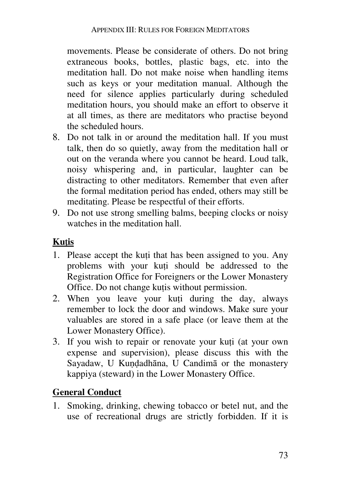movements. Please be considerate of others. Do not bring extraneous books, bottles, plastic bags, etc. into the meditation hall. Do not make noise when handling items such as keys or your meditation manual. Although the need for silence applies particularly during scheduled meditation hours, you should make an effort to observe it at all times, as there are meditators who practise beyond the scheduled hours.

- 8. Do not talk in or around the meditation hall. If you must talk, then do so quietly, away from the meditation hall or out on the veranda where you cannot be heard. Loud talk, noisy whispering and, in particular, laughter can be distracting to other meditators. Remember that even after the formal meditation period has ended, others may still be meditating. Please be respectful of their efforts.
- 9. Do not use strong smelling balms, beeping clocks or noisy watches in the meditation hall.

# **Ku**t**is**

- 1. Please accept the kuti that has been assigned to you. Any problems with your kuti should be addressed to the Registration Office for Foreigners or the Lower Monastery Office. Do not change kutis without permission.
- 2. When you leave your kuti during the day, always remember to lock the door and windows. Make sure your valuables are stored in a safe place (or leave them at the Lower Monastery Office).
- 3. If you wish to repair or renovate your kuti (at your own expense and supervision), please discuss this with the Sayadaw, U Kundadhāna, U Candimā or the monastery kappiya (steward) in the Lower Monastery Office.

# **General Conduct**

1. Smoking, drinking, chewing tobacco or betel nut, and the use of recreational drugs are strictly forbidden. If it is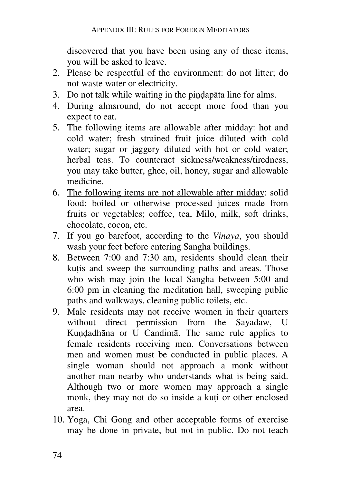discovered that you have been using any of these items, you will be asked to leave.

- 2. Please be respectful of the environment: do not litter; do not waste water or electricity.
- 3. Do not talk while waiting in the pindapāta line for alms.
- 4. During almsround, do not accept more food than you expect to eat.
- 5. The following items are allowable after midday: hot and cold water; fresh strained fruit juice diluted with cold water; sugar or jaggery diluted with hot or cold water; herbal teas. To counteract sickness/weakness/tiredness, you may take butter, ghee, oil, honey, sugar and allowable medicine.
- 6. The following items are not allowable after midday: solid food; boiled or otherwise processed juices made from fruits or vegetables; coffee, tea, Milo, milk, soft drinks, chocolate, cocoa, etc.
- 7. If you go barefoot, according to the *Vinaya*, you should wash your feet before entering Sangha buildings.
- 8. Between 7:00 and 7:30 am, residents should clean their kutis and sweep the surrounding paths and areas. Those who wish may join the local Sangha between 5:00 and 6:00 pm in cleaning the meditation hall, sweeping public paths and walkways, cleaning public toilets, etc.
- 9. Male residents may not receive women in their quarters without direct permission from the Sayadaw, U Kundadhāna or U Candimā. The same rule applies to female residents receiving men. Conversations between men and women must be conducted in public places. A single woman should not approach a monk without another man nearby who understands what is being said. Although two or more women may approach a single monk, they may not do so inside a kuti or other enclosed area.
- 10. Yoga, Chi Gong and other acceptable forms of exercise may be done in private, but not in public. Do not teach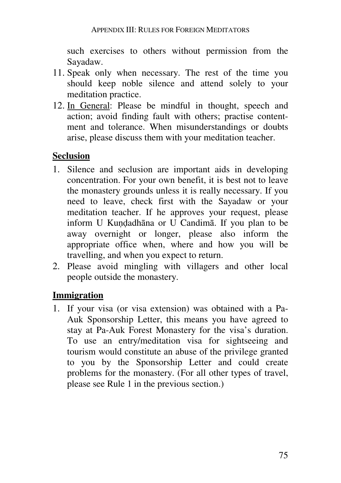such exercises to others without permission from the Sayadaw.

- 11. Speak only when necessary. The rest of the time you should keep noble silence and attend solely to your meditation practice.
- 12. In General: Please be mindful in thought, speech and action; avoid finding fault with others; practise contentment and tolerance. When misunderstandings or doubts arise, please discuss them with your meditation teacher.

### **Seclusion**

- 1. Silence and seclusion are important aids in developing concentration. For your own benefit, it is best not to leave the monastery grounds unless it is really necessary. If you need to leave, check first with the Sayadaw or your meditation teacher. If he approves your request, please inform U Kundadhāna or U Candimā. If you plan to be away overnight or longer, please also inform the appropriate office when, where and how you will be travelling, and when you expect to return.
- 2. Please avoid mingling with villagers and other local people outside the monastery.

#### **Immigration**

1. If your visa (or visa extension) was obtained with a Pa-Auk Sponsorship Letter, this means you have agreed to stay at Pa-Auk Forest Monastery for the visa's duration. To use an entry/meditation visa for sightseeing and tourism would constitute an abuse of the privilege granted to you by the Sponsorship Letter and could create problems for the monastery. (For all other types of travel, please see Rule 1 in the previous section.)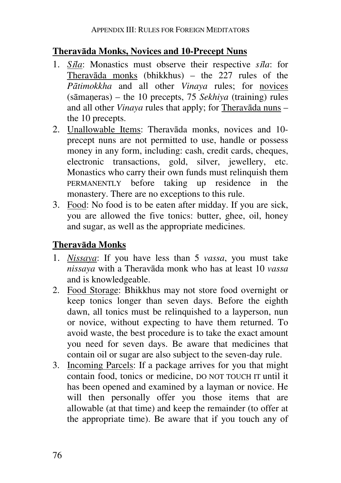### **Theravāda Monks, Novices and 10-Precept Nuns**

- 1. *S*i*la*: Monastics must observe their respective *s*i*la*: for Theravāda monks (bhikkhus) – the  $227$  rules of the *Pātimokkha* and all other *Vinaya* rules; for novices (sāmaneras) – the 10 precepts, 75 *Sekhiya* (training) rules and all other *Vinaya* rules that apply; for Theravāda nuns – the 10 precepts.
- 2. Unallowable Items: Theravāda monks, novices and 10 precept nuns are not permitted to use, handle or possess money in any form, including: cash, credit cards, cheques, electronic transactions, gold, silver, jewellery, etc. Monastics who carry their own funds must relinquish them PERMANENTLY before taking up residence in the monastery. There are no exceptions to this rule.
- 3. Food: No food is to be eaten after midday. If you are sick, you are allowed the five tonics: butter, ghee, oil, honey and sugar, as well as the appropriate medicines.

### **Theravāda Monks**

- 1. *Nissaya*: If you have less than 5 *vassa*, you must take *nissaya* with a Theravāda monk who has at least 10 *vassa* and is knowledgeable.
- 2. Food Storage: Bhikkhus may not store food overnight or keep tonics longer than seven days. Before the eighth dawn, all tonics must be relinquished to a layperson, nun or novice, without expecting to have them returned. To avoid waste, the best procedure is to take the exact amount you need for seven days. Be aware that medicines that contain oil or sugar are also subject to the seven-day rule.
- 3. Incoming Parcels: If a package arrives for you that might contain food, tonics or medicine, DO NOT TOUCH IT until it has been opened and examined by a layman or novice. He will then personally offer you those items that are allowable (at that time) and keep the remainder (to offer at the appropriate time). Be aware that if you touch any of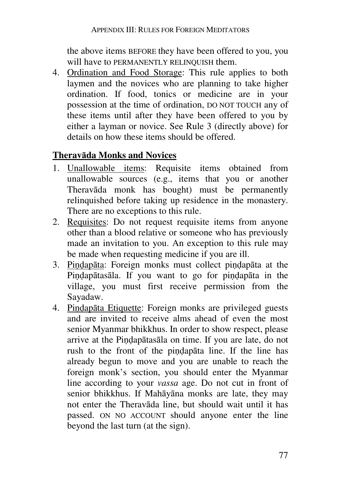the above items BEFORE they have been offered to you, you will have to PERMANENTLY RELINQUISH them.

4. Ordination and Food Storage: This rule applies to both laymen and the novices who are planning to take higher ordination. If food, tonics or medicine are in your possession at the time of ordination, DO NOT TOUCH any of these items until after they have been offered to you by either a layman or novice. See Rule 3 (directly above) for details on how these items should be offered.

#### **Theravāda Monks and Novices**

- 1. Unallowable items: Requisite items obtained from unallowable sources (e.g., items that you or another Theravāda monk has bought) must be permanently relinquished before taking up residence in the monastery. There are no exceptions to this rule.
- 2. Requisites: Do not request requisite items from anyone other than a blood relative or someone who has previously made an invitation to you. An exception to this rule may be made when requesting medicine if you are ill.
- 3. Pindapāta: Foreign monks must collect pindapāta at the Pindapātasāla. If you want to go for pindapāta in the village, you must first receive permission from the Sayadaw.
- 4. Pindapāta Etiquette: Foreign monks are privileged guests and are invited to receive alms ahead of even the most senior Myanmar bhikkhus. In order to show respect, please arrive at the Pindapātasāla on time. If you are late, do not rush to the front of the pindapāta line. If the line has already begun to move and you are unable to reach the foreign monk's section, you should enter the Myanmar line according to your *vassa* age. Do not cut in front of senior bhikkhus. If Mahāyāna monks are late, they may not enter the Theravāda line, but should wait until it has passed. ON NO ACCOUNT should anyone enter the line beyond the last turn (at the sign).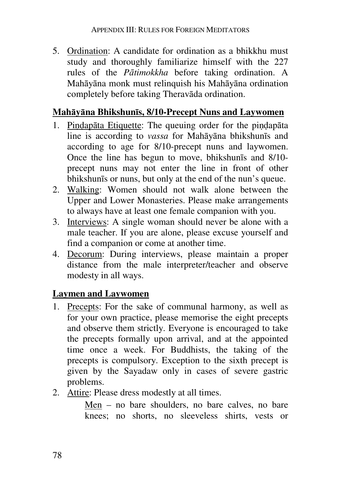5. Ordination: A candidate for ordination as a bhikkhu must study and thoroughly familiarize himself with the 227 rules of the *Pātimokkha* before taking ordination. A Mahāyāna monk must relinquish his Mahāyāna ordination completely before taking Theravāda ordination.

#### **Mahāyāna Bhikshunīs, 8/10-Precept Nuns and Laywomen**

- 1. Pindapāta Etiquette: The queuing order for the pindapāta line is according to *vassa* for Mahāyāna bhikshunīs and according to age for 8/10-precept nuns and laywomen. Once the line has begun to move, bhikshunīs and 8/10 precept nuns may not enter the line in front of other bhikshunīs or nuns, but only at the end of the nun's queue.
- 2. Walking: Women should not walk alone between the Upper and Lower Monasteries. Please make arrangements to always have at least one female companion with you.
- 3. Interviews: A single woman should never be alone with a male teacher. If you are alone, please excuse yourself and find a companion or come at another time.
- 4. Decorum: During interviews, please maintain a proper distance from the male interpreter/teacher and observe modesty in all ways.

### **Laymen and Laywomen**

- 1. Precepts: For the sake of communal harmony, as well as for your own practice, please memorise the eight precepts and observe them strictly. Everyone is encouraged to take the precepts formally upon arrival, and at the appointed time once a week. For Buddhists, the taking of the precepts is compulsory. Exception to the sixth precept is given by the Sayadaw only in cases of severe gastric problems.
- 2. Attire: Please dress modestly at all times.

Men – no bare shoulders, no bare calves, no bare knees; no shorts, no sleeveless shirts, vests or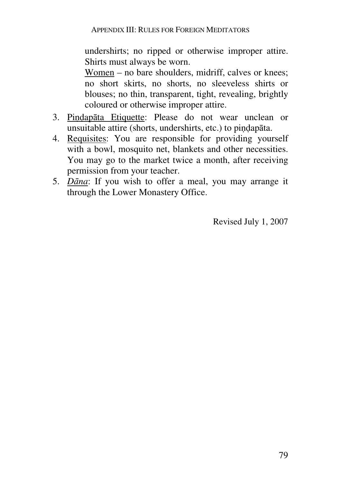undershirts; no ripped or otherwise improper attire. Shirts must always be worn.

Women – no bare shoulders, midriff, calves or knees; no short skirts, no shorts, no sleeveless shirts or blouses; no thin, transparent, tight, revealing, brightly coloured or otherwise improper attire.

- 3. Pindapāta Etiquette: Please do not wear unclean or unsuitable attire (shorts, undershirts, etc.) to pindapāta.
- 4. Requisites: You are responsible for providing yourself with a bowl, mosquito net, blankets and other necessities. You may go to the market twice a month, after receiving permission from your teacher.
- 5. *Dāna*: If you wish to offer a meal, you may arrange it through the Lower Monastery Office.

Revised July 1, 2007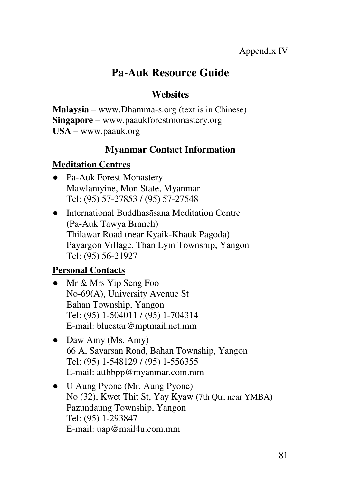# **Pa-Auk Resource Guide**

# **Websites**

**Malaysia** – www.Dhamma-s.org (text is in Chinese) **Singapore** – www.paaukforestmonastery.org **USA** – www.paauk.org

# **Myanmar Contact Information**

# **Meditation Centres**

- Pa-Auk Forest Monastery Mawlamyine, Mon State, Myanmar Tel: (95) 57-27853 / (95) 57-27548
- International Buddhasāsana Meditation Centre (Pa-Auk Tawya Branch) Thilawar Road (near Kyaik-Khauk Pagoda) Payargon Village, Than Lyin Township, Yangon Tel: (95) 56-21927

# **Personal Contacts**

- Mr & Mrs Yip Seng Foo No-69(A), University Avenue St Bahan Township, Yangon Tel: (95) 1-504011 / (95) 1-704314 E-mail: bluestar@mptmail.net.mm
- Daw Amy (Ms. Amy) 66 A, Sayarsan Road, Bahan Township, Yangon Tel: (95) 1-548129 / (95) 1-556355 E-mail: attbbpp@myanmar.com.mm
- U Aung Pyone (Mr. Aung Pyone) No (32), Kwet Thit St, Yay Kyaw (7th Qtr, near YMBA) Pazundaung Township, Yangon Tel: (95) 1-293847 E-mail: uap@mail4u.com.mm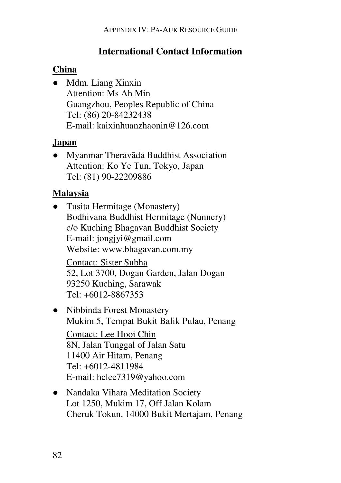# **International Contact Information**

# **China**

● Mdm. Liang Xinxin Attention: Ms Ah Min Guangzhou, Peoples Republic of China Tel: (86) 20-84232438 E-mail: kaixinhuanzhaonin@126.com

# **Japan**

● Myanmar Theravāda Buddhist Association Attention: Ko Ye Tun, Tokyo, Japan Tel: (81) 90-22209886

# **Malaysia**

- Tusita Hermitage (Monastery) Bodhivana Buddhist Hermitage (Nunnery) c/o Kuching Bhagavan Buddhist Society E-mail: jongjyi@gmail.com Website: www.bhagavan.com.my Contact: Sister Subha 52, Lot 3700, Dogan Garden, Jalan Dogan 93250 Kuching, Sarawak
	- Tel: +6012-8867353
- Nibbinda Forest Monastery Mukim 5, Tempat Bukit Balik Pulau, Penang Contact: Lee Hooi Chin 8N, Jalan Tunggal of Jalan Satu 11400 Air Hitam, Penang Tel: +6012-4811984 E-mail: hclee7319@yahoo.com
- Nandaka Vihara Meditation Society Lot 1250, Mukim 17, Off Jalan Kolam Cheruk Tokun, 14000 Bukit Mertajam, Penang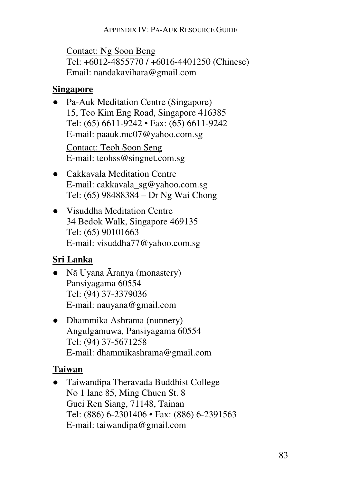Contact: Ng Soon Beng Tel: +6012-4855770 / +6016-4401250 (Chinese) Email: nandakavihara@gmail.com

### **Singapore**

- Pa-Auk Meditation Centre (Singapore) 15, Teo Kim Eng Road, Singapore 416385 Tel: (65) 6611-9242 • Fax: (65) 6611-9242 E-mail: paauk.mc07@yahoo.com.sg Contact: Teoh Soon Seng E-mail: teohss@singnet.com.sg
- Cakkavala Meditation Centre E-mail: cakkavala\_sg@yahoo.com.sg Tel: (65) 98488384 – Dr Ng Wai Chong
- Visuddha Meditation Centre 34 Bedok Walk, Singapore 469135 Tel: (65) 90101663 E-mail: visuddha77@yahoo.com.sg

# **Sri Lanka**

- Nā Uyana Āranya (monastery) Pansiyagama 60554 Tel: (94) 37-3379036 E-mail: nauyana@gmail.com
- Dhammika Ashrama (nunnery) Angulgamuwa, Pansiyagama 60554 Tel: (94) 37-5671258 E-mail: dhammikashrama@gmail.com

# **Taiwan**

● Taiwandipa Theravada Buddhist College No 1 lane 85, Ming Chuen St. 8 Guei Ren Siang, 71148, Tainan Tel: (886) 6-2301406 • Fax: (886) 6-2391563 E-mail: taiwandipa@gmail.com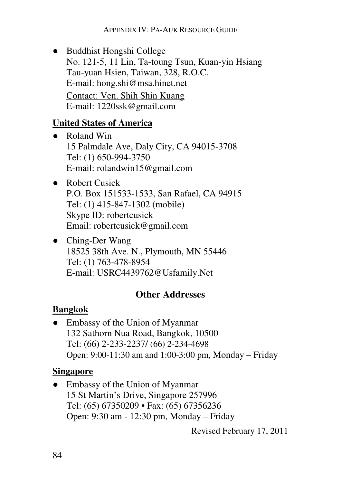● Buddhist Hongshi College No. 121-5, 11 Lin, Ta-toung Tsun, Kuan-yin Hsiang Tau-yuan Hsien, Taiwan, 328, R.O.C. E-mail: hong.shi@msa.hinet.net Contact: Ven. Shih Shin Kuang E-mail: 1220ssk@gmail.com

## **United States of America**

- Roland Win 15 Palmdale Ave, Daly City, CA 94015-3708 Tel: (1) 650-994-3750 E-mail: rolandwin15@gmail.com
- Robert Cusick P.O. Box 151533-1533, San Rafael, CA 94915 Tel: (1) 415-847-1302 (mobile) Skype ID: robertcusick Email: robertcusick@gmail.com
- Ching-Der Wang 18525 38th Ave. N., Plymouth, MN 55446 Tel: (1) 763-478-8954 E-mail: USRC4439762@Usfamily.Net

# **Other Addresses**

# **Bangkok**

• Embassy of the Union of Myanmar 132 Sathorn Nua Road, Bangkok, 10500 Tel: (66) 2-233-2237/ (66) 2-234-4698 Open: 9:00-11:30 am and 1:00-3:00 pm, Monday – Friday

# **Singapore**

• Embassy of the Union of Myanmar 15 St Martin's Drive, Singapore 257996 Tel: (65) 67350209 • Fax: (65) 67356236 Open: 9:30 am - 12:30 pm, Monday – Friday

Revised February 17, 2011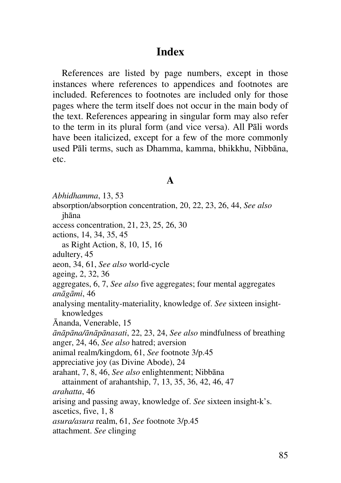# **Index**

References are listed by page numbers, except in those instances where references to appendices and footnotes are included. References to footnotes are included only for those pages where the term itself does not occur in the main body of the text. References appearing in singular form may also refer to the term in its plural form (and vice versa). All Pāli words have been italicized, except for a few of the more commonly used Pāli terms, such as Dhamma, kamma, bhikkhu, Nibbāna, etc.

#### **A**

*Abhidhamma*, 13, 53 absorption/absorption concentration, 20, 22, 23, 26, 44, *See also* jhāna access concentration, 21, 23, 25, 26, 30 actions, 14, 34, 35, 45 as Right Action, 8, 10, 15, 16 adultery, 45 aeon, 34, 61, *See also* world-cycle ageing, 2, 32, 36 aggregates, 6, 7, *See also* five aggregates; four mental aggregates *anāgāmi*, 46 analysing mentality-materiality, knowledge of. *See* sixteen insightknowledges Ānanda, Venerable, 15 *ānāpāna/ānāpānasati*, 22, 23, 24, *See also* mindfulness of breathing anger, 24, 46, *See also* hatred; aversion animal realm/kingdom, 61, *See* footnote 3/p.45 appreciative joy (as Divine Abode), 24 arahant, 7, 8, 46, *See also* enlightenment; Nibbāna attainment of arahantship, 7, 13, 35, 36, 42, 46, 47 *arahatta*, 46 arising and passing away, knowledge of. *See* sixteen insight-k's. ascetics, five, 1, 8 *asura/asura* realm, 61, *See* footnote 3/p.45 attachment. *See* clinging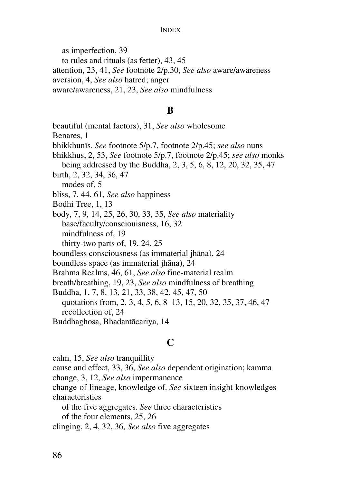as imperfection, 39

to rules and rituals (as fetter), 43, 45

attention, 23, 41, *See* footnote 2/p.30, *See also* aware/awareness

aversion, 4, *See also* hatred; anger

aware/awareness, 21, 23, *See also* mindfulness

#### **B**

beautiful (mental factors), 31, *See also* wholesome Benares, 1 bhikkhunīs. *See* footnote 5/p.7, footnote 2/p.45; *see also* nuns bhikkhus, 2, 53, *See* footnote 5/p.7, footnote 2/p.45; *see also* monks being addressed by the Buddha, 2, 3, 5, 6, 8, 12, 20, 32, 35, 47 birth, 2, 32, 34, 36, 47 modes of, 5 bliss, 7, 44, 61, *See also* happiness Bodhi Tree, 1, 13 body, 7, 9, 14, 25, 26, 30, 33, 35, *See also* materiality base/faculty/consciouisness, 16, 32 mindfulness of, 19 thirty-two parts of, 19, 24, 25 boundless consciousness (as immaterial jhāna), 24 boundless space (as immaterial jhāna), 24 Brahma Realms, 46, 61, *See also* fine-material realm breath/breathing, 19, 23, *See also* mindfulness of breathing Buddha, 1, 7, 8, 13, 21, 33, 38, 42, 45, 47, 50 quotations from, 2, 3, 4, 5, 6, 8–13, 15, 20, 32, 35, 37, 46, 47 recollection of, 24 Buddhaghosa, Bhadantācariya, 14

# **C**

calm, 15, *See also* tranquillity

cause and effect, 33, 36, *See also* dependent origination; kamma change, 3, 12, *See also* impermanence

change-of-lineage, knowledge of. *See* sixteen insight-knowledges characteristics

of the five aggregates. *See* three characteristics

of the four elements, 25, 26

clinging, 2, 4, 32, 36, *See also* five aggregates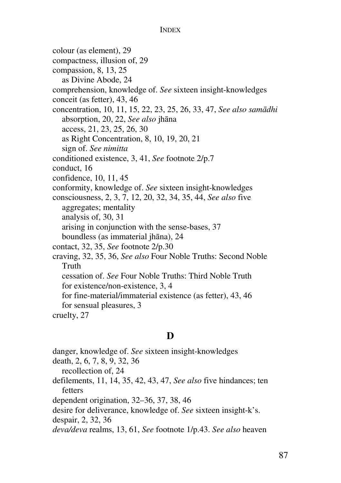colour (as element), 29 compactness, illusion of, 29 compassion, 8, 13, 25 as Divine Abode, 24 comprehension, knowledge of. *See* sixteen insight-knowledges conceit (as fetter), 43, 46 concentration, 10, 11, 15, 22, 23, 25, 26, 33, 47, *See also samādhi* absorption, 20, 22, *See also* jhāna access, 21, 23, 25, 26, 30 as Right Concentration, 8, 10, 19, 20, 21 sign of. *See nimitta* conditioned existence, 3, 41, *See* footnote 2/p.7 conduct, 16 confidence, 10, 11, 45 conformity, knowledge of. *See* sixteen insight-knowledges consciousness, 2, 3, 7, 12, 20, 32, 34, 35, 44, *See also* five aggregates; mentality analysis of, 30, 31 arising in conjunction with the sense-bases, 37 boundless (as immaterial jhāna), 24 contact, 32, 35, *See* footnote 2/p.30 craving, 32, 35, 36, *See also* Four Noble Truths: Second Noble Truth cessation of. *See* Four Noble Truths: Third Noble Truth for existence/non-existence, 3, 4 for fine-material/immaterial existence (as fetter), 43, 46 for sensual pleasures, 3 cruelty, 27

### **D**

danger, knowledge of. *See* sixteen insight-knowledges

death, 2, 6, 7, 8, 9, 32, 36

recollection of, 24

defilements, 11, 14, 35, 42, 43, 47, *See also* five hindances; ten fetters

dependent origination, 32–36, 37, 38, 46

desire for deliverance, knowledge of. *See* sixteen insight-k's.

despair, 2, 32, 36

*deva/deva* realms, 13, 61, *See* footnote 1/p.43. *See also* heaven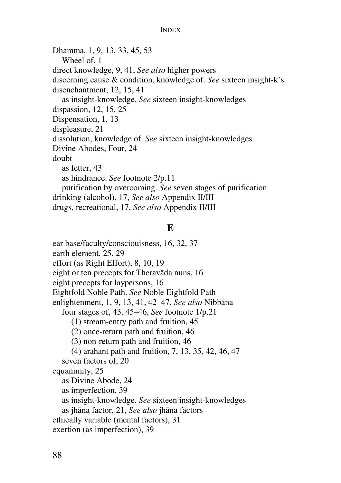Dhamma, 1, 9, 13, 33, 45, 53 Wheel of, 1 direct knowledge, 9, 41, *See also* higher powers discerning cause & condition, knowledge of. *See* sixteen insight-k's. disenchantment, 12, 15, 41 as insight-knowledge. *See* sixteen insight-knowledges dispassion, 12, 15, 25 Dispensation, 1, 13 displeasure, 21 dissolution, knowledge of. *See* sixteen insight-knowledges Divine Abodes, Four, 24 doubt as fetter, 43 as hindrance. *See* footnote 2/p.11 purification by overcoming. *See* seven stages of purification drinking (alcohol), 17, *See also* Appendix II/III drugs, recreational, 17, *See also* Appendix II/III

#### **E**

ear base/faculty/consciouisness, 16, 32, 37 earth element, 25, 29 effort (as Right Effort), 8, 10, 19 eight or ten precepts for Theravāda nuns, 16 eight precepts for laypersons, 16 Eightfold Noble Path. *See* Noble Eightfold Path enlightenment, 1, 9, 13, 41, 42–47, *See also* Nibbāna four stages of, 43, 45–46, *See* footnote 1/p.21 (1) stream-entry path and fruition, 45 (2) once-return path and fruition, 46 (3) non-return path and fruition, 46 (4) arahant path and fruition, 7, 13, 35, 42, 46, 47 seven factors of, 20 equanimity, 25 as Divine Abode, 24 as imperfection, 39 as insight-knowledge. *See* sixteen insight-knowledges as jhāna factor, 21, *See also* jhāna factors ethically variable (mental factors), 31 exertion (as imperfection), 39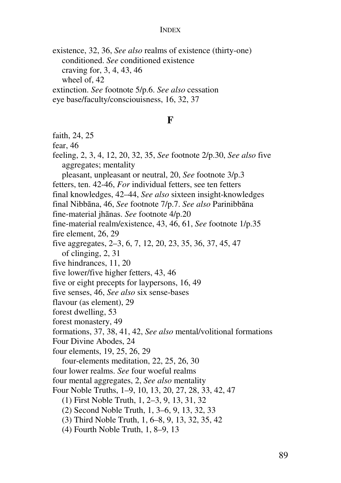existence, 32, 36, *See also* realms of existence (thirty-one) conditioned. *See* conditioned existence craving for, 3, 4, 43, 46 wheel of, 42 extinction. *See* footnote 5/p.6. *See also* cessation eye base/faculty/consciouisness, 16, 32, 37

#### **F**

faith, 24, 25

fear, 46

feeling, 2, 3, 4, 12, 20, 32, 35, *See* footnote 2/p.30, *See also* five aggregates; mentality pleasant, unpleasant or neutral, 20, *See* footnote 3/p.3

fetters, ten. 42-46, *For* individual fetters, see ten fetters

final knowledges, 42–44, *See also* sixteen insight-knowledges

final Nibbāna, 46, *See* footnote 7/p.7. *See also* Parinibbāna

fine-material jhānas. *See* footnote 4/p.20

fine-material realm/existence, 43, 46, 61, *See* footnote 1/p.35

fire element, 26, 29

five aggregates, 2–3, 6, 7, 12, 20, 23, 35, 36, 37, 45, 47

of clinging, 2, 31

five hindrances, 11, 20

five lower/five higher fetters, 43, 46

five or eight precepts for laypersons, 16, 49

five senses, 46, *See also* six sense-bases

flavour (as element), 29

forest dwelling, 53

forest monastery, 49

formations, 37, 38, 41, 42, *See also* mental/volitional formations

Four Divine Abodes, 24

four elements, 19, 25, 26, 29

four-elements meditation, 22, 25, 26, 30

four lower realms. *See* four woeful realms

four mental aggregates, 2, *See also* mentality

Four Noble Truths, 1–9, 10, 13, 20, 27, 28, 33, 42, 47

(1) First Noble Truth, 1, 2–3, 9, 13, 31, 32

(2) Second Noble Truth, 1, 3–6, 9, 13, 32, 33

(3) Third Noble Truth, 1, 6–8, 9, 13, 32, 35, 42

(4) Fourth Noble Truth, 1, 8–9, 13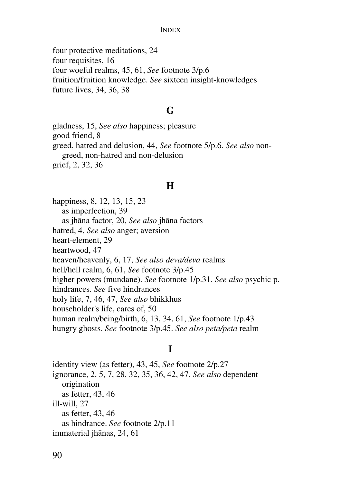four protective meditations, 24 four requisites, 16 four woeful realms, 45, 61, *See* footnote 3/p.6 fruition/fruition knowledge. *See* sixteen insight-knowledges future lives, 34, 36, 38

#### **G**

gladness, 15, *See also* happiness; pleasure good friend, 8 greed, hatred and delusion, 44, *See* footnote 5/p.6. *See also* nongreed, non-hatred and non-delusion grief, 2, 32, 36

#### **H**

happiness, 8, 12, 13, 15, 23 as imperfection, 39 as jhāna factor, 20, *See also* jhāna factors hatred, 4, *See also* anger; aversion heart-element, 29 heartwood, 47 heaven/heavenly, 6, 17, *See also deva/deva* realms hell/hell realm, 6, 61, *See* footnote 3/p.45 higher powers (mundane). *See* footnote 1/p.31. *See also* psychic p. hindrances. *See* five hindrances holy life, 7, 46, 47, *See also* bhikkhus householder's life, cares of, 50 human realm/being/birth, 6, 13, 34, 61, *See* footnote 1/p.43 hungry ghosts. *See* footnote 3/p.45. *See also peta/peta* realm

#### **I**

identity view (as fetter), 43, 45, *See* footnote 2/p.27 ignorance, 2, 5, 7, 28, 32, 35, 36, 42, 47, *See also* dependent origination as fetter, 43, 46 ill-will, 27 as fetter, 43, 46 as hindrance. *See* footnote 2/p.11 immaterial jhānas, 24, 61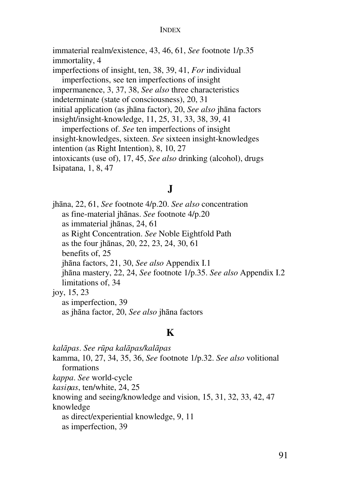immaterial realm/existence, 43, 46, 61, *See* footnote 1/p.35 immortality, 4

imperfections of insight, ten, 38, 39, 41, *For* individual imperfections, see ten imperfections of insight impermanence, 3, 37, 38, *See also* three characteristics indeterminate (state of consciousness), 20, 31 initial application (as jhāna factor), 20, *See also* jhāna factors insight/insight-knowledge, 11, 25, 31, 33, 38, 39, 41

imperfections of. *See* ten imperfections of insight insight-knowledges, sixteen. *See* sixteen insight-knowledges intention (as Right Intention), 8, 10, 27 intoxicants (use of), 17, 45, *See also* drinking (alcohol), drugs Isipatana, 1, 8, 47

# **J**

jhāna, 22, 61, *See* footnote 4/p.20. *See also* concentration as fine-material jhānas. *See* footnote 4/p.20 as immaterial jhānas, 24, 61 as Right Concentration. *See* Noble Eightfold Path as the four jhānas, 20, 22, 23, 24, 30, 61 benefits of, 25 jhāna factors, 21, 30, *See also* Appendix I.1 jhāna mastery, 22, 24, *See* footnote 1/p.35. *See also* Appendix I.2 limitations of, 34 joy, 15, 23 as imperfection, 39 as jhāna factor, 20, *See also* jhāna factors

#### **K**

*kalāpas*. *See rūpa kalāpas/kalāpas* kamma, 10, 27, 34, 35, 36, *See* footnote 1/p.32. *See also* volitional formations *kappa*. *See* world-cycle *kasi*n*as*, ten/white, 24, 25 knowing and seeing/knowledge and vision, 15, 31, 32, 33, 42, 47 knowledge as direct/experiential knowledge, 9, 11 as imperfection, 39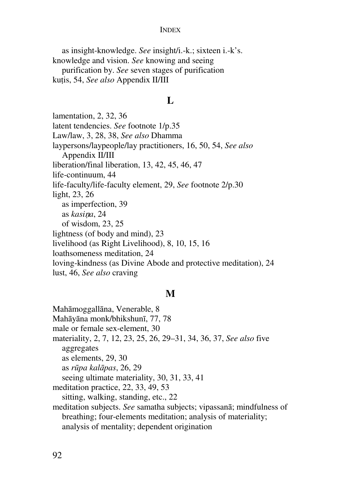as insight-knowledge. *See* insight/i.-k.; sixteen i.-k's. knowledge and vision. *See* knowing and seeing purification by. *See* seven stages of purification kutis, 54, *See also* Appendix II/III

#### **L**

lamentation, 2, 32, 36 latent tendencies. *See* footnote 1/p.35 Law/law, 3, 28, 38, *See also* Dhamma laypersons/laypeople/lay practitioners, 16, 50, 54, *See also* Appendix II/III liberation/final liberation, 13, 42, 45, 46, 47 life-continuum, 44 life-faculty/life-faculty element, 29, *See* footnote 2/p.30 light, 23, 26 as imperfection, 39 as *kasi*n*a*, 24 of wisdom, 23, 25 lightness (of body and mind), 23 livelihood (as Right Livelihood), 8, 10, 15, 16 loathsomeness meditation, 24 loving-kindness (as Divine Abode and protective meditation), 24 lust, 46, *See also* craving

#### **M**

Mahāmoggallāna, Venerable, 8 Mahāyāna monk/bhikshunī, 77, 78 male or female sex-element, 30 materiality, 2, 7, 12, 23, 25, 26, 29–31, 34, 36, 37, *See also* five aggregates as elements, 29, 30 as *rūpa kalāpas*, 26, 29 seeing ultimate materiality, 30, 31, 33, 41 meditation practice, 22, 33, 49, 53 sitting, walking, standing, etc., 22 meditation subjects. *See* samatha subjects; vipassanā; mindfulness of breathing; four-elements meditation; analysis of materiality; analysis of mentality; dependent origination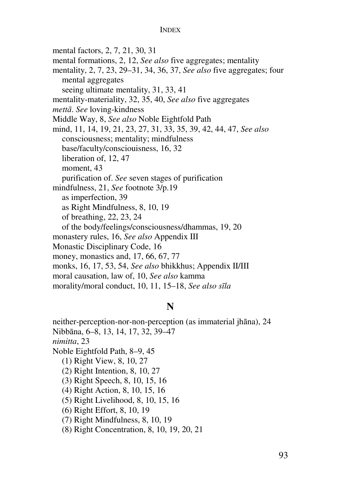mental factors, 2, 7, 21, 30, 31

mental formations, 2, 12, *See also* five aggregates; mentality

mentality, 2, 7, 23, 29–31, 34, 36, 37, *See also* five aggregates; four mental aggregates

seeing ultimate mentality, 31, 33, 41

mentality-materiality, 32, 35, 40, *See also* five aggregates

*mettā*. *See* loving-kindness

Middle Way, 8, *See also* Noble Eightfold Path

mind, 11, 14, 19, 21, 23, 27, 31, 33, 35, 39, 42, 44, 47, *See also* consciousness; mentality; mindfulness base/faculty/consciouisness, 16, 32

liberation of, 12, 47

moment, 43

purification of. *See* seven stages of purification

mindfulness, 21, *See* footnote 3/p.19

as imperfection, 39

as Right Mindfulness, 8, 10, 19

of breathing, 22, 23, 24

of the body/feelings/consciousness/dhammas, 19, 20

monastery rules, 16, *See also* Appendix III

Monastic Disciplinary Code, 16

money, monastics and, 17, 66, 67, 77

monks, 16, 17, 53, 54, *See also* bhikkhus; Appendix II/III

moral causation, law of, 10, *See also* kamma

morality/moral conduct, 10, 11, 15–18, *See also sīla*

### **N**

neither-perception-nor-non-perception (as immaterial jhāna), 24 Nibbāna, 6–8, 13, 14, 17, 32, 39–47 *nimitta*, 23 Noble Eightfold Path, 8–9, 45 (1) Right View, 8, 10, 27 (2) Right Intention, 8, 10, 27 (3) Right Speech, 8, 10, 15, 16 (4) Right Action, 8, 10, 15, 16 (5) Right Livelihood, 8, 10, 15, 16 (6) Right Effort, 8, 10, 19 (7) Right Mindfulness, 8, 10, 19 (8) Right Concentration, 8, 10, 19, 20, 21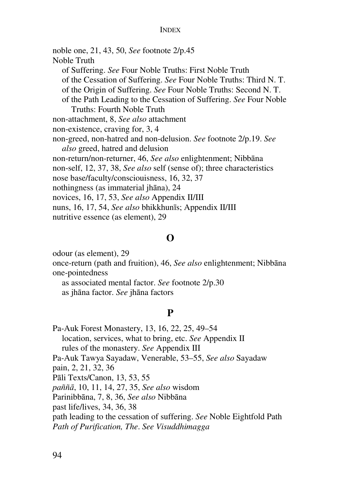noble one, 21, 43, 50, *See* footnote 2/p.45 Noble Truth of Suffering. *See* Four Noble Truths: First Noble Truth of the Cessation of Suffering. *See* Four Noble Truths: Third N. T. of the Origin of Suffering. *See* Four Noble Truths: Second N. T. of the Path Leading to the Cessation of Suffering. *See* Four Noble Truths: Fourth Noble Truth non-attachment, 8, *See also* attachment non-existence, craving for, 3, 4 non-greed, non-hatred and non-delusion. *See* footnote 2/p.19. *See also* greed, hatred and delusion non-return/non-returner, 46, *See also* enlightenment; Nibbāna non-self, 12, 37, 38, *See also* self (sense of); three characteristics nose base/faculty/consciouisness, 16, 32, 37 nothingness (as immaterial jhāna), 24 novices, 16, 17, 53, *See also* Appendix II/III nuns, 16, 17, 54, *See also* bhikkhunīs; Appendix II/III nutritive essence (as element), 29

#### **O**

odour (as element), 29 once-return (path and fruition), 46, *See also* enlightenment; Nibbāna one-pointedness as associated mental factor. *See* footnote 2/p.30

as jhāna factor. *See* jhāna factors

#### **P**

Pa-Auk Forest Monastery, 13, 16, 22, 25, 49–54 location, services, what to bring, etc. *See* Appendix II rules of the monastery. *See* Appendix III Pa-Auk Tawya Sayadaw, Venerable, 53–55, *See also* Sayadaw pain, 2, 21, 32, 36 Pāli Texts/Canon, 13, 53, 55 *paññā*, 10, 11, 14, 27, 35, *See also* wisdom Parinibbāna, 7, 8, 36, *See also* Nibbāna past life/lives, 34, 36, 38 path leading to the cessation of suffering. *See* Noble Eightfold Path *Path of Purification, The*. *See Visuddhimagga*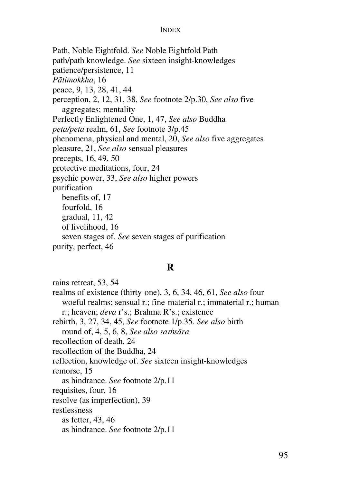Path, Noble Eightfold. *See* Noble Eightfold Path path/path knowledge. *See* sixteen insight-knowledges patience/persistence, 11 *Pātimokkha*, 16 peace, 9, 13, 28, 41, 44 perception, 2, 12, 31, 38, *See* footnote 2/p.30, *See also* five aggregates; mentality Perfectly Enlightened One, 1, 47, *See also* Buddha *peta/peta* realm, 61, *See* footnote 3/p.45 phenomena, physical and mental, 20, *See also* five aggregates pleasure, 21, *See also* sensual pleasures precepts, 16, 49, 50 protective meditations, four, 24 psychic power, 33, *See also* higher powers purification benefits of, 17 fourfold, 16 gradual, 11, 42 of livelihood, 16 seven stages of. *See* seven stages of purification purity, perfect, 46

#### **R**

rains retreat, 53, 54 realms of existence (thirty-one), 3, 6, 34, 46, 61, *See also* four woeful realms; sensual r.; fine-material r.; immaterial r.; human r.; heaven; *deva* r's.; Brahma R's.; existence rebirth, 3, 27, 34, 45, *See* footnote 1/p.35. *See also* birth round of, 4, 5, 6, 8, *See also sa*m*sāra* recollection of death, 24 recollection of the Buddha, 24 reflection, knowledge of. *See* sixteen insight-knowledges remorse, 15 as hindrance. *See* footnote 2/p.11 requisites, four, 16 resolve (as imperfection), 39 restlessness as fetter, 43, 46 as hindrance. *See* footnote 2/p.11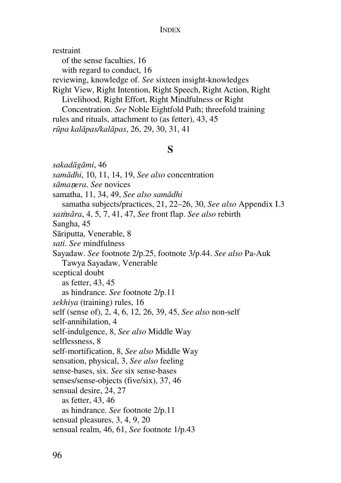restraint of the sense faculties, 16 with regard to conduct, 16 reviewing, knowledge of. *See* sixteen insight-knowledges Right View, Right Intention, Right Speech, Right Action, Right Livelihood, Right Effort, Right Mindfulness or Right Concentration. *See* Noble Eightfold Path; threefold training rules and rituals, attachment to (as fetter), 43, 45 *rūpa kalāpas/kalāpas*, 26, 29, 30, 31, 41

### **S**

*sakadāgāmi*, 46 *samādhi*, 10, 11, 14, 19, *See also* concentration *sāma*n*era*. *See* novices samatha, 11, 34, 49, *See also samādhi* samatha subjects/practices, 21, 22–26, 30, *See also* Appendix I.3 *sa*m*sāra*, 4, 5, 7, 41, 47, *See* front flap. *See also* rebirth Sangha, 45 Sāriputta, Venerable, 8 *sati*. *See* mindfulness Sayadaw. *See* footnote 2/p.25, footnote 3/p.44. *See also* Pa-Auk Tawya Sayadaw, Venerable sceptical doubt as fetter, 43, 45 as hindrance. *See* footnote 2/p.11 *sekhiya* (training) rules, 16 self (sense of), 2, 4, 6, 12, 26, 39, 45, *See also* non-self self-annihilation, 4 self-indulgence, 8, *See also* Middle Way selflessness, 8 self-mortification, 8, *See also* Middle Way sensation, physical, 3, *See also* feeling sense-bases, six. *See* six sense-bases senses/sense-objects (five/six), 37, 46 sensual desire, 24, 27 as fetter, 43, 46 as hindrance. *See* footnote 2/p.11 sensual pleasures, 3, 4, 9, 20 sensual realm, 46, 61, *See* footnote 1/p.43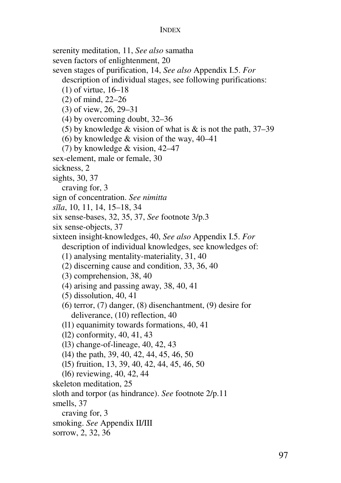serenity meditation, 11, *See also* samatha seven factors of enlightenment, 20 seven stages of purification, 14, *See also* Appendix I.5. *For* description of individual stages, see following purifications: (1) of virtue, 16–18 (2) of mind, 22–26 (3) of view, 26, 29–31 (4) by overcoming doubt, 32–36 (5) by knowledge  $&$  vision of what is  $&$  is not the path, 37–39 (6) by knowledge & vision of the way, 40–41 (7) by knowledge & vision, 42–47 sex-element, male or female, 30 sickness, 2 sights, 30, 37 craving for, 3 sign of concentration. *See nimitta sīla*, 10, 11, 14, 15–18, 34 six sense-bases, 32, 35, 37, *See* footnote 3/p.3 six sense-objects, 37 sixteen insight-knowledges, 40, *See also* Appendix I.5. *For* description of individual knowledges, see knowledges of: (1) analysing mentality-materiality, 31, 40 (2) discerning cause and condition, 33, 36, 40 (3) comprehension, 38, 40 (4) arising and passing away, 38, 40, 41 (5) dissolution, 40, 41 (6) terror, (7) danger, (8) disenchantment, (9) desire for deliverance, (10) reflection, 40 (l1) equanimity towards formations, 40, 41 (l2) conformity, 40, 41, 43 (l3) change-of-lineage, 40, 42, 43 (l4) the path, 39, 40, 42, 44, 45, 46, 50 (l5) fruition, 13, 39, 40, 42, 44, 45, 46, 50 (l6) reviewing, 40, 42, 44 skeleton meditation, 25 sloth and torpor (as hindrance). *See* footnote 2/p.11 smells, 37 craving for, 3 smoking. *See* Appendix II/III sorrow, 2, 32, 36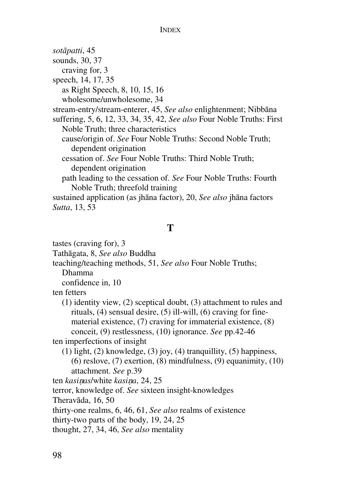*sotāpatti*, 45 sounds, 30, 37 craving for, 3 speech, 14, 17, 35 as Right Speech, 8, 10, 15, 16 wholesome/unwholesome, 34 stream-entry/stream-enterer, 45, *See also* enlightenment; Nibbāna suffering, 5, 6, 12, 33, 34, 35, 42, *See also* Four Noble Truths: First Noble Truth; three characteristics cause/origin of. *See* Four Noble Truths: Second Noble Truth; dependent origination cessation of. *See* Four Noble Truths: Third Noble Truth; dependent origination path leading to the cessation of. *See* Four Noble Truths: Fourth Noble Truth; threefold training sustained application (as jhāna factor), 20, *See also* jhāna factors *Sutta*, 13, 53

#### **T**

tastes (craving for), 3 Tathāgata, 8, *See also* Buddha teaching/teaching methods, 51, *See also* Four Noble Truths; Dhamma confidence in, 10 ten fetters (1) identity view, (2) sceptical doubt, (3) attachment to rules and rituals, (4) sensual desire, (5) ill-will, (6) craving for finematerial existence, (7) craving for immaterial existence, (8) conceit, (9) restlessness, (10) ignorance. *See* pp.42-46 ten imperfections of insight (1) light, (2) knowledge, (3) joy, (4) tranquillity, (5) happiness, (6) reslove, (7) exertion, (8) mindfulness, (9) equanimity, (10) attachment. *See* p.39 ten *kasi*n*as*/white *kasi*n*a*, 24, 25 terror, knowledge of. *See* sixteen insight-knowledges Theravāda, 16, 50 thirty-one realms, 6, 46, 61, *See also* realms of existence thirty-two parts of the body, 19, 24, 25 thought, 27, 34, 46, *See also* mentality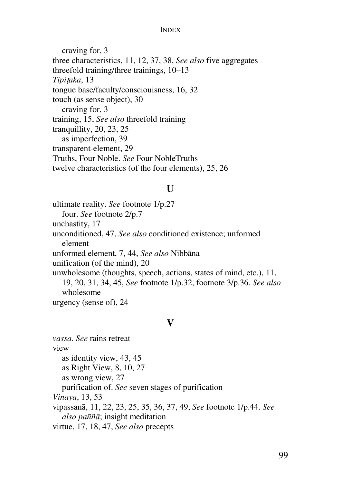#### INDEX

craving for, 3 three characteristics, 11, 12, 37, 38, *See also* five aggregates threefold training/three trainings, 10–13 *Tipi*t*aka*, 13 tongue base/faculty/consciouisness, 16, 32 touch (as sense object), 30 craving for, 3 training, 15, *See also* threefold training tranquillity, 20, 23, 25 as imperfection, 39 transparent-element, 29 Truths, Four Noble. *See* Four NobleTruths twelve characteristics (of the four elements), 25, 26

# $\mathbf{U}$

ultimate reality. *See* footnote 1/p.27 four. *See* footnote 2/p.7 unchastity, 17 unconditioned, 47, *See also* conditioned existence; unformed element unformed element, 7, 44, *See also* Nibbāna unification (of the mind), 20 unwholesome (thoughts, speech, actions, states of mind, etc.), 11, 19, 20, 31, 34, 45, *See* footnote 1/p.32, footnote 3/p.36. *See also* wholesome urgency (sense of), 24

## **V**

*vassa*. *See* rains retreat view as identity view, 43, 45 as Right View, 8, 10, 27 as wrong view, 27 purification of. *See* seven stages of purification *Vinaya*, 13, 53 vipassanā, 11, 22, 23, 25, 35, 36, 37, 49, *See* footnote 1/p.44. *See also paññā*; insight meditation virtue, 17, 18, 47, *See also* precepts